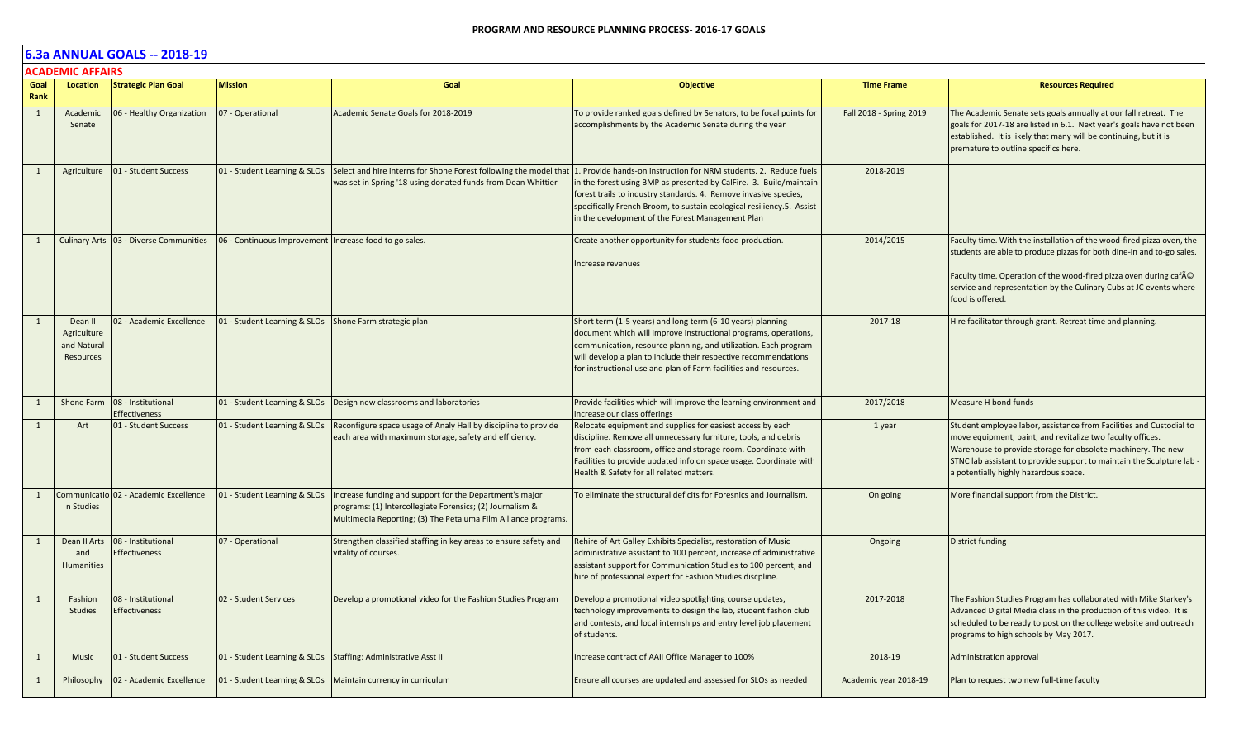|              | <b>ACADEMIC AFFAIRS</b>                            |                                            |                                                               |                                                                                                                                                                                        |                                                                                                                                                                                                                                                                                                                                          |                         |                                                                                                                                                                                                                                                                                                                   |  |  |  |
|--------------|----------------------------------------------------|--------------------------------------------|---------------------------------------------------------------|----------------------------------------------------------------------------------------------------------------------------------------------------------------------------------------|------------------------------------------------------------------------------------------------------------------------------------------------------------------------------------------------------------------------------------------------------------------------------------------------------------------------------------------|-------------------------|-------------------------------------------------------------------------------------------------------------------------------------------------------------------------------------------------------------------------------------------------------------------------------------------------------------------|--|--|--|
| Goal<br>Rank | Location                                           | <b>Strategic Plan Goal</b>                 | <b>Mission</b>                                                | Goal                                                                                                                                                                                   | <b>Objective</b>                                                                                                                                                                                                                                                                                                                         | <b>Time Frame</b>       | <b>Resources Required</b>                                                                                                                                                                                                                                                                                         |  |  |  |
| $\mathbf{1}$ | Academic<br>Senate                                 | 06 - Healthy Organization                  | 07 - Operational                                              | Academic Senate Goals for 2018-2019                                                                                                                                                    | To provide ranked goals defined by Senators, to be focal points for<br>accomplishments by the Academic Senate during the year                                                                                                                                                                                                            | Fall 2018 - Spring 2019 | The Academic Senate sets goals annually at our fall retreat. The<br>goals for 2017-18 are listed in 6.1. Next year's goals have not been<br>established. It is likely that many will be continuing, but it is<br>premature to outline specifics here.                                                             |  |  |  |
| 1            | Agriculture                                        | 01 - Student Success                       | 01 - Student Learning & SLOs                                  | Select and hire interns for Shone Forest following the model that<br>was set in Spring '18 using donated funds from Dean Whittier                                                      | 1. Provide hands-on instruction for NRM students. 2. Reduce fuels<br>in the forest using BMP as presented by CalFire. 3. Build/maintain<br>forest trails to industry standards. 4. Remove invasive species,<br>specifically French Broom, to sustain ecological resiliency.5. Assist<br>in the development of the Forest Management Plan | 2018-2019               |                                                                                                                                                                                                                                                                                                                   |  |  |  |
| 1            | <b>Culinary Arts</b>                               | 03 - Diverse Communities                   | 06 - Continuous Improvement Increase food to go sales.        |                                                                                                                                                                                        | Create another opportunity for students food production.<br>Increase revenues                                                                                                                                                                                                                                                            | 2014/2015               | Faculty time. With the installation of the wood-fired pizza oven, the<br>students are able to produce pizzas for both dine-in and to-go sales.<br>Faculty time. Operation of the wood-fired pizza oven during cafAO<br>service and representation by the Culinary Cubs at JC events where<br>food is offered.     |  |  |  |
| 1            | Dean II<br>Agriculture<br>and Natural<br>Resources | 02 - Academic Excellence                   | 01 - Student Learning & SLOs Shone Farm strategic plan        |                                                                                                                                                                                        | Short term (1-5 years) and long term (6-10 years) planning<br>document which will improve instructional programs, operations,<br>communication, resource planning, and utilization. Each program<br>will develop a plan to include their respective recommendations<br>for instructional use and plan of Farm facilities and resources.  | 2017-18                 | Hire facilitator through grant. Retreat time and planning.                                                                                                                                                                                                                                                        |  |  |  |
| 1            | Shone Farm                                         | 08 - Institutional<br><b>Effectiveness</b> |                                                               | 01 - Student Learning & SLOs   Design new classrooms and laboratories                                                                                                                  | Provide facilities which will improve the learning environment and<br>ncrease our class offerings                                                                                                                                                                                                                                        | 2017/2018               | Measure H bond funds                                                                                                                                                                                                                                                                                              |  |  |  |
| 1            | Art                                                | 01 - Student Success                       | 01 - Student Learning & SLOs                                  | Reconfigure space usage of Analy Hall by discipline to provide<br>each area with maximum storage, safety and efficiency.                                                               | Relocate equipment and supplies for easiest access by each<br>discipline. Remove all unnecessary furniture, tools, and debris<br>from each classroom, office and storage room. Coordinate with<br>Facilities to provide updated info on space usage. Coordinate with<br>Health & Safety for all related matters.                         | 1 year                  | Student employee labor, assistance from Facilities and Custodial to<br>move equipment, paint, and revitalize two faculty offices.<br>Warehouse to provide storage for obsolete machinery. The new<br>STNC lab assistant to provide support to maintain the Sculpture lab<br>a potentially highly hazardous space. |  |  |  |
| 1            | Communicatio<br>n Studies                          | 02 - Academic Excellence                   | 01 - Student Learning & SLOs                                  | Increase funding and support for the Department's major<br>programs: (1) Intercollegiate Forensics; (2) Journalism &<br>Multimedia Reporting; (3) The Petaluma Film Alliance programs. | To eliminate the structural deficits for Foresnics and Journalism.                                                                                                                                                                                                                                                                       | On going                | More financial support from the District.                                                                                                                                                                                                                                                                         |  |  |  |
| 1            | Dean II Arts<br>and<br><b>Humanities</b>           | 08 - Institutional<br><b>Effectiveness</b> | 07 - Operational                                              | Strengthen classified staffing in key areas to ensure safety and<br>vitality of courses.                                                                                               | Rehire of Art Galley Exhibits Specialist, restoration of Music<br>administrative assistant to 100 percent, increase of administrative<br>assistant support for Communication Studies to 100 percent, and<br>hire of professional expert for Fashion Studies discpline.                                                                   | Ongoing                 | District funding                                                                                                                                                                                                                                                                                                  |  |  |  |
| 1            | Fashion<br><b>Studies</b>                          | 08 - Institutional<br><b>Effectiveness</b> | 02 - Student Services                                         | Develop a promotional video for the Fashion Studies Program                                                                                                                            | Develop a promotional video spotlighting course updates,<br>technology improvements to design the lab, student fashon club<br>and contests, and local internships and entry level job placement<br>of students.                                                                                                                          | 2017-2018               | The Fashion Studies Program has collaborated with Mike Starkey's<br>Advanced Digital Media class in the production of this video. It is<br>scheduled to be ready to post on the college website and outreach<br>programs to high schools by May 2017.                                                             |  |  |  |
| 1            | Music                                              | 01 - Student Success                       | 01 - Student Learning & SLOs Staffing: Administrative Asst II |                                                                                                                                                                                        | Increase contract of AAII Office Manager to 100%                                                                                                                                                                                                                                                                                         | 2018-19                 | Administration approval                                                                                                                                                                                                                                                                                           |  |  |  |
| 1            | Philosophy                                         | 02 - Academic Excellence                   |                                                               | 01 - Student Learning & SLOs   Maintain currency in curriculum                                                                                                                         | Ensure all courses are updated and assessed for SLOs as needed                                                                                                                                                                                                                                                                           | Academic year 2018-19   | Plan to request two new full-time faculty                                                                                                                                                                                                                                                                         |  |  |  |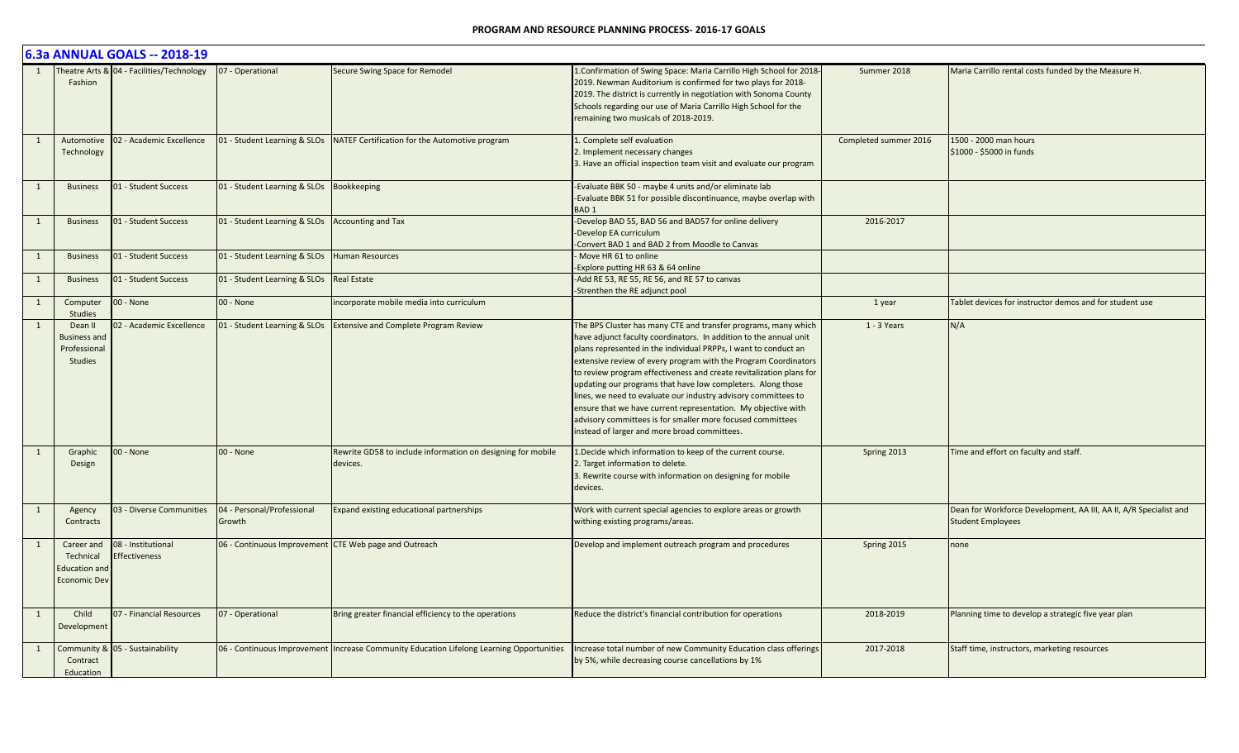|              |                                                                        | 6.3a ANNUAL GOALS -- 2018-19               |                                                       |                                                                                            |                                                                                                                                                                                                                                                                                                                                                                                                                                                                                                                                                                                                                                                                  |                       |                                                                                               |
|--------------|------------------------------------------------------------------------|--------------------------------------------|-------------------------------------------------------|--------------------------------------------------------------------------------------------|------------------------------------------------------------------------------------------------------------------------------------------------------------------------------------------------------------------------------------------------------------------------------------------------------------------------------------------------------------------------------------------------------------------------------------------------------------------------------------------------------------------------------------------------------------------------------------------------------------------------------------------------------------------|-----------------------|-----------------------------------------------------------------------------------------------|
|              | Fashion                                                                | Theatre Arts & 04 - Facilities/Technology  | 07 - Operational                                      | Secure Swing Space for Remodel                                                             | 1. Confirmation of Swing Space: Maria Carrillo High School for 2018-<br>2019. Newman Auditorium is confirmed for two plays for 2018-<br>2019. The district is currently in negotiation with Sonoma County<br>Schools regarding our use of Maria Carrillo High School for the<br>remaining two musicals of 2018-2019.                                                                                                                                                                                                                                                                                                                                             | Summer 2018           | Maria Carrillo rental costs funded by the Measure H.                                          |
| 1            | Automotive<br>Technology                                               | 02 - Academic Excellence                   | 01 - Student Learning & SLOs                          | NATEF Certification for the Automotive program                                             | 1. Complete self evaluation<br>2. Implement necessary changes<br>3. Have an official inspection team visit and evaluate our program                                                                                                                                                                                                                                                                                                                                                                                                                                                                                                                              | Completed summer 2016 | 1500 - 2000 man hours<br>\$1000 - \$5000 in funds                                             |
| 1            | <b>Business</b>                                                        | 01 - Student Success                       | 01 - Student Learning & SLOs                          | Bookkeeping                                                                                | Evaluate BBK 50 - maybe 4 units and/or eliminate lab<br>-Evaluate BBK 51 for possible discontinuance, maybe overlap with<br><b>BAD1</b>                                                                                                                                                                                                                                                                                                                                                                                                                                                                                                                          |                       |                                                                                               |
| 1            | <b>Business</b>                                                        | 01 - Student Success                       | 01 - Student Learning & SLOs                          | <b>Accounting and Tax</b>                                                                  | Develop BAD 55, BAD 56 and BAD57 for online delivery<br>-Develop EA curriculum<br>-Convert BAD 1 and BAD 2 from Moodle to Canvas                                                                                                                                                                                                                                                                                                                                                                                                                                                                                                                                 | 2016-2017             |                                                                                               |
| 1            | <b>Business</b>                                                        | 01 - Student Success                       | 01 - Student Learning & SLOs                          | <b>Human Resources</b>                                                                     | Move HR 61 to online<br>Explore putting HR 63 & 64 online                                                                                                                                                                                                                                                                                                                                                                                                                                                                                                                                                                                                        |                       |                                                                                               |
| 1            | <b>Business</b>                                                        | 01 - Student Success                       | 01 - Student Learning & SLOs                          | <b>Real Estate</b>                                                                         | -Add RE 53, RE 55, RE 56, and RE 57 to canvas<br>-Strenthen the RE adjunct pool                                                                                                                                                                                                                                                                                                                                                                                                                                                                                                                                                                                  |                       |                                                                                               |
| $\mathbf{1}$ | Computer<br><b>Studies</b>                                             | 00 - None                                  | 00 - None                                             | incorporate mobile media into curriculum                                                   |                                                                                                                                                                                                                                                                                                                                                                                                                                                                                                                                                                                                                                                                  | 1 year                | Tablet devices for instructor demos and for student use                                       |
| $\mathbf{1}$ | Dean II<br><b>Business and</b><br>Professional<br>Studies              | 02 - Academic Excellence                   | 01 - Student Learning & SLOs                          | <b>Extensive and Complete Program Review</b>                                               | The BPS Cluster has many CTE and transfer programs, many which<br>have adjunct faculty coordinators. In addition to the annual unit<br>plans represented in the individual PRPPs, I want to conduct an<br>extensive review of every program with the Program Coordinators<br>to review program effectiveness and create revitalization plans for<br>updating our programs that have low completers. Along those<br>lines, we need to evaluate our industry advisory committees to<br>ensure that we have current representation. My objective with<br>advisory committees is for smaller more focused committees<br>instead of larger and more broad committees. | 1 - 3 Years           | N/A                                                                                           |
| 1            | Graphic<br>Design                                                      | 00 - None                                  | 00 - None                                             | Rewrite GD58 to include information on designing for mobile<br>devices.                    | 1. Decide which information to keep of the current course.<br>2. Target information to delete.<br>3. Rewrite course with information on designing for mobile<br>devices.                                                                                                                                                                                                                                                                                                                                                                                                                                                                                         | Spring 2013           | Time and effort on faculty and staff.                                                         |
| 1            | Agency<br>Contracts                                                    | 03 - Diverse Communities                   | 04 - Personal/Professional<br>Growth                  | Expand existing educational partnerships                                                   | Work with current special agencies to explore areas or growth<br>withing existing programs/areas.                                                                                                                                                                                                                                                                                                                                                                                                                                                                                                                                                                |                       | Dean for Workforce Development, AA III, AA II, A/R Specialist and<br><b>Student Employees</b> |
| 1            | Career and<br>Technical<br><b>Education and</b><br><b>Economic Dev</b> | 08 - Institutional<br><b>Effectiveness</b> | 06 - Continuous Improvement CTE Web page and Outreach |                                                                                            | Develop and implement outreach program and procedures                                                                                                                                                                                                                                                                                                                                                                                                                                                                                                                                                                                                            | Spring 2015           | none                                                                                          |
| 1            | Child<br>Development                                                   | 07 - Financial Resources                   | 07 - Operational                                      | Bring greater financial efficiency to the operations                                       | Reduce the district's financial contribution for operations                                                                                                                                                                                                                                                                                                                                                                                                                                                                                                                                                                                                      | 2018-2019             | Planning time to develop a strategic five year plan                                           |
| 1            | Contract<br>Education                                                  | Community & 05 - Sustainability            |                                                       | 06 - Continuous Improvement   Increase Community Education Lifelong Learning Opportunities | Increase total number of new Community Education class offerings<br>by 5%, while decreasing course cancellations by 1%                                                                                                                                                                                                                                                                                                                                                                                                                                                                                                                                           | 2017-2018             | Staff time, instructors, marketing resources                                                  |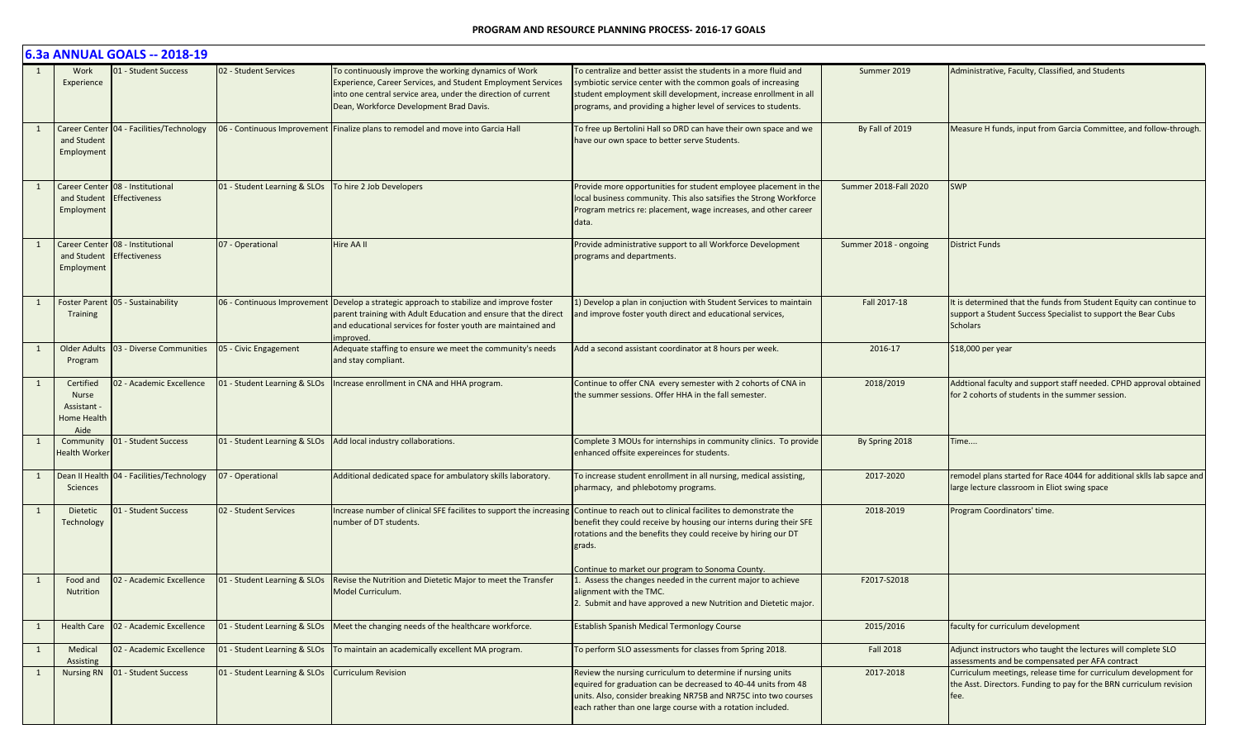|              |                                                                 | 6.3a ANNUAL GOALS -- 2018-19                                  |                              |                                                                                                                                                                                                                                          |                                                                                                                                                                                                                                                                         |                       |                                                                                                                                                         |
|--------------|-----------------------------------------------------------------|---------------------------------------------------------------|------------------------------|------------------------------------------------------------------------------------------------------------------------------------------------------------------------------------------------------------------------------------------|-------------------------------------------------------------------------------------------------------------------------------------------------------------------------------------------------------------------------------------------------------------------------|-----------------------|---------------------------------------------------------------------------------------------------------------------------------------------------------|
|              | Work<br>Experience                                              | 01 - Student Success                                          | 02 - Student Services        | To continuously improve the working dynamics of Work<br>Experience, Career Services, and Student Employment Services<br>into one central service area, under the direction of current<br>Dean, Workforce Development Brad Davis.         | To centralize and better assist the students in a more fluid and<br>symbiotic service center with the common goals of increasing<br>student employment skill development, increase enrollment in all<br>programs, and providing a higher level of services to students. | Summer 2019           | Administrative, Faculty, Classified, and Students                                                                                                       |
|              | and Student<br>Employment                                       | Career Center   04 - Facilities/Technology                    |                              | 06 - Continuous Improvement Finalize plans to remodel and move into Garcia Hall                                                                                                                                                          | To free up Bertolini Hall so DRD can have their own space and we<br>have our own space to better serve Students.                                                                                                                                                        | By Fall of 2019       | Measure H funds, input from Garcia Committee, and follow-through.                                                                                       |
|              | Employment                                                      | Career Center 08 - Institutional<br>and Student Effectiveness | 01 - Student Learning & SLOs | To hire 2 Job Developers                                                                                                                                                                                                                 | Provide more opportunities for student employee placement in the<br>local business community. This also satsifies the Strong Workforce<br>Program metrics re: placement, wage increases, and other career<br>data.                                                      | Summer 2018-Fall 2020 | <b>SWP</b>                                                                                                                                              |
|              | Employment                                                      | Career Center 08 - Institutional<br>and Student Effectiveness | 07 - Operational             | Hire AA II                                                                                                                                                                                                                               | Provide administrative support to all Workforce Development<br>programs and departments.                                                                                                                                                                                | Summer 2018 - ongoing | <b>District Funds</b>                                                                                                                                   |
|              | Training                                                        | Foster Parent 05 - Sustainability                             |                              | 06 - Continuous Improvement Develop a strategic approach to stabilize and improve foster<br>parent training with Adult Education and ensure that the direct<br>and educational services for foster youth are maintained and<br>improved. | 1) Develop a plan in conjuction with Student Services to maintain<br>and improve foster youth direct and educational services,                                                                                                                                          | Fall 2017-18          | It is determined that the funds from Student Equity can continue to<br>support a Student Success Specialist to support the Bear Cubs<br><b>Scholars</b> |
| 1            | <b>Older Adults</b><br>Program                                  | 03 - Diverse Communities                                      | 05 - Civic Engagement        | Adequate staffing to ensure we meet the community's needs<br>and stay compliant.                                                                                                                                                         | Add a second assistant coordinator at 8 hours per week.                                                                                                                                                                                                                 | 2016-17               | \$18,000 per year                                                                                                                                       |
| 1            | Certified<br><b>Nurse</b><br>Assistant -<br>Home Health<br>Aide | 02 - Academic Excellence                                      | 01 - Student Learning & SLOs | Increase enrollment in CNA and HHA program.                                                                                                                                                                                              | Continue to offer CNA every semester with 2 cohorts of CNA in<br>the summer sessions. Offer HHA in the fall semester.                                                                                                                                                   | 2018/2019             | Addtional faculty and support staff needed. CPHD approval obtained<br>for 2 cohorts of students in the summer session.                                  |
| 1            | Community<br><b>Health Worker</b>                               | 01 - Student Success                                          | 01 - Student Learning & SLOs | Add local industry collaborations.                                                                                                                                                                                                       | Complete 3 MOUs for internships in community clinics. To provide<br>enhanced offsite expereinces for students.                                                                                                                                                          | By Spring 2018        | Time                                                                                                                                                    |
| 1            | Sciences                                                        | Dean II Health 04 - Facilities/Technology                     | 07 - Operational             | Additional dedicated space for ambulatory skills laboratory.                                                                                                                                                                             | To increase student enrollment in all nursing, medical assisting,<br>pharmacy, and phlebotomy programs.                                                                                                                                                                 | 2017-2020             | remodel plans started for Race 4044 for additional sklls lab sapce and<br>large lecture classroom in Eliot swing space                                  |
| 1            | Dietetic<br>Technology                                          | 01 - Student Success                                          | 02 - Student Services        | Increase number of clinical SFE facilites to support the increasing<br>number of DT students.                                                                                                                                            | Continue to reach out to clinical facilites to demonstrate the<br>benefit they could receive by housing our interns during their SFE<br>rotations and the benefits they could receive by hiring our DT<br>grads.<br>Continue to market our program to Sonoma County.    | 2018-2019             | Program Coordinators' time.                                                                                                                             |
|              | Food and<br>Nutrition                                           | 02 - Academic Excellence                                      | 01 - Student Learning & SLOs | Revise the Nutrition and Dietetic Major to meet the Transfer<br>Model Curriculum.                                                                                                                                                        | 1. Assess the changes needed in the current major to achieve<br>alignment with the TMC.<br>2. Submit and have approved a new Nutrition and Dietetic major.                                                                                                              | F2017-S2018           |                                                                                                                                                         |
| 1            |                                                                 | Health Care   02 - Academic Excellence                        | 01 - Student Learning & SLOs | Meet the changing needs of the healthcare workforce.                                                                                                                                                                                     | <b>Establish Spanish Medical Termonlogy Course</b>                                                                                                                                                                                                                      | 2015/2016             | faculty for curriculum development                                                                                                                      |
| 1            | Medical<br>Assisting                                            | 02 - Academic Excellence                                      | 01 - Student Learning & SLOs | To maintain an academically excellent MA program.                                                                                                                                                                                        | To perform SLO assessments for classes from Spring 2018.                                                                                                                                                                                                                | <b>Fall 2018</b>      | Adjunct instructors who taught the lectures will complete SLO<br>assessments and be compensated per AFA contract                                        |
| <sup>1</sup> |                                                                 | Nursing RN   01 - Student Success                             | 01 - Student Learning & SLOs | <b>Curriculum Revision</b>                                                                                                                                                                                                               | Review the nursing curriculum to determine if nursing units<br>equired for graduation can be decreased to 40-44 units from 48<br>units. Also, consider breaking NR75B and NR75C into two courses<br>each rather than one large course with a rotation included.         | 2017-2018             | Curriculum meetings, release time for curriculum development for<br>the Asst. Directors. Funding to pay for the BRN curriculum revision<br>fee.         |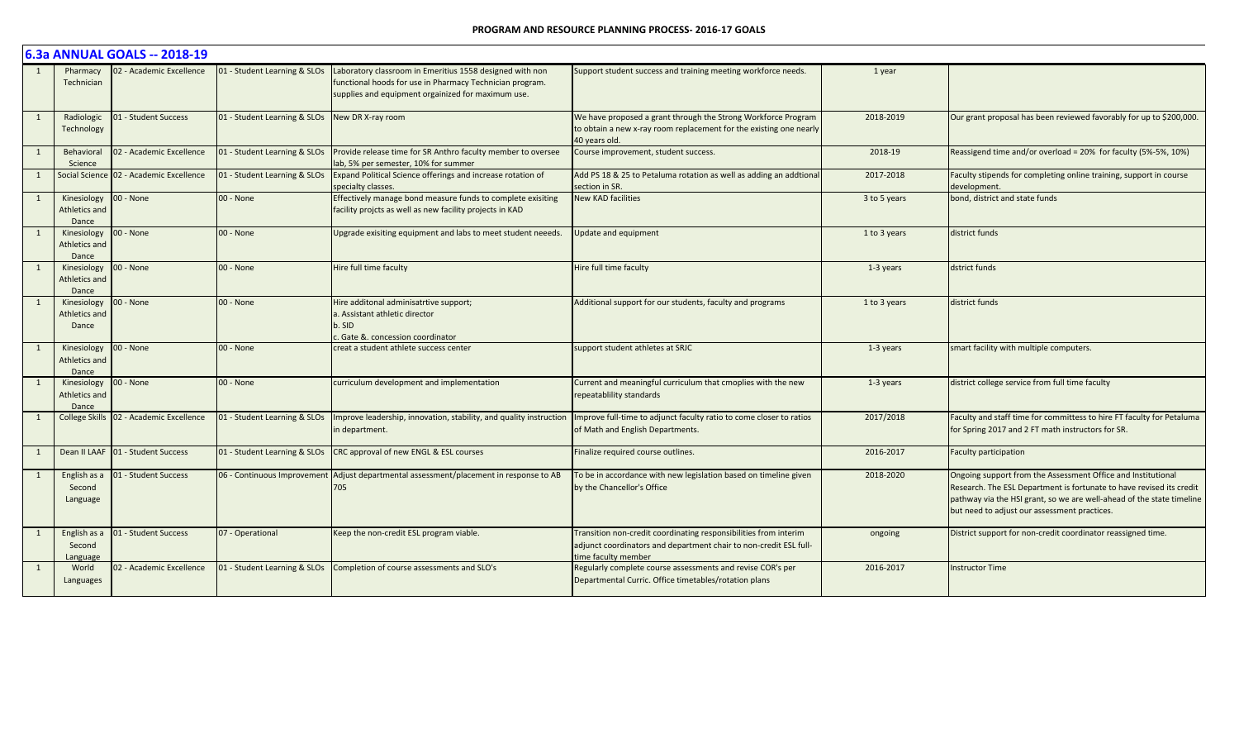|   | 6.3a ANNUAL GOALS -- 2018-19          |                                           |                              |                                                                                                                                                                            |                                                                                                                                                              |              |                                                                                                                                                                                                                                                               |  |  |  |
|---|---------------------------------------|-------------------------------------------|------------------------------|----------------------------------------------------------------------------------------------------------------------------------------------------------------------------|--------------------------------------------------------------------------------------------------------------------------------------------------------------|--------------|---------------------------------------------------------------------------------------------------------------------------------------------------------------------------------------------------------------------------------------------------------------|--|--|--|
|   | Pharmacy<br>Technician                | 02 - Academic Excellence                  | 01 - Student Learning & SLOs | Laboratory classroom in Emeritius 1558 designed with non<br>functional hoods for use in Pharmacy Technician program.<br>supplies and equipment orgainized for maximum use. | Support student success and training meeting workforce needs.                                                                                                | 1 year       |                                                                                                                                                                                                                                                               |  |  |  |
| 1 | Radiologic<br>Technology              | 01 - Student Success                      | 01 - Student Learning & SLOs | New DR X-ray room                                                                                                                                                          | We have proposed a grant through the Strong Workforce Program<br>to obtain a new x-ray room replacement for the existing one nearly<br>40 vears old.         | 2018-2019    | Our grant proposal has been reviewed favorably for up to \$200,000.                                                                                                                                                                                           |  |  |  |
| 1 | Behaviora<br>Science                  | 02 - Academic Excellence                  | 01 - Student Learning & SLOs | Provide release time for SR Anthro faculty member to oversee<br>lab. 5% per semester. 10% for summer                                                                       | Course improvement, student success.                                                                                                                         | 2018-19      | Reassigend time and/or overload = 20% for faculty (5%-5%, 10%)                                                                                                                                                                                                |  |  |  |
|   |                                       | Social Science 02 - Academic Excellence   | 01 - Student Learning & SLOs | Expand Political Science offerings and increase rotation of<br>specialty classes.                                                                                          | Add PS 18 & 25 to Petaluma rotation as well as adding an addtional<br>section in SR.                                                                         | 2017-2018    | Faculty stipends for completing online training, support in course<br>development.                                                                                                                                                                            |  |  |  |
| 1 | Kinesiology<br>Athletics and<br>Dance | 00 - None                                 | 00 - None                    | Effectively manage bond measure funds to complete exisiting<br>facility projcts as well as new facility projects in KAD                                                    | <b>New KAD facilities</b>                                                                                                                                    | 3 to 5 years | bond, district and state funds                                                                                                                                                                                                                                |  |  |  |
| 1 | Kinesiology<br>Athletics and<br>Dance | 00 - None                                 | 00 - None                    | Upgrade exisiting equipment and labs to meet student neeeds.                                                                                                               | <b>Jpdate and equipment</b>                                                                                                                                  | 1 to 3 years | district funds                                                                                                                                                                                                                                                |  |  |  |
| 1 | Kinesiology<br>Athletics and<br>Dance | 00 - None                                 | 00 - None                    | Hire full time faculty                                                                                                                                                     | Hire full time faculty                                                                                                                                       | 1-3 years    | dstrict funds                                                                                                                                                                                                                                                 |  |  |  |
| 1 | Kinesiology<br>Athletics and<br>Dance | 00 - None                                 | 00 - None                    | Hire additonal adminisatrtive support;<br>a. Assistant athletic director<br>b. SID<br>Gate &. concession coordinator                                                       | Additional support for our students, faculty and programs                                                                                                    | 1 to 3 years | district funds                                                                                                                                                                                                                                                |  |  |  |
| 1 | Kinesiology<br>Athletics and<br>Dance | 00 - None                                 | 00 - None                    | creat a student athlete success center                                                                                                                                     | support student athletes at SRJC                                                                                                                             | 1-3 years    | smart facility with multiple computers.                                                                                                                                                                                                                       |  |  |  |
| 1 | Kinesiology<br>Athletics and<br>Dance | 00 - None                                 | 00 - None                    | curriculum development and implementation                                                                                                                                  | Current and meaningful curriculum that cmoplies with the new<br>repeatablility standards                                                                     | 1-3 years    | district college service from full time faculty                                                                                                                                                                                                               |  |  |  |
| 1 |                                       | College Skills   02 - Academic Excellence | 01 - Student Learning & SLOs | Improve leadership, innovation, stability, and quality instruction<br>in department.                                                                                       | Improve full-time to adjunct faculty ratio to come closer to ratios<br>of Math and English Departments.                                                      | 2017/2018    | Faculty and staff time for committess to hire FT faculty for Petaluma<br>for Spring 2017 and 2 FT math instructors for SR.                                                                                                                                    |  |  |  |
| 1 |                                       | Dean II LAAF 01 - Student Success         | 01 - Student Learning & SLOs | CRC approval of new ENGL & ESL courses                                                                                                                                     | Finalize required course outlines.                                                                                                                           | 2016-2017    | <b>Faculty participation</b>                                                                                                                                                                                                                                  |  |  |  |
| 1 | English as a<br>Second<br>Language    | 01 - Student Success                      |                              | 06 - Continuous Improvement Adjust departmental assessment/placement in response to AB<br>705                                                                              | To be in accordance with new legislation based on timeline given<br>by the Chancellor's Office                                                               | 2018-2020    | Ongoing support from the Assessment Office and Institutional<br>Research. The ESL Department is fortunate to have revised its credit<br>pathway via the HSI grant, so we are well-ahead of the state timeline<br>but need to adjust our assessment practices. |  |  |  |
| 1 | English as a<br>Second<br>Language    | 01 - Student Success                      | 07 - Operational             | Keep the non-credit ESL program viable.                                                                                                                                    | Transition non-credit coordinating responsibilities from interim<br>adjunct coordinators and department chair to non-credit ESL full-<br>time faculty member | ongoing      | District support for non-credit coordinator reassigned time.                                                                                                                                                                                                  |  |  |  |
|   | World<br>Languages                    | 02 - Academic Excellence                  | 01 - Student Learning & SLOs | Completion of course assessments and SLO's                                                                                                                                 | Regularly complete course assessments and revise COR's per<br>Departmental Curric. Office timetables/rotation plans                                          | 2016-2017    | <b>Instructor Time</b>                                                                                                                                                                                                                                        |  |  |  |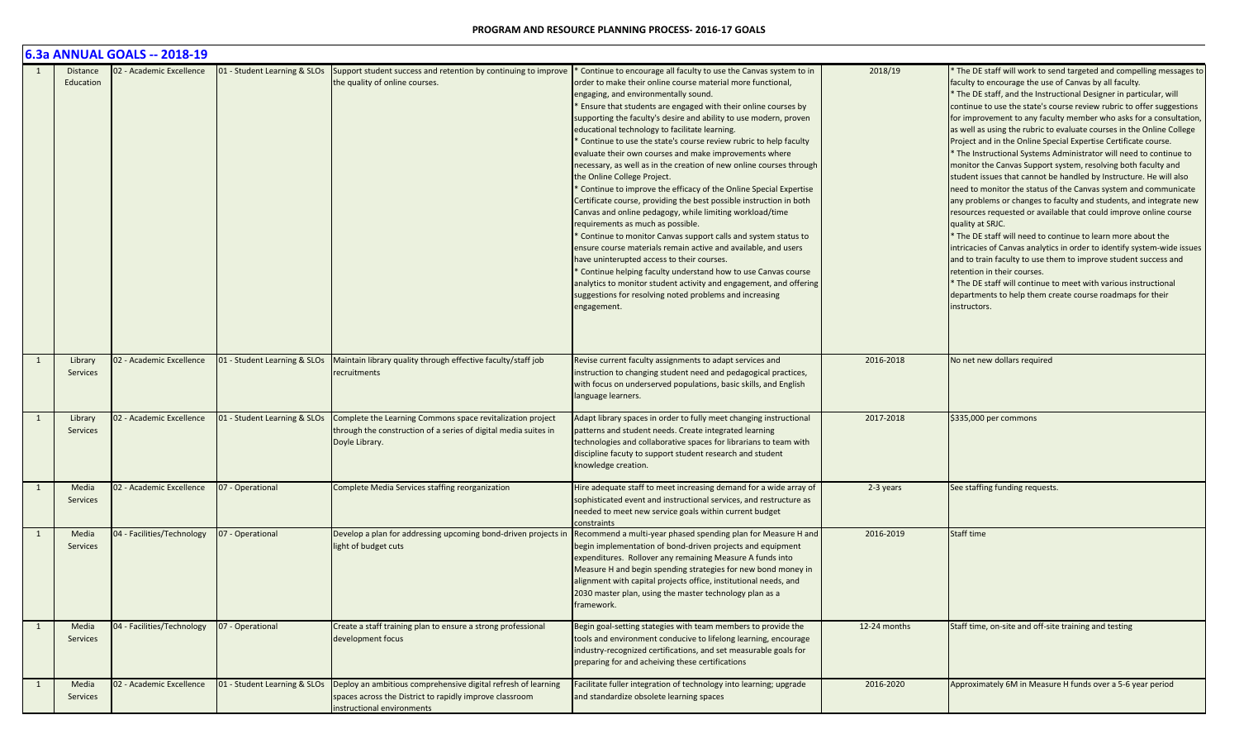|   |                          | 6.3a ANNUAL GOALS -- 2018-19 |                              |                                                                                                                                                        |                                                                                                                                                                                                                                                                                                                                                                                                                                                                                                                                                                                                                                                                                                                                                                                                                                                                                                                                                                                                                                                                                                                                                                                                                                                                     |              |                                                                                                                                                                                                                                                                                                                                                                                                                                                                                                                                                                                                                                                                                                                                                                                                                                                                                                                                                                                                                                                                                                                                                                                                                                                                                                                                         |
|---|--------------------------|------------------------------|------------------------------|--------------------------------------------------------------------------------------------------------------------------------------------------------|---------------------------------------------------------------------------------------------------------------------------------------------------------------------------------------------------------------------------------------------------------------------------------------------------------------------------------------------------------------------------------------------------------------------------------------------------------------------------------------------------------------------------------------------------------------------------------------------------------------------------------------------------------------------------------------------------------------------------------------------------------------------------------------------------------------------------------------------------------------------------------------------------------------------------------------------------------------------------------------------------------------------------------------------------------------------------------------------------------------------------------------------------------------------------------------------------------------------------------------------------------------------|--------------|-----------------------------------------------------------------------------------------------------------------------------------------------------------------------------------------------------------------------------------------------------------------------------------------------------------------------------------------------------------------------------------------------------------------------------------------------------------------------------------------------------------------------------------------------------------------------------------------------------------------------------------------------------------------------------------------------------------------------------------------------------------------------------------------------------------------------------------------------------------------------------------------------------------------------------------------------------------------------------------------------------------------------------------------------------------------------------------------------------------------------------------------------------------------------------------------------------------------------------------------------------------------------------------------------------------------------------------------|
|   | Distance<br>Education    | 02 - Academic Excellence     | 01 - Student Learning & SLOs | Support student success and retention by continuing to improve<br>the quality of online courses.                                                       | * Continue to encourage all faculty to use the Canvas system to in<br>order to make their online course material more functional,<br>engaging, and environmentally sound.<br>* Ensure that students are engaged with their online courses by<br>supporting the faculty's desire and ability to use modern, proven<br>educational technology to facilitate learning.<br>Continue to use the state's course review rubric to help faculty<br>evaluate their own courses and make improvements where<br>necessary, as well as in the creation of new online courses through<br>the Online College Project.<br>* Continue to improve the efficacy of the Online Special Expertise<br>Certificate course, providing the best possible instruction in both<br>Canvas and online pedagogy, while limiting workload/time<br>requirements as much as possible.<br><sup>*</sup> Continue to monitor Canvas support calls and system status to<br>ensure course materials remain active and available, and users<br>have uninterupted access to their courses.<br>Continue helping faculty understand how to use Canvas course<br>analytics to monitor student activity and engagement, and offering<br>suggestions for resolving noted problems and increasing<br>engagement. | 2018/19      | The DE staff will work to send targeted and compelling messages to<br>faculty to encourage the use of Canvas by all faculty.<br>* The DE staff, and the Instructional Designer in particular, will<br>continue to use the state's course review rubric to offer suggestions<br>for improvement to any faculty member who asks for a consultation,<br>as well as using the rubric to evaluate courses in the Online College<br>Project and in the Online Special Expertise Certificate course.<br>The Instructional Systems Administrator will need to continue to<br>monitor the Canvas Support system, resolving both faculty and<br>student issues that cannot be handled by Instructure. He will also<br>need to monitor the status of the Canvas system and communicate<br>any problems or changes to faculty and students, and integrate new<br>resources requested or available that could improve online course<br>quality at SRJC.<br>* The DE staff will need to continue to learn more about the<br>intricacies of Canvas analytics in order to identify system-wide issues<br>and to train faculty to use them to improve student success and<br>retention in their courses.<br>* The DE staff will continue to meet with various instructional<br>departments to help them create course roadmaps for their<br>instructors. |
|   | Library<br>Services      | 02 - Academic Excellence     | 01 - Student Learning & SLOs | Maintain library quality through effective faculty/staff job<br>recruitments                                                                           | Revise current faculty assignments to adapt services and<br>instruction to changing student need and pedagogical practices,<br>with focus on underserved populations, basic skills, and English<br>language learners.                                                                                                                                                                                                                                                                                                                                                                                                                                                                                                                                                                                                                                                                                                                                                                                                                                                                                                                                                                                                                                               | 2016-2018    | No net new dollars required                                                                                                                                                                                                                                                                                                                                                                                                                                                                                                                                                                                                                                                                                                                                                                                                                                                                                                                                                                                                                                                                                                                                                                                                                                                                                                             |
|   | Library<br>Services      | 02 - Academic Excellence     | 01 - Student Learning & SLOs | Complete the Learning Commons space revitalization project<br>through the construction of a series of digital media suites in<br>Doyle Library.        | Adapt library spaces in order to fully meet changing instructional<br>patterns and student needs. Create integrated learning<br>technologies and collaborative spaces for librarians to team with<br>discipline facuty to support student research and student<br>knowledge creation.                                                                                                                                                                                                                                                                                                                                                                                                                                                                                                                                                                                                                                                                                                                                                                                                                                                                                                                                                                               | 2017-2018    | \$335,000 per commons                                                                                                                                                                                                                                                                                                                                                                                                                                                                                                                                                                                                                                                                                                                                                                                                                                                                                                                                                                                                                                                                                                                                                                                                                                                                                                                   |
|   | Media<br>Services        | 02 - Academic Excellence     | 07 - Operational             | Complete Media Services staffing reorganization                                                                                                        | Hire adequate staff to meet increasing demand for a wide array of<br>sophisticated event and instructional services, and restructure as<br>needed to meet new service goals within current budget<br>constraints                                                                                                                                                                                                                                                                                                                                                                                                                                                                                                                                                                                                                                                                                                                                                                                                                                                                                                                                                                                                                                                    | 2-3 years    | See staffing funding requests.                                                                                                                                                                                                                                                                                                                                                                                                                                                                                                                                                                                                                                                                                                                                                                                                                                                                                                                                                                                                                                                                                                                                                                                                                                                                                                          |
|   | Media<br><b>Services</b> | 04 - Facilities/Technology   | 07 - Operational             | Develop a plan for addressing upcoming bond-driven projects in<br>light of budget cuts                                                                 | Recommend a multi-year phased spending plan for Measure H and<br>begin implementation of bond-driven projects and equipment<br>expenditures. Rollover any remaining Measure A funds into<br>Measure H and begin spending strategies for new bond money in<br>alignment with capital projects office, institutional needs, and<br>2030 master plan, using the master technology plan as a<br>framework.                                                                                                                                                                                                                                                                                                                                                                                                                                                                                                                                                                                                                                                                                                                                                                                                                                                              | 2016-2019    | <b>Staff time</b>                                                                                                                                                                                                                                                                                                                                                                                                                                                                                                                                                                                                                                                                                                                                                                                                                                                                                                                                                                                                                                                                                                                                                                                                                                                                                                                       |
| 1 | Media<br>Services        | 04 - Facilities/Technology   | 07 - Operational             | Create a staff training plan to ensure a strong professional<br>development focus                                                                      | Begin goal-setting stategies with team members to provide the<br>tools and environment conducive to lifelong learning, encourage<br>industry-recognized certifications, and set measurable goals for<br>preparing for and acheiving these certifications                                                                                                                                                                                                                                                                                                                                                                                                                                                                                                                                                                                                                                                                                                                                                                                                                                                                                                                                                                                                            | 12-24 months | Staff time, on-site and off-site training and testing                                                                                                                                                                                                                                                                                                                                                                                                                                                                                                                                                                                                                                                                                                                                                                                                                                                                                                                                                                                                                                                                                                                                                                                                                                                                                   |
|   | Media<br>Services        | 02 - Academic Excellence     | 01 - Student Learning & SLOs | Deploy an ambitious comprehensive digital refresh of learning<br>spaces across the District to rapidly improve classroom<br>instructional environments | Facilitate fuller integration of technology into learning; upgrade<br>and standardize obsolete learning spaces                                                                                                                                                                                                                                                                                                                                                                                                                                                                                                                                                                                                                                                                                                                                                                                                                                                                                                                                                                                                                                                                                                                                                      | 2016-2020    | Approximately 6M in Measure H funds over a 5-6 year period                                                                                                                                                                                                                                                                                                                                                                                                                                                                                                                                                                                                                                                                                                                                                                                                                                                                                                                                                                                                                                                                                                                                                                                                                                                                              |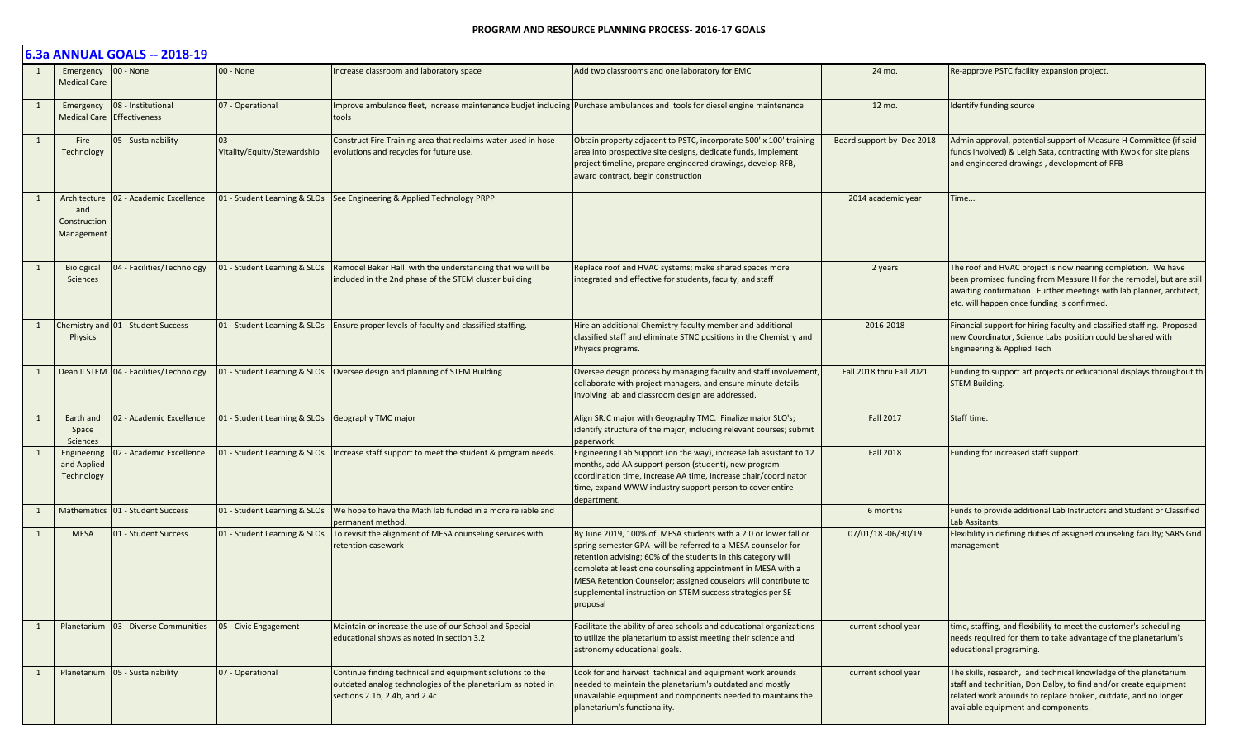|    | 6.3a ANNUAL GOALS -- 2018-19                      |                                                  |                                       |                                                                                                                                                           |                                                                                                                                                                                                                                                                                                                                                                                                              |                           |                                                                                                                                                                                                                                                            |  |  |  |
|----|---------------------------------------------------|--------------------------------------------------|---------------------------------------|-----------------------------------------------------------------------------------------------------------------------------------------------------------|--------------------------------------------------------------------------------------------------------------------------------------------------------------------------------------------------------------------------------------------------------------------------------------------------------------------------------------------------------------------------------------------------------------|---------------------------|------------------------------------------------------------------------------------------------------------------------------------------------------------------------------------------------------------------------------------------------------------|--|--|--|
|    | Emergency 00 - None<br><b>Medical Care</b>        |                                                  | 00 - None                             | Increase classroom and laboratory space                                                                                                                   | Add two classrooms and one laboratory for EMC                                                                                                                                                                                                                                                                                                                                                                | 24 mo.                    | Re-approve PSTC facility expansion project.                                                                                                                                                                                                                |  |  |  |
| 1  | Emergency                                         | 08 - Institutional<br>Medical Care Effectiveness | 07 - Operational                      | Improve ambulance fleet, increase maintenance budjet including Purchase ambulances and tools for diesel engine maintenance<br>tools                       |                                                                                                                                                                                                                                                                                                                                                                                                              | 12 mo.                    | Identify funding source                                                                                                                                                                                                                                    |  |  |  |
| 1  | Fire<br>Technology                                | 05 - Sustainability                              | $03 -$<br>Vitality/Equity/Stewardship | Construct Fire Training area that reclaims water used in hose<br>evolutions and recycles for future use.                                                  | Obtain property adjacent to PSTC, incorporate 500' x 100' training<br>area into prospective site designs, dedicate funds, implement<br>project timeline, prepare engineered drawings, develop RFB,<br>award contract, begin construction                                                                                                                                                                     | Board support by Dec 2018 | Admin approval, potential support of Measure H Committee (if said<br>funds involved) & Leigh Sata, contracting with Kwok for site plans<br>and engineered drawings, development of RFB                                                                     |  |  |  |
|    | Architecture<br>and<br>Construction<br>Management | 02 - Academic Excellence                         | 01 - Student Learning & SLOs          | See Engineering & Applied Technology PRPP                                                                                                                 |                                                                                                                                                                                                                                                                                                                                                                                                              | 2014 academic year        | Time                                                                                                                                                                                                                                                       |  |  |  |
| 1  | Biological<br>Sciences                            | 04 - Facilities/Technology                       | 01 - Student Learning & SLOs          | Remodel Baker Hall with the understanding that we will be<br>included in the 2nd phase of the STEM cluster building                                       | Replace roof and HVAC systems; make shared spaces more<br>integrated and effective for students, faculty, and staff                                                                                                                                                                                                                                                                                          | 2 years                   | The roof and HVAC project is now nearing completion. We have<br>been promised funding from Measure H for the remodel, but are still<br>awaiting confirmation. Further meetings with lab planner, architect,<br>etc. will happen once funding is confirmed. |  |  |  |
| -1 | Physics                                           | Chemistry and 01 - Student Success               | 01 - Student Learning & SLOs          | Ensure proper levels of faculty and classified staffing.                                                                                                  | Hire an additional Chemistry faculty member and additional<br>classified staff and eliminate STNC positions in the Chemistry and<br>Physics programs.                                                                                                                                                                                                                                                        | 2016-2018                 | Financial support for hiring faculty and classified staffing. Proposed<br>new Coordinator, Science Labs position could be shared with<br>Engineering & Applied Tech                                                                                        |  |  |  |
| 1  |                                                   | Dean II STEM 04 - Facilities/Technology          |                                       | 01 - Student Learning & SLOs   Oversee design and planning of STEM Building                                                                               | Oversee design process by managing faculty and staff involvement<br>collaborate with project managers, and ensure minute details<br>involving lab and classroom design are addressed.                                                                                                                                                                                                                        | Fall 2018 thru Fall 2021  | Funding to support art projects or educational displays throughout th<br><b>STEM Building.</b>                                                                                                                                                             |  |  |  |
|    | Earth and<br>Space<br><b>Sciences</b>             | 02 - Academic Excellence                         | 01 - Student Learning & SLOs          | Geography TMC major                                                                                                                                       | Align SRJC major with Geography TMC. Finalize major SLO's;<br>identify structure of the major, including relevant courses; submit<br>paperwork.                                                                                                                                                                                                                                                              | <b>Fall 2017</b>          | Staff time.                                                                                                                                                                                                                                                |  |  |  |
|    | Engineering<br>and Applied<br>Technology          | 02 - Academic Excellence                         |                                       | 01 - Student Learning & SLOs   Increase staff support to meet the student & program needs.                                                                | Engineering Lab Support (on the way), increase lab assistant to 12<br>months, add AA support person (student), new program<br>coordination time, Increase AA time, Increase chair/coordinator<br>time, expand WWW industry support person to cover entire<br>department.                                                                                                                                     | <b>Fall 2018</b>          | Funding for increased staff support.                                                                                                                                                                                                                       |  |  |  |
| 1  |                                                   | Mathematics 01 - Student Success                 | 01 - Student Learning & SLOs          | We hope to have the Math lab funded in a more reliable and<br>permanent method.                                                                           |                                                                                                                                                                                                                                                                                                                                                                                                              | 6 months                  | Funds to provide additional Lab Instructors and Student or Classified<br>Lab Assitants.                                                                                                                                                                    |  |  |  |
| 1  | <b>MESA</b>                                       | 01 - Student Success                             |                                       | 01 - Student Learning & SLOs   To revisit the alignment of MESA counseling services with<br>retention casework                                            | By June 2019, 100% of MESA students with a 2.0 or lower fall or<br>spring semester GPA will be referred to a MESA counselor for<br>retention advising; 60% of the students in this category will<br>complete at least one counseling appointment in MESA with a<br>MESA Retention Counselor; assigned couselors will contribute to<br>supplemental instruction on STEM success strategies per SE<br>proposal | 07/01/18 -06/30/19        | Flexibility in defining duties of assigned counseling faculty; SARS Grid<br>management                                                                                                                                                                     |  |  |  |
|    |                                                   | Planetarium   03 - Diverse Communities           | 05 - Civic Engagement                 | Maintain or increase the use of our School and Special<br>educational shows as noted in section 3.2                                                       | Facilitate the ability of area schools and educational organizations<br>to utilize the planetarium to assist meeting their science and<br>astronomy educational goals.                                                                                                                                                                                                                                       | current school year       | time, staffing, and flexibility to meet the customer's scheduling<br>needs required for them to take advantage of the planetarium's<br>educational programing.                                                                                             |  |  |  |
|    |                                                   | Planetarium 05 - Sustainability                  | 07 - Operational                      | Continue finding technical and equipment solutions to the<br>outdated analog technologies of the planetarium as noted in<br>sections 2.1b, 2.4b, and 2.4c | Look for and harvest technical and equipment work arounds<br>needed to maintain the planetarium's outdated and mostly<br>unavailable equipment and components needed to maintains the<br>planetarium's functionality.                                                                                                                                                                                        | current school year       | The skills, research, and technical knowledge of the planetarium<br>staff and technitian, Don Dalby, to find and/or create equipment<br>related work arounds to replace broken, outdate, and no longer<br>available equipment and components.              |  |  |  |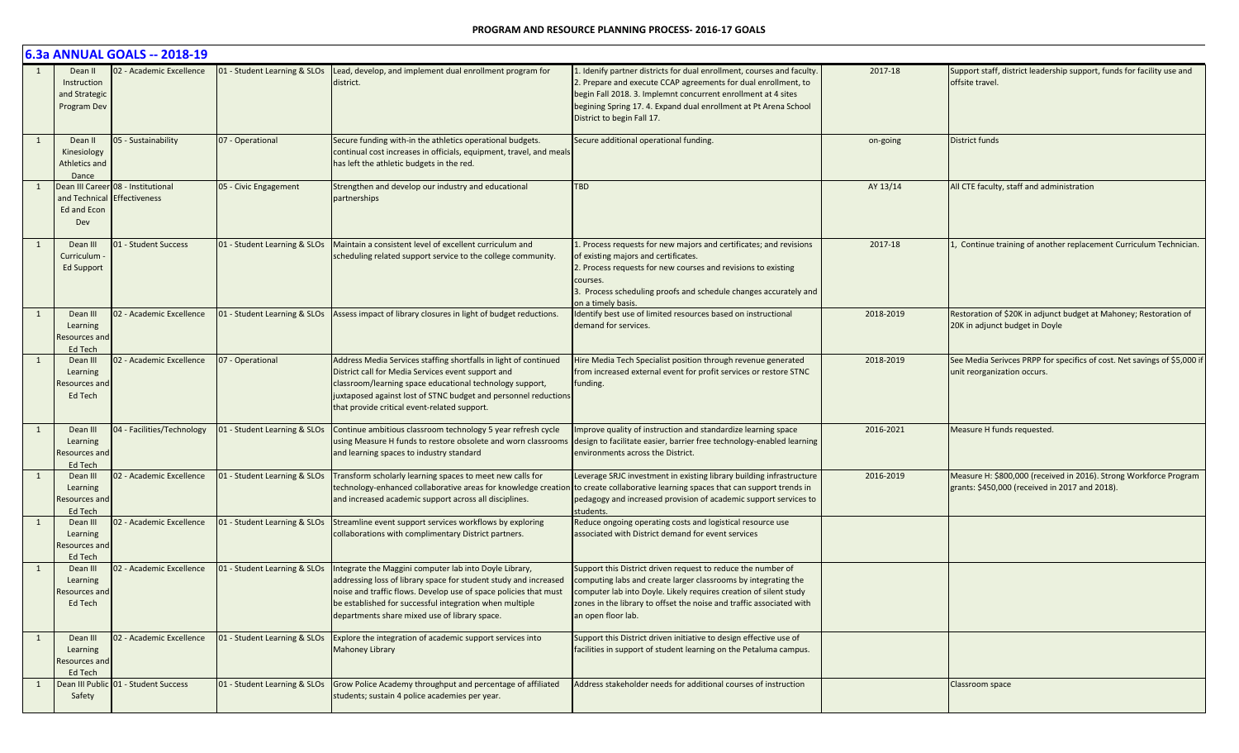|   |                                                        | 6.3a ANNUAL GOALS -- 2018-19                        |                              |                                                                                                                                                                                                                                                                                                            |                                                                                                                                                                                                                                                                                                             |           |                                                                                                                     |
|---|--------------------------------------------------------|-----------------------------------------------------|------------------------------|------------------------------------------------------------------------------------------------------------------------------------------------------------------------------------------------------------------------------------------------------------------------------------------------------------|-------------------------------------------------------------------------------------------------------------------------------------------------------------------------------------------------------------------------------------------------------------------------------------------------------------|-----------|---------------------------------------------------------------------------------------------------------------------|
|   | Dean II<br>Instruction<br>and Strategic<br>Program Dev | 02 - Academic Excellence                            | 01 - Student Learning & SLOs | Lead, develop, and implement dual enrollment program for<br>district.                                                                                                                                                                                                                                      | L. Idenify partner districts for dual enrollment, courses and faculty.<br>2. Prepare and execute CCAP agreements for dual enrollment, to<br>begin Fall 2018. 3. Implemnt concurrent enrollment at 4 sites<br>begining Spring 17. 4. Expand dual enrollment at Pt Arena School<br>District to begin Fall 17. | 2017-18   | Support staff, district leadership support, funds for facility use and<br>offsite travel.                           |
|   | Dean II<br>Kinesiology<br>Athletics and<br>Dance       | 05 - Sustainability                                 | 07 - Operational             | Secure funding with-in the athletics operational budgets.<br>continual cost increases in officials, equipment, travel, and meals<br>has left the athletic budgets in the red.                                                                                                                              | Secure additional operational funding.                                                                                                                                                                                                                                                                      | on-going  | District funds                                                                                                      |
|   | and Technical<br>Ed and Econ<br>Dev                    | Dean III Career 08 - Institutional<br>Effectiveness | 05 - Civic Engagement        | Strengthen and develop our industry and educational<br>partnerships                                                                                                                                                                                                                                        | TBD                                                                                                                                                                                                                                                                                                         | AY 13/14  | All CTE faculty, staff and administration                                                                           |
|   | Dean III<br>Curriculum<br><b>Ed Support</b>            | 01 - Student Success                                | 01 - Student Learning & SLOs | Maintain a consistent level of excellent curriculum and<br>scheduling related support service to the college community.                                                                                                                                                                                    | 1. Process requests for new majors and certificates; and revisions<br>of existing majors and certificates.<br>2. Process requests for new courses and revisions to existing<br>courses<br>3. Process scheduling proofs and schedule changes accurately and<br>on a timely basis.                            | 2017-18   | 1, Continue training of another replacement Curriculum Technician.                                                  |
|   | Dean III<br>Learning<br>Resources and<br>Ed Tech       | 02 - Academic Excellence                            | 01 - Student Learning & SLOs | Assess impact of library closures in light of budget reductions.                                                                                                                                                                                                                                           | Identify best use of limited resources based on instructional<br>demand for services.                                                                                                                                                                                                                       | 2018-2019 | Restoration of \$20K in adjunct budget at Mahoney; Restoration of<br>20K in adjunct budget in Doyle                 |
|   | Dean III<br>Learning<br>Resources and<br>Ed Tech       | 02 - Academic Excellence                            | 07 - Operational             | Address Media Services staffing shortfalls in light of continued<br>District call for Media Services event support and<br>classroom/learning space educational technology support,<br>juxtaposed against lost of STNC budget and personnel reductions<br>that provide critical event-related support.      | Hire Media Tech Specialist position through revenue generated<br>from increased external event for profit services or restore STNC<br>funding                                                                                                                                                               | 2018-2019 | See Media Serivces PRPP for specifics of cost. Net savings of \$5,000 if<br>unit reorganization occurs.             |
|   | Dean III<br>Learning<br>Resources and<br>Ed Tech       | 04 - Facilities/Technology                          | 01 - Student Learning & SLOs | Continue ambitious classroom technology 5 year refresh cycle<br>using Measure H funds to restore obsolete and worn classrooms<br>and learning spaces to industry standard                                                                                                                                  | Improve quality of instruction and standardize learning space<br>design to facilitate easier, barrier free technology-enabled learning<br>environments across the District.                                                                                                                                 | 2016-2021 | Measure H funds requested.                                                                                          |
|   | Dean III<br>Learning<br>Resources and<br>Ed Tech       | 02 - Academic Excellence                            | 01 - Student Learning & SLOs | Transform scholarly learning spaces to meet new calls for<br>technology-enhanced collaborative areas for knowledge creation<br>and increased academic support across all disciplines.                                                                                                                      | Leverage SRJC investment in existing library building infrastructure<br>to create collaborative learning spaces that can support trends in<br>pedagogy and increased provision of academic support services to<br>students.                                                                                 | 2016-2019 | Measure H: \$800,000 (received in 2016). Strong Workforce Program<br>grants: \$450,000 (received in 2017 and 2018). |
|   | Dean III<br>Learning<br>Resources and<br>Ed Tech       | 02 - Academic Excellence                            | 01 - Student Learning & SLOs | Streamline event support services workflows by exploring<br>collaborations with complimentary District partners.                                                                                                                                                                                           | Reduce ongoing operating costs and logistical resource use<br>associated with District demand for event services                                                                                                                                                                                            |           |                                                                                                                     |
|   | Dean III<br>Learning<br>Resources and<br>Ed Tech       | 02 - Academic Excellence                            | 01 - Student Learning & SLOs | Integrate the Maggini computer lab into Doyle Library,<br>addressing loss of library space for student study and increased<br>noise and traffic flows. Develop use of space policies that must<br>be established for successful integration when multiple<br>departments share mixed use of library space. | Support this District driven request to reduce the number of<br>computing labs and create larger classrooms by integrating the<br>computer lab into Doyle. Likely requires creation of silent study<br>zones in the library to offset the noise and traffic associated with<br>an open floor lab.           |           |                                                                                                                     |
| 1 | Dean III<br>Learning<br>Resources and<br>Ed Tech       | 02 - Academic Excellence                            | 01 - Student Learning & SLOs | Explore the integration of academic support services into<br><b>Mahoney Library</b>                                                                                                                                                                                                                        | Support this District driven initiative to design effective use of<br>facilities in support of student learning on the Petaluma campus.                                                                                                                                                                     |           |                                                                                                                     |
|   | Safety                                                 | Dean III Public 01 - Student Success                | 01 - Student Learning & SLOs | Grow Police Academy throughput and percentage of affiliated<br>students; sustain 4 police academies per year.                                                                                                                                                                                              | Address stakeholder needs for additional courses of instruction                                                                                                                                                                                                                                             |           | Classroom space                                                                                                     |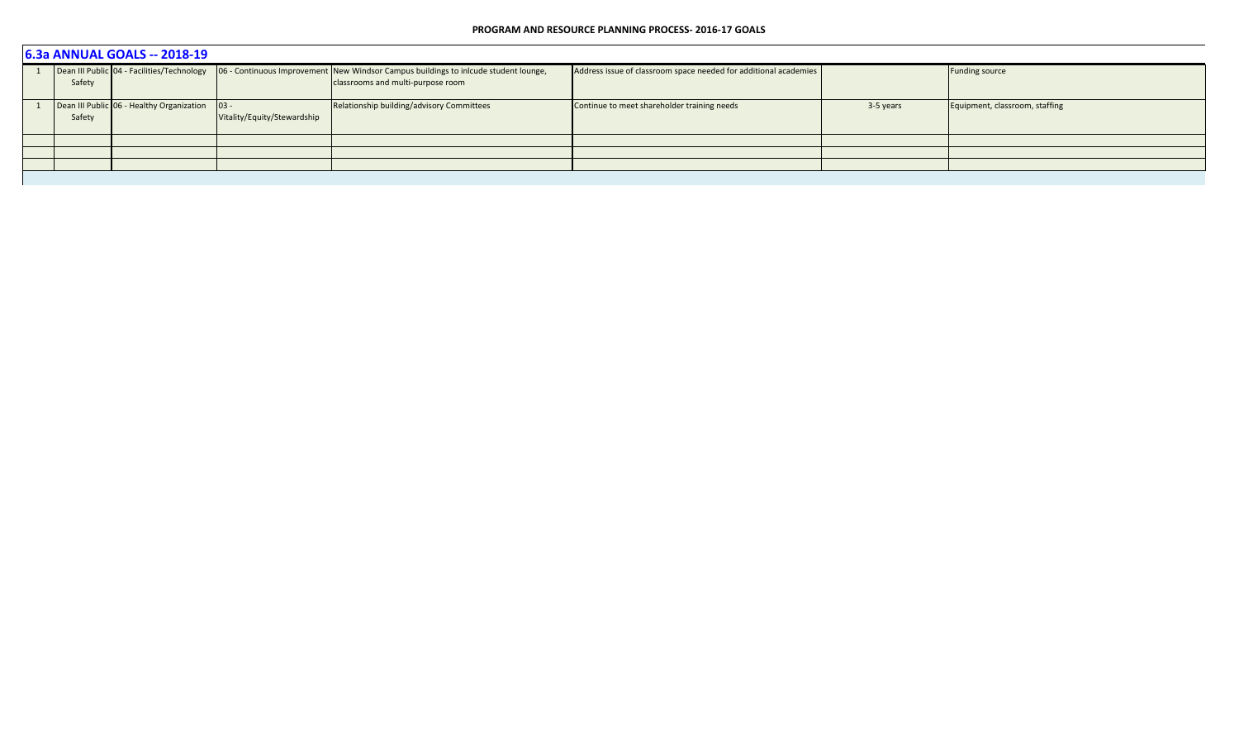| 6.3a ANNUAL GOALS -- 2018-19 |                                                |                             |                                                                                                                                                                     |                                                                  |           |                                |  |  |  |  |  |
|------------------------------|------------------------------------------------|-----------------------------|---------------------------------------------------------------------------------------------------------------------------------------------------------------------|------------------------------------------------------------------|-----------|--------------------------------|--|--|--|--|--|
| Safety                       |                                                |                             | Dean III Public 04 - Facilities/Technology 06 - Continuous Improvement New Windsor Campus buildings to inicude student lounge,<br>classrooms and multi-purpose room | Address issue of classroom space needed for additional academies |           | <b>Funding source</b>          |  |  |  |  |  |
|                              |                                                |                             |                                                                                                                                                                     |                                                                  |           |                                |  |  |  |  |  |
|                              | Dean III Public 06 - Healthy Organization 03 - |                             | Relationship building/advisory Committees                                                                                                                           | Continue to meet shareholder training needs                      | 3-5 years | Equipment, classroom, staffing |  |  |  |  |  |
| Safety                       |                                                | Vitality/Equity/Stewardship |                                                                                                                                                                     |                                                                  |           |                                |  |  |  |  |  |
|                              |                                                |                             |                                                                                                                                                                     |                                                                  |           |                                |  |  |  |  |  |
|                              |                                                |                             |                                                                                                                                                                     |                                                                  |           |                                |  |  |  |  |  |
|                              |                                                |                             |                                                                                                                                                                     |                                                                  |           |                                |  |  |  |  |  |
|                              |                                                |                             |                                                                                                                                                                     |                                                                  |           |                                |  |  |  |  |  |
|                              |                                                |                             |                                                                                                                                                                     |                                                                  |           |                                |  |  |  |  |  |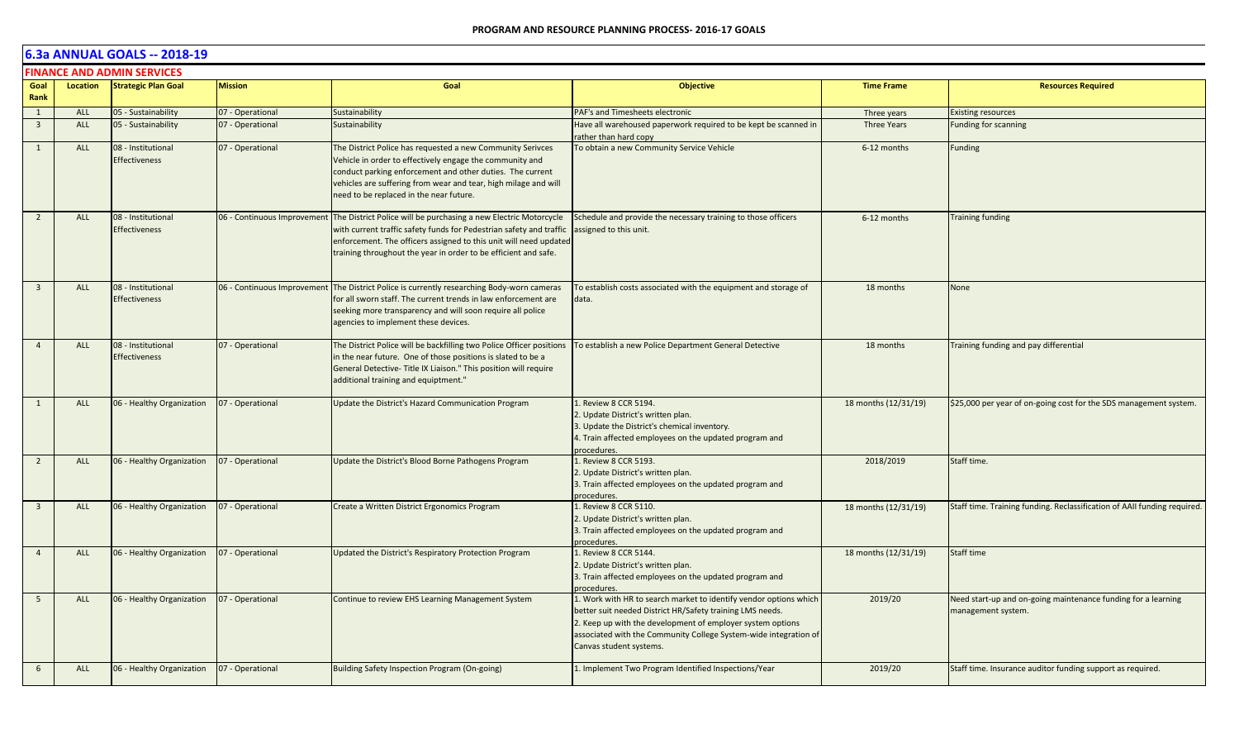|                         | <b>FINANCE AND ADMIN SERVICES</b> |                                            |                             |                                                                                                                                                                                                                                                                                                   |                                                                                                                                                                                                                                                                                             |                      |                                                                                     |  |  |  |
|-------------------------|-----------------------------------|--------------------------------------------|-----------------------------|---------------------------------------------------------------------------------------------------------------------------------------------------------------------------------------------------------------------------------------------------------------------------------------------------|---------------------------------------------------------------------------------------------------------------------------------------------------------------------------------------------------------------------------------------------------------------------------------------------|----------------------|-------------------------------------------------------------------------------------|--|--|--|
| Goal<br>Rank            | Location                          | <b>Strategic Plan Goal</b>                 | <b>Mission</b>              | Goal                                                                                                                                                                                                                                                                                              | <b>Objective</b>                                                                                                                                                                                                                                                                            | <b>Time Frame</b>    | <b>Resources Required</b>                                                           |  |  |  |
| $\mathbf{1}$            | <b>ALL</b>                        | 05 - Sustainability                        | 07 - Operational            | Sustainability                                                                                                                                                                                                                                                                                    | PAF's and Timesheets electronic                                                                                                                                                                                                                                                             | Three years          | <b>Existing resources</b>                                                           |  |  |  |
| $\overline{\mathbf{3}}$ | <b>ALL</b>                        | 05 - Sustainability                        | 07 - Operational            | Sustainability                                                                                                                                                                                                                                                                                    | Have all warehoused paperwork required to be kept be scanned in<br>rather than hard copy                                                                                                                                                                                                    | <b>Three Years</b>   | <b>Funding for scanning</b>                                                         |  |  |  |
| $\mathbf{1}$            | <b>ALL</b>                        | 08 - Institutional<br><b>Effectiveness</b> | 07 - Operational            | The District Police has requested a new Community Serivces<br>Vehicle in order to effectively engage the community and<br>conduct parking enforcement and other duties. The current<br>vehicles are suffering from wear and tear, high milage and will<br>need to be replaced in the near future. | To obtain a new Community Service Vehicle                                                                                                                                                                                                                                                   | 6-12 months          | Funding                                                                             |  |  |  |
| $\overline{2}$          | <b>ALL</b>                        | 08 - Institutional<br><b>Effectiveness</b> | 06 - Continuous Improvement | The District Police will be purchasing a new Electric Motorcycle<br>with current traffic safety funds for Pedestrian safety and traffic<br>enforcement. The officers assigned to this unit will need updated<br>training throughout the year in order to be efficient and safe.                   | Schedule and provide the necessary training to those officers<br>assigned to this unit.                                                                                                                                                                                                     | 6-12 months          | <b>Training funding</b>                                                             |  |  |  |
| $\overline{\mathbf{3}}$ | <b>ALL</b>                        | 08 - Institutional<br>Effectiveness        | 06 - Continuous Improvement | The District Police is currently researching Body-worn cameras<br>for all sworn staff. The current trends in law enforcement are<br>seeking more transparency and will soon require all police<br>agencies to implement these devices.                                                            | To establish costs associated with the equipment and storage of<br>data.                                                                                                                                                                                                                    | 18 months            | <b>None</b>                                                                         |  |  |  |
| $\overline{4}$          | <b>ALL</b>                        | 08 - Institutional<br><b>Effectiveness</b> | 07 - Operational            | The District Police will be backfilling two Police Officer positions<br>in the near future. One of those positions is slated to be a<br>General Detective- Title IX Liaison." This position will require<br>additional training and equiptment."                                                  | To establish a new Police Department General Detective                                                                                                                                                                                                                                      | 18 months            | Training funding and pay differential                                               |  |  |  |
| 1                       | <b>ALL</b>                        | 06 - Healthy Organization                  | 07 - Operational            | Update the District's Hazard Communication Program                                                                                                                                                                                                                                                | 1. Review 8 CCR 5194.<br>2. Update District's written plan.<br>3. Update the District's chemical inventory.<br>4. Train affected employees on the updated program and<br>procedures.                                                                                                        | 18 months (12/31/19) | \$25,000 per year of on-going cost for the SDS management system.                   |  |  |  |
| $\overline{2}$          | ALL                               | 06 - Healthy Organization                  | 07 - Operational            | Update the District's Blood Borne Pathogens Program                                                                                                                                                                                                                                               | 1. Review 8 CCR 5193.<br>2. Update District's written plan.<br>3. Train affected employees on the updated program and<br>procedures.                                                                                                                                                        | 2018/2019            | Staff time.                                                                         |  |  |  |
| $\overline{\mathbf{3}}$ | <b>ALL</b>                        | 06 - Healthy Organization                  | 07 - Operational            | Create a Written District Ergonomics Program                                                                                                                                                                                                                                                      | 1. Review 8 CCR 5110.<br>2. Update District's written plan.<br>3. Train affected employees on the updated program and<br>procedures.                                                                                                                                                        | 18 months (12/31/19) | Staff time. Training funding. Reclassification of AAII funding required.            |  |  |  |
| $\overline{4}$          | <b>ALL</b>                        | 06 - Healthy Organization                  | 07 - Operational            | Updated the District's Respiratory Protection Program                                                                                                                                                                                                                                             | 1. Review 8 CCR 5144.<br>2. Update District's written plan.<br>3. Train affected employees on the updated program and<br>procedures.                                                                                                                                                        | 18 months (12/31/19) | Staff time                                                                          |  |  |  |
| 5                       | ALL                               | 06 - Healthy Organization                  | 07 - Operational            | Continue to review EHS Learning Management System                                                                                                                                                                                                                                                 | 1. Work with HR to search market to identify vendor options which<br>better suit needed District HR/Safety training LMS needs.<br>2. Keep up with the development of employer system options<br>associated with the Community College System-wide integration of<br>Canvas student systems. | 2019/20              | Need start-up and on-going maintenance funding for a learning<br>management system. |  |  |  |
| 6                       | <b>ALL</b>                        | 06 - Healthy Organization                  | 07 - Operational            | Building Safety Inspection Program (On-going)                                                                                                                                                                                                                                                     | 1. Implement Two Program Identified Inspections/Year                                                                                                                                                                                                                                        | 2019/20              | Staff time. Insurance auditor funding support as required.                          |  |  |  |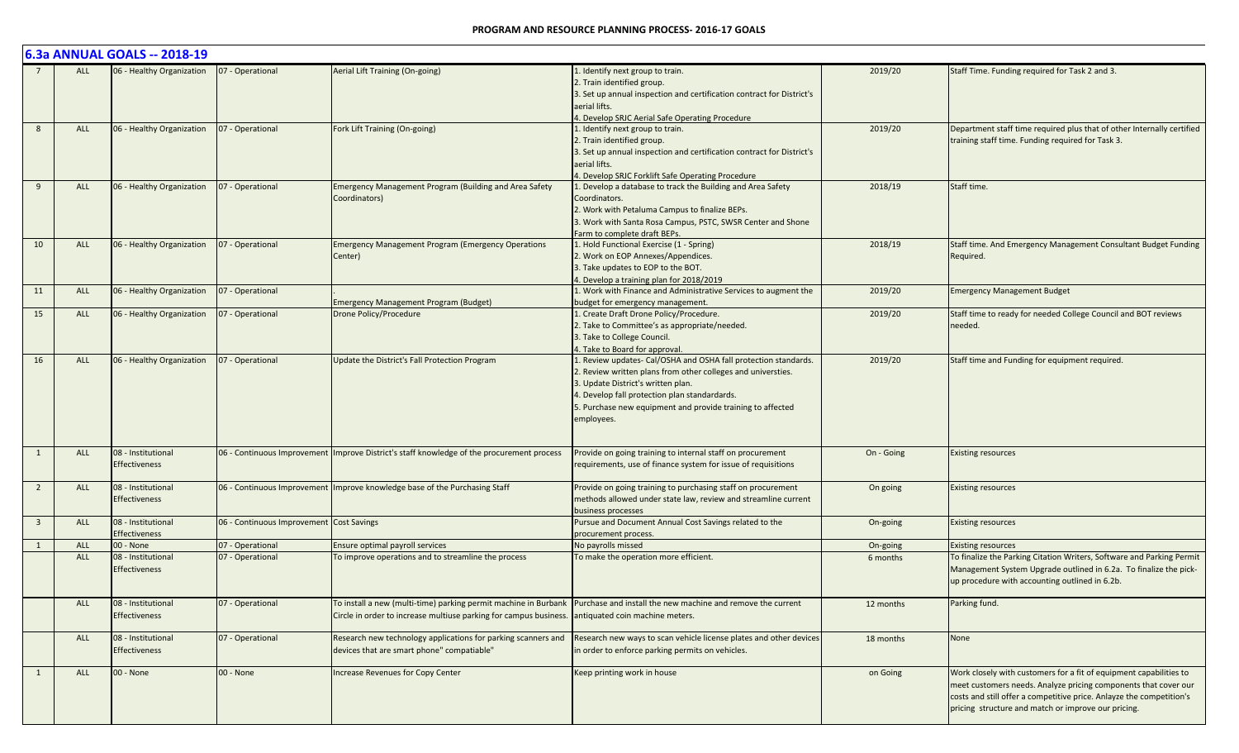|                         |            | 6.3a ANNUAL GOALS -- 2018-19 |                                          |                                                                                                                              |                                                                                        |            |                                                                        |
|-------------------------|------------|------------------------------|------------------------------------------|------------------------------------------------------------------------------------------------------------------------------|----------------------------------------------------------------------------------------|------------|------------------------------------------------------------------------|
|                         | <b>ALL</b> | 06 - Healthy Organization    | 07 - Operational                         | Aerial Lift Training (On-going)                                                                                              | Identify next group to train.<br>2. Train identified group.                            | 2019/20    | Staff Time. Funding required for Task 2 and 3.                         |
|                         |            |                              |                                          |                                                                                                                              | 3. Set up annual inspection and certification contract for District's<br>aerial lifts. |            |                                                                        |
|                         |            |                              |                                          |                                                                                                                              | 4. Develop SRJC Aerial Safe Operating Procedure                                        |            |                                                                        |
|                         | <b>ALL</b> | 06 - Healthy Organization    | 07 - Operational                         | Fork Lift Training (On-going)                                                                                                | L. Identify next group to train.                                                       | 2019/20    | Department staff time required plus that of other Internally certified |
|                         |            |                              |                                          |                                                                                                                              | 2. Train identified group.                                                             |            | training staff time. Funding required for Task 3.                      |
|                         |            |                              |                                          |                                                                                                                              | 3. Set up annual inspection and certification contract for District's                  |            |                                                                        |
|                         |            |                              |                                          |                                                                                                                              | aerial lifts.                                                                          |            |                                                                        |
|                         |            |                              |                                          |                                                                                                                              | 4. Develop SRJC Forklift Safe Operating Procedure                                      |            |                                                                        |
| -9                      | <b>ALL</b> | 06 - Healthy Organization    | 07 - Operational                         | Emergency Management Program (Building and Area Safety                                                                       | Develop a database to track the Building and Area Safety                               | 2018/19    | Staff time.                                                            |
|                         |            |                              |                                          | Coordinators)                                                                                                                | Coordinators.                                                                          |            |                                                                        |
|                         |            |                              |                                          |                                                                                                                              | 2. Work with Petaluma Campus to finalize BEPs.                                         |            |                                                                        |
|                         |            |                              |                                          |                                                                                                                              | 3. Work with Santa Rosa Campus, PSTC, SWSR Center and Shone                            |            |                                                                        |
|                         |            |                              |                                          |                                                                                                                              | Farm to complete draft BEPs.                                                           |            |                                                                        |
| 10                      | ALL        | 06 - Healthy Organization    | 07 - Operational                         | <b>Emergency Management Program (Emergency Operations</b>                                                                    | 1. Hold Functional Exercise (1 - Spring)                                               | 2018/19    | Staff time. And Emergency Management Consultant Budget Funding         |
|                         |            |                              |                                          | Center)                                                                                                                      | 2. Work on EOP Annexes/Appendices.                                                     |            | Required.                                                              |
|                         |            |                              |                                          |                                                                                                                              | 3. Take updates to EOP to the BOT.                                                     |            |                                                                        |
|                         |            |                              |                                          |                                                                                                                              | I. Develop a training plan for 2018/2019                                               |            | <b>Emergency Management Budget</b>                                     |
| 11                      | <b>ALL</b> | 06 - Healthy Organization    | 07 - Operational                         |                                                                                                                              | Work with Finance and Administrative Services to augment the                           | 2019/20    |                                                                        |
| 15                      |            |                              |                                          | <b>Emergency Management Program (Budget)</b>                                                                                 | budget for emergency management.<br>L. Create Draft Drone Policy/Procedure.            |            | Staff time to ready for needed College Council and BOT reviews         |
|                         | <b>ALL</b> | 06 - Healthy Organization    | 07 - Operational                         | Drone Policy/Procedure                                                                                                       |                                                                                        | 2019/20    | needed.                                                                |
|                         |            |                              |                                          |                                                                                                                              | 2. Take to Committee's as appropriate/needed.                                          |            |                                                                        |
|                         |            |                              |                                          |                                                                                                                              | 3. Take to College Council.<br>4. Take to Board for approval.                          |            |                                                                        |
| 16                      | <b>ALL</b> | 06 - Healthy Organization    | 07 - Operational                         | Update the District's Fall Protection Program                                                                                | . Review updates- Cal/OSHA and OSHA fall protection standards.                         | 2019/20    | Staff time and Funding for equipment required.                         |
|                         |            |                              |                                          |                                                                                                                              | 2. Review written plans from other colleges and universties.                           |            |                                                                        |
|                         |            |                              |                                          |                                                                                                                              | 3. Update District's written plan.                                                     |            |                                                                        |
|                         |            |                              |                                          |                                                                                                                              | I. Develop fall protection plan standardards.                                          |            |                                                                        |
|                         |            |                              |                                          |                                                                                                                              | 5. Purchase new equipment and provide training to affected                             |            |                                                                        |
|                         |            |                              |                                          |                                                                                                                              | employees.                                                                             |            |                                                                        |
|                         |            |                              |                                          |                                                                                                                              |                                                                                        |            |                                                                        |
| $\mathbf{1}$            | <b>ALL</b> | 08 - Institutional           |                                          | 06 - Continuous Improvement   Improve District's staff knowledge of the procurement process                                  | Provide on going training to internal staff on procurement                             | On - Going | <b>Existing resources</b>                                              |
|                         |            | <b>Effectiveness</b>         |                                          |                                                                                                                              | requirements, use of finance system for issue of requisitions                          |            |                                                                        |
|                         |            |                              |                                          |                                                                                                                              |                                                                                        |            |                                                                        |
| $\overline{2}$          | <b>ALL</b> | 08 - Institutional           |                                          | 06 - Continuous Improvement   Improve knowledge base of the Purchasing Staff                                                 | Provide on going training to purchasing staff on procurement                           | On going   | <b>Existing resources</b>                                              |
|                         |            | <b>Effectiveness</b>         |                                          |                                                                                                                              | methods allowed under state law, review and streamline current                         |            |                                                                        |
|                         |            |                              |                                          |                                                                                                                              | business processes                                                                     |            |                                                                        |
| $\overline{\mathbf{3}}$ | <b>ALL</b> | 08 - Institutional           | 06 - Continuous Improvement Cost Savings |                                                                                                                              | Pursue and Document Annual Cost Savings related to the                                 | On-going   | <b>Existing resources</b>                                              |
|                         |            | <b>Effectiveness</b>         |                                          |                                                                                                                              | procurement process.                                                                   |            |                                                                        |
| $\overline{1}$          | ALL        | 00 - None                    | 07 - Operational                         | Ensure optimal payroll services                                                                                              | No payrolls missed                                                                     | On-going   | <b>Existing resources</b>                                              |
|                         | <b>ALL</b> | 08 - Institutional           | 07 - Operational                         | To improve operations and to streamline the process                                                                          | To make the operation more efficient.                                                  | 6 months   | To finalize the Parking Citation Writers, Software and Parking Permit  |
|                         |            | <b>Effectiveness</b>         |                                          |                                                                                                                              |                                                                                        |            | Management System Upgrade outlined in 6.2a. To finalize the pick-      |
|                         |            |                              |                                          |                                                                                                                              |                                                                                        |            | up procedure with accounting outlined in 6.2b.                         |
|                         | ALL        | 08 - Institutional           | 07 - Operational                         | To install a new (multi-time) parking permit machine in Burbank  Purchase and install the new machine and remove the current |                                                                                        | 12 months  | Parking fund.                                                          |
|                         |            | <b>Effectiveness</b>         |                                          | Circle in order to increase multiuse parking for campus business. antiquated coin machine meters.                            |                                                                                        |            |                                                                        |
|                         |            |                              |                                          |                                                                                                                              |                                                                                        |            |                                                                        |
|                         | <b>ALL</b> | 08 - Institutional           | 07 - Operational                         | Research new technology applications for parking scanners and                                                                | Research new ways to scan vehicle license plates and other devices                     | 18 months  | None                                                                   |
|                         |            | <b>Effectiveness</b>         |                                          | devices that are smart phone" compatiable"                                                                                   | in order to enforce parking permits on vehicles.                                       |            |                                                                        |
|                         |            |                              |                                          |                                                                                                                              |                                                                                        |            |                                                                        |
| $\overline{1}$          | ALL        | 00 - None                    | 00 - None                                | <b>Increase Revenues for Copy Center</b>                                                                                     | Keep printing work in house                                                            | on Going   | Work closely with customers for a fit of equipment capabilities to     |
|                         |            |                              |                                          |                                                                                                                              |                                                                                        |            | meet customers needs. Analyze pricing components that cover our        |
|                         |            |                              |                                          |                                                                                                                              |                                                                                        |            | costs and still offer a competitive price. Anlayze the competition's   |
|                         |            |                              |                                          |                                                                                                                              |                                                                                        |            | pricing structure and match or improve our pricing.                    |
|                         |            |                              |                                          |                                                                                                                              |                                                                                        |            |                                                                        |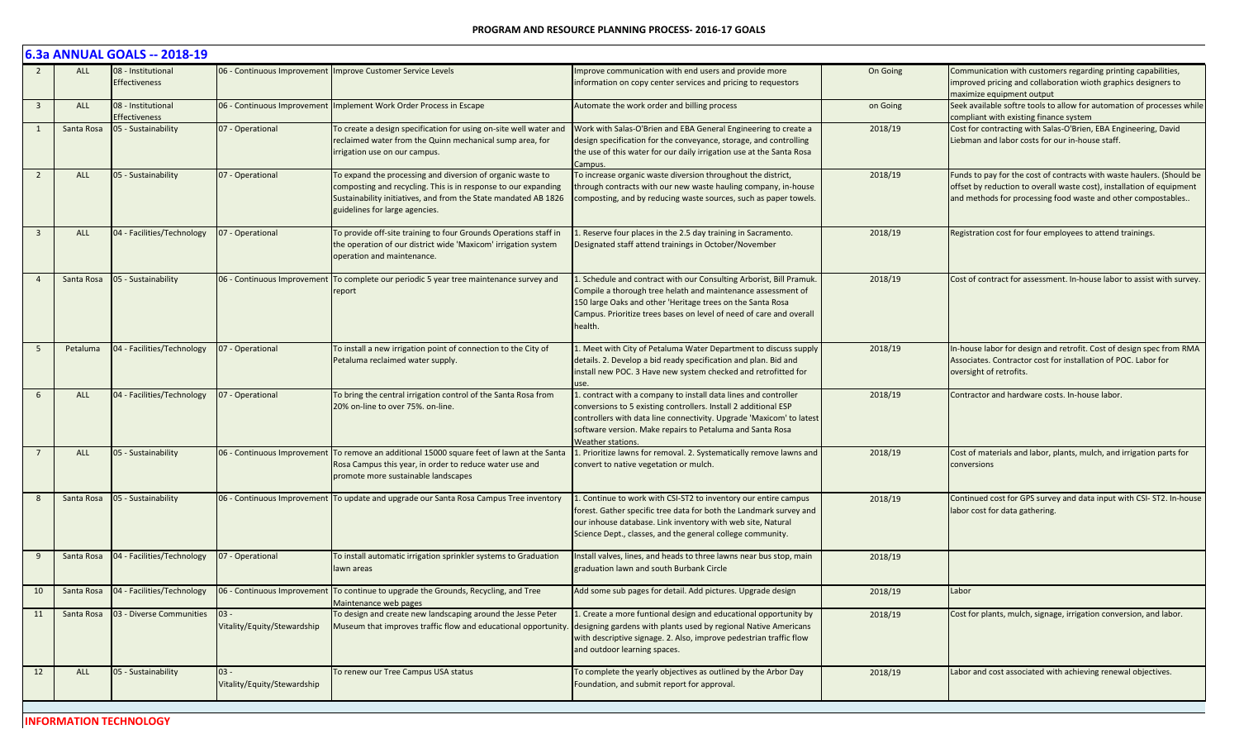|                         |            | 6.3a ANNUAL GOALS -- 2018-19               |                                       |                                                                                                                                                                                                                                   |                                                                                                                                                                                                                                                                                              |          |                                                                                                                                                                                                                |
|-------------------------|------------|--------------------------------------------|---------------------------------------|-----------------------------------------------------------------------------------------------------------------------------------------------------------------------------------------------------------------------------------|----------------------------------------------------------------------------------------------------------------------------------------------------------------------------------------------------------------------------------------------------------------------------------------------|----------|----------------------------------------------------------------------------------------------------------------------------------------------------------------------------------------------------------------|
|                         | <b>ALL</b> | 08 - Institutional<br><b>Effectiveness</b> |                                       | 06 - Continuous Improvement Improve Customer Service Levels                                                                                                                                                                       | mprove communication with end users and provide more<br>information on copy center services and pricing to requestors                                                                                                                                                                        | On Going | Communication with customers regarding printing capabilities,<br>improved pricing and collaboration wioth graphics designers to<br>maximize equipment output                                                   |
| $\overline{\mathbf{3}}$ | <b>ALL</b> | 08 - Institutional<br><b>Effectiveness</b> |                                       | 06 - Continuous Improvement   Implement Work Order Process in Escape                                                                                                                                                              | Automate the work order and billing process                                                                                                                                                                                                                                                  | on Going | Seek available softre tools to allow for automation of processes while<br>compliant with existing finance system                                                                                               |
|                         | Santa Rosa | 05 - Sustainability                        | 07 - Operational                      | To create a design specification for using on-site well water and<br>reclaimed water from the Quinn mechanical sump area, for<br>irrigation use on our campus.                                                                    | Work with Salas-O'Brien and EBA General Engineering to create a<br>design specification for the conveyance, storage, and controlling<br>the use of this water for our daily irrigation use at the Santa Rosa<br>Campus.                                                                      | 2018/19  | Cost for contracting with Salas-O'Brien, EBA Engineering, David<br>Liebman and labor costs for our in-house staff.                                                                                             |
| $\overline{2}$          | <b>ALL</b> | 05 - Sustainability                        | 07 - Operational                      | To expand the processing and diversion of organic waste to<br>composting and recycling. This is in response to our expanding<br>Sustainability initiatives, and from the State mandated AB 1826<br>guidelines for large agencies. | To increase organic waste diversion throughout the district,<br>through contracts with our new waste hauling company, in-house<br>composting, and by reducing waste sources, such as paper towels.                                                                                           | 2018/19  | Funds to pay for the cost of contracts with waste haulers. (Should be<br>offset by reduction to overall waste cost), installation of equipment<br>and methods for processing food waste and other compostables |
| $\overline{3}$          | <b>ALL</b> | 04 - Facilities/Technology                 | 07 - Operational                      | To provide off-site training to four Grounds Operations staff in<br>the operation of our district wide 'Maxicom' irrigation system<br>operation and maintenance.                                                                  | 1. Reserve four places in the 2.5 day training in Sacramento.<br>Designated staff attend trainings in October/November                                                                                                                                                                       | 2018/19  | Registration cost for four employees to attend trainings.                                                                                                                                                      |
|                         | Santa Rosa | 05 - Sustainability                        |                                       | 06 - Continuous Improvement   To complete our periodic 5 year tree maintenance survey and<br>report                                                                                                                               | 1. Schedule and contract with our Consulting Arborist, Bill Pramuk.<br>Compile a thorough tree helath and maintenance assessment of<br>150 large Oaks and other 'Heritage trees on the Santa Rosa<br>Campus. Prioritize trees bases on level of need of care and overall<br>health.          | 2018/19  | Cost of contract for assessment. In-house labor to assist with survey.                                                                                                                                         |
|                         | Petaluma   | 04 - Facilities/Technology                 | 07 - Operational                      | To install a new irrigation point of connection to the City of<br>Petaluma reclaimed water supply.                                                                                                                                | 1. Meet with City of Petaluma Water Department to discuss supply<br>details. 2. Develop a bid ready specification and plan. Bid and<br>install new POC. 3 Have new system checked and retrofitted for                                                                                        | 2018/19  | In-house labor for design and retrofit. Cost of design spec from RMA<br>Associates. Contractor cost for installation of POC. Labor for<br>oversight of retrofits.                                              |
| 6                       | <b>ALL</b> | 04 - Facilities/Technology                 | 07 - Operational                      | To bring the central irrigation control of the Santa Rosa from<br>20% on-line to over 75%. on-line.                                                                                                                               | 1. contract with a company to install data lines and controller<br>conversions to 5 existing controllers. Install 2 additional ESP<br>controllers with data line connectivity. Upgrade 'Maxicom' to latest<br>software version. Make repairs to Petaluma and Santa Rosa<br>Weather stations. | 2018/19  | Contractor and hardware costs. In-house labor.                                                                                                                                                                 |
|                         | <b>ALL</b> | 05 - Sustainability                        |                                       | 06 - Continuous Improvement To remove an additional 15000 square feet of lawn at the Santa<br>Rosa Campus this year, in order to reduce water use and<br>promote more sustainable landscapes                                      | 1. Prioritize lawns for removal. 2. Systematically remove lawns and<br>convert to native vegetation or mulch.                                                                                                                                                                                | 2018/19  | Cost of materials and labor, plants, mulch, and irrigation parts for<br>conversions                                                                                                                            |
|                         | Santa Rosa | 05 - Sustainability                        |                                       | 06 - Continuous Improvement   To update and upgrade our Santa Rosa Campus Tree inventory                                                                                                                                          | 1. Continue to work with CSI-ST2 to inventory our entire campus<br>forest. Gather specific tree data for both the Landmark survey and<br>our inhouse database. Link inventory with web site, Natural<br>Science Dept., classes, and the general college community.                           | 2018/19  | Continued cost for GPS survey and data input with CSI-ST2. In-house<br>labor cost for data gathering.                                                                                                          |
| 9                       | Santa Rosa | 04 - Facilities/Technology                 | 07 - Operational                      | To install automatic irrigation sprinkler systems to Graduation<br>lawn areas                                                                                                                                                     | Install valves, lines, and heads to three lawns near bus stop, main<br>graduation lawn and south Burbank Circle                                                                                                                                                                              | 2018/19  |                                                                                                                                                                                                                |
| 10                      | Santa Rosa | 04 - Facilities/Technology                 |                                       | 06 - Continuous Improvement To continue to upgrade the Grounds, Recycling, and Tree<br>Maintenance web pages                                                                                                                      | Add some sub pages for detail. Add pictures. Upgrade design                                                                                                                                                                                                                                  | 2018/19  | Labor                                                                                                                                                                                                          |
| 11                      | Santa Rosa | 03 - Diverse Communities                   | $03 -$<br>Vitality/Equity/Stewardship | To design and create new landscaping around the Jesse Peter<br>Museum that improves traffic flow and educational opportunity.                                                                                                     | 1. Create a more funtional design and educational opportunity by<br>designing gardens with plants used by regional Native Americans<br>with descriptive signage. 2. Also, improve pedestrian traffic flow<br>and outdoor learning spaces.                                                    | 2018/19  | Cost for plants, mulch, signage, irrigation conversion, and labor.                                                                                                                                             |
| 12                      | ALL        | 05 - Sustainability                        | $03 -$<br>Vitality/Equity/Stewardship | To renew our Tree Campus USA status                                                                                                                                                                                               | To complete the yearly objectives as outlined by the Arbor Day<br>Foundation, and submit report for approval.                                                                                                                                                                                | 2018/19  | Labor and cost associated with achieving renewal objectives.                                                                                                                                                   |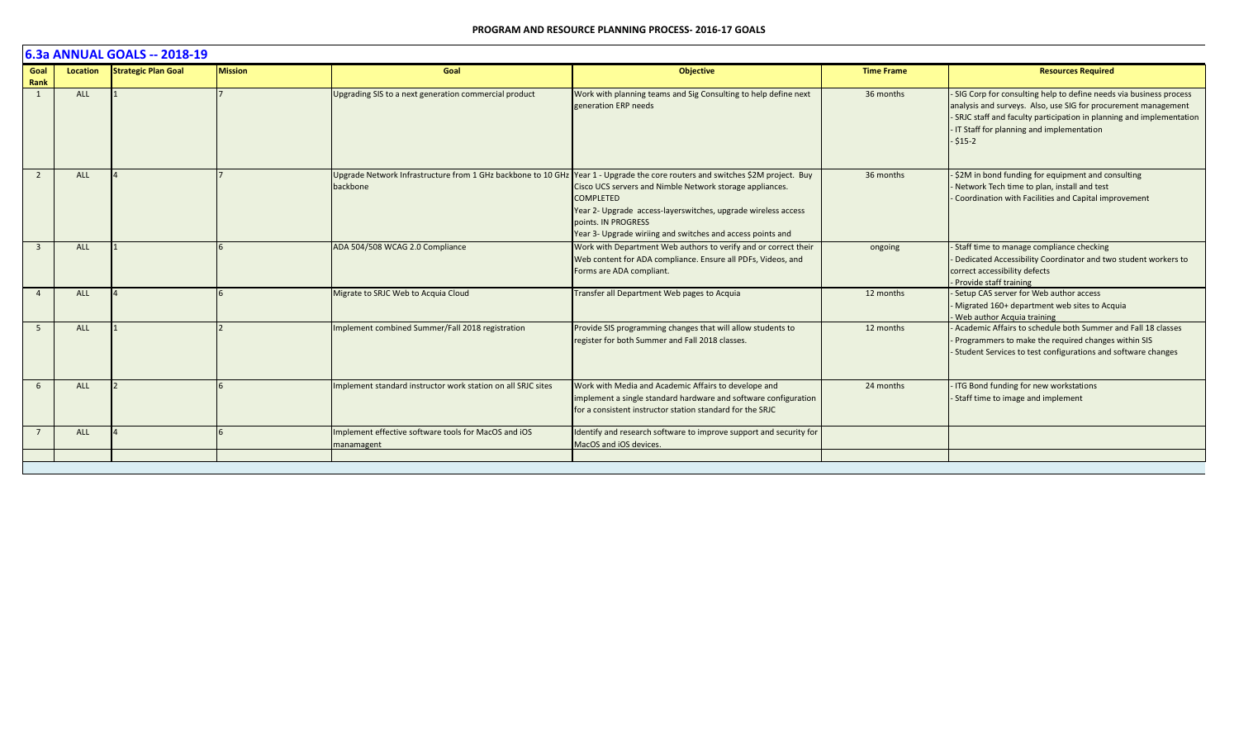|              | 6.3a ANNUAL GOALS -- 2018-19 |                            |                |                                                                    |                                                                                                                                                                                                                                                                                                                                                                     |                   |                                                                                                                                                                                                                                                                           |  |  |  |
|--------------|------------------------------|----------------------------|----------------|--------------------------------------------------------------------|---------------------------------------------------------------------------------------------------------------------------------------------------------------------------------------------------------------------------------------------------------------------------------------------------------------------------------------------------------------------|-------------------|---------------------------------------------------------------------------------------------------------------------------------------------------------------------------------------------------------------------------------------------------------------------------|--|--|--|
| Goal<br>Rank | Location                     | <b>Strategic Plan Goal</b> | <b>Mission</b> | Goal                                                               | <b>Objective</b>                                                                                                                                                                                                                                                                                                                                                    | <b>Time Frame</b> | <b>Resources Required</b>                                                                                                                                                                                                                                                 |  |  |  |
|              | ALL                          |                            |                | Upgrading SIS to a next generation commercial product              | Work with planning teams and Sig Consulting to help define next<br>generation ERP needs                                                                                                                                                                                                                                                                             | 36 months         | - SIG Corp for consulting help to define needs via business process<br>analysis and surveys. Also, use SIG for procurement management<br>- SRJC staff and faculty participation in planning and implementation<br>- IT Staff for planning and implementation<br>$- $15-2$ |  |  |  |
|              | <b>ALL</b>                   |                            |                | backbone                                                           | Upgrade Network Infrastructure from 1 GHz backbone to 10 GHz Year 1 - Upgrade the core routers and switches \$2M project. Buy<br>Cisco UCS servers and Nimble Network storage appliances.<br><b>COMPLETED</b><br>Year 2- Upgrade access-layerswitches, upgrade wireless access<br>points. IN PROGRESS<br>Year 3- Upgrade wiriing and switches and access points and | 36 months         | - \$2M in bond funding for equipment and consulting<br>- Network Tech time to plan, install and test<br>- Coordination with Facilities and Capital improvement                                                                                                            |  |  |  |
| $\mathbf{R}$ | <b>ALL</b>                   |                            |                | ADA 504/508 WCAG 2.0 Compliance                                    | Work with Department Web authors to verify and or correct their<br>Web content for ADA compliance. Ensure all PDFs, Videos, and<br>Forms are ADA compliant.                                                                                                                                                                                                         | ongoing           | - Staff time to manage compliance checking<br>- Dedicated Accessibility Coordinator and two student workers to<br>correct accessibility defects<br>- Provide staff training                                                                                               |  |  |  |
|              | <b>ALL</b>                   |                            |                | Migrate to SRJC Web to Acquia Cloud                                | Transfer all Department Web pages to Acquia                                                                                                                                                                                                                                                                                                                         | 12 months         | - Setup CAS server for Web author access<br>- Migrated 160+ department web sites to Acquia<br>- Web author Acquia training                                                                                                                                                |  |  |  |
| - 5          | <b>ALL</b>                   |                            |                | Implement combined Summer/Fall 2018 registration                   | Provide SIS programming changes that will allow students to<br>register for both Summer and Fall 2018 classes.                                                                                                                                                                                                                                                      | 12 months         | - Academic Affairs to schedule both Summer and Fall 18 classes<br>- Programmers to make the required changes within SIS<br>- Student Services to test configurations and software changes                                                                                 |  |  |  |
|              | <b>ALL</b>                   |                            |                | Implement standard instructor work station on all SRJC sites       | Work with Media and Academic Affairs to develope and<br>implement a single standard hardware and software configuration<br>for a consistent instructor station standard for the SRJC                                                                                                                                                                                | 24 months         | - ITG Bond funding for new workstations<br>- Staff time to image and implement                                                                                                                                                                                            |  |  |  |
|              | <b>ALL</b>                   |                            |                | Implement effective software tools for MacOS and iOS<br>manamagent | Identify and research software to improve support and security for<br>MacOS and iOS devices.                                                                                                                                                                                                                                                                        |                   |                                                                                                                                                                                                                                                                           |  |  |  |
|              |                              |                            |                |                                                                    |                                                                                                                                                                                                                                                                                                                                                                     |                   |                                                                                                                                                                                                                                                                           |  |  |  |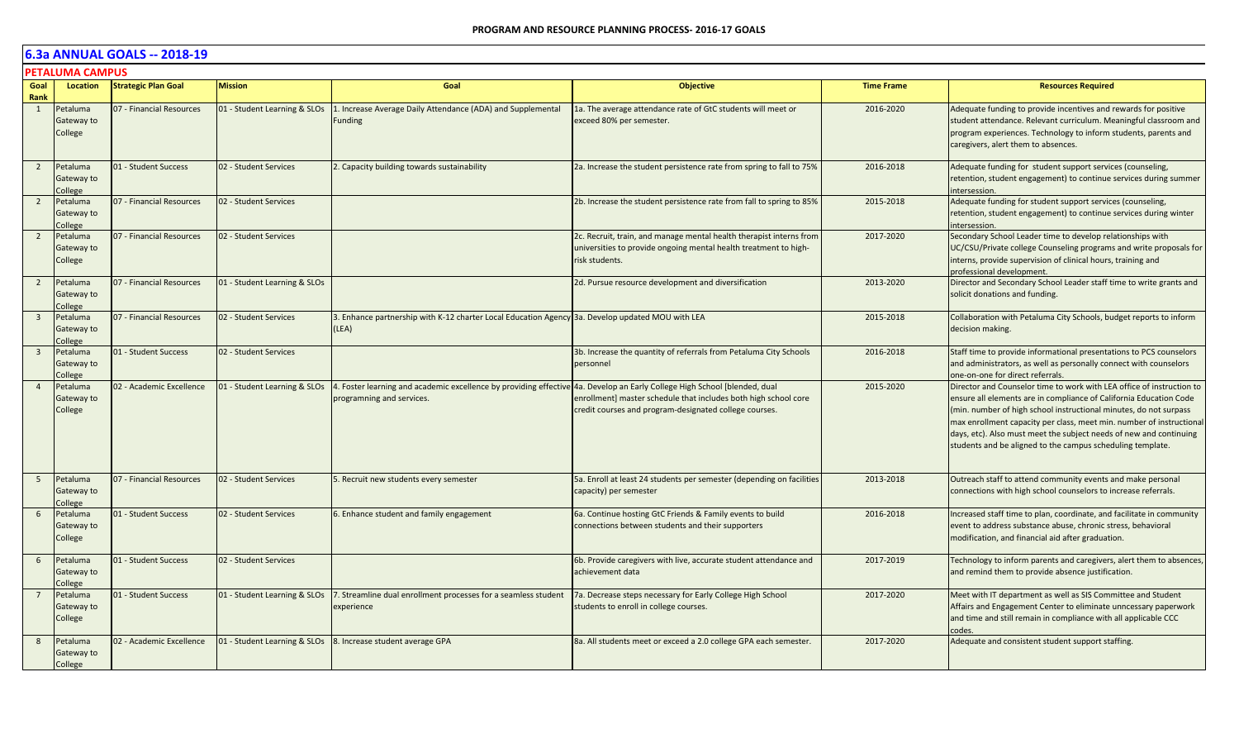|                         | <b>PETALUMA CAMPUS</b>            |                            |                              |                                                                                                                                                        |                                                                                                                                                           |                   |                                                                                                                                                                                                                                                                                                                                                                                                                              |  |  |  |
|-------------------------|-----------------------------------|----------------------------|------------------------------|--------------------------------------------------------------------------------------------------------------------------------------------------------|-----------------------------------------------------------------------------------------------------------------------------------------------------------|-------------------|------------------------------------------------------------------------------------------------------------------------------------------------------------------------------------------------------------------------------------------------------------------------------------------------------------------------------------------------------------------------------------------------------------------------------|--|--|--|
| Goal<br>Rank            | Location                          | <b>Strategic Plan Goal</b> | <b>Mission</b>               | Goal                                                                                                                                                   | <b>Objective</b>                                                                                                                                          | <b>Time Frame</b> | <b>Resources Required</b>                                                                                                                                                                                                                                                                                                                                                                                                    |  |  |  |
| 1                       | Petaluma<br>Gateway to<br>College | 07 - Financial Resources   | 01 - Student Learning & SLOs | 1. Increase Average Daily Attendance (ADA) and Supplemental<br>Funding                                                                                 | 1a. The average attendance rate of GtC students will meet or<br>exceed 80% per semester.                                                                  | 2016-2020         | Adequate funding to provide incentives and rewards for positive<br>student attendance. Relevant curriculum. Meaningful classroom and<br>program experiences. Technology to inform students, parents and<br>caregivers, alert them to absences.                                                                                                                                                                               |  |  |  |
| $\overline{2}$          | Petaluma<br>Gateway to<br>College | 01 - Student Success       | 02 - Student Services        | 2. Capacity building towards sustainability                                                                                                            | 2a. Increase the student persistence rate from spring to fall to 75%                                                                                      | 2016-2018         | Adequate funding for student support services (counseling,<br>retention, student engagement) to continue services during summer<br>ntersession.                                                                                                                                                                                                                                                                              |  |  |  |
| $\overline{2}$          | Petaluma<br>Gateway to<br>College | 07 - Financial Resources   | 02 - Student Services        |                                                                                                                                                        | 2b. Increase the student persistence rate from fall to spring to 85%                                                                                      | 2015-2018         | Adequate funding for student support services (counseling,<br>retention, student engagement) to continue services during winter<br>ntersession.                                                                                                                                                                                                                                                                              |  |  |  |
| $\overline{2}$          | Petaluma<br>Gateway to<br>College | 07 - Financial Resources   | 02 - Student Services        |                                                                                                                                                        | 2c. Recruit, train, and manage mental health therapist interns from<br>universities to provide ongoing mental health treatment to high-<br>risk students. | 2017-2020         | Secondary School Leader time to develop relationships with<br>UC/CSU/Private college Counseling programs and write proposals for<br>interns, provide supervision of clinical hours, training and<br>professional development.                                                                                                                                                                                                |  |  |  |
| $\overline{2}$          | Petaluma<br>Gateway to<br>College | 07 - Financial Resources   | 01 - Student Learning & SLOs |                                                                                                                                                        | 2d. Pursue resource development and diversification                                                                                                       | 2013-2020         | Director and Secondary School Leader staff time to write grants and<br>solicit donations and funding.                                                                                                                                                                                                                                                                                                                        |  |  |  |
| $\overline{\mathbf{3}}$ | Petaluma<br>Gateway to<br>College | 07 - Financial Resources   | 02 - Student Services        | 3. Enhance partnership with K-12 charter Local Education Agency 3a. Develop updated MOU with LEA<br>(LEA)                                              |                                                                                                                                                           | 2015-2018         | Collaboration with Petaluma City Schools, budget reports to inform<br>decision making.                                                                                                                                                                                                                                                                                                                                       |  |  |  |
| $\overline{\mathbf{3}}$ | Petaluma<br>Gateway to<br>College | 01 - Student Success       | 02 - Student Services        |                                                                                                                                                        | 3b. Increase the quantity of referrals from Petaluma City Schools<br>personnel                                                                            | 2016-2018         | Staff time to provide informational presentations to PCS counselors<br>and administrators, as well as personally connect with counselors<br>one-on-one for direct referrals.                                                                                                                                                                                                                                                 |  |  |  |
| $\overline{4}$          | Petaluma<br>Gateway to<br>College | 02 - Academic Excellence   | 01 - Student Learning & SLOs | 4. Foster learning and academic excellence by providing effective 4a. Develop an Early College High School [blended, dual<br>programning and services. | enrollment] master schedule that includes both high school core<br>credit courses and program-designated college courses.                                 | 2015-2020         | Director and Counselor time to work with LEA office of instruction to<br>ensure all elements are in compliance of California Education Code<br>(min. number of high school instructional minutes, do not surpass<br>max enrollment capacity per class, meet min. number of instructional<br>days, etc). Also must meet the subject needs of new and continuing<br>students and be aligned to the campus scheduling template. |  |  |  |
| - 5                     | Petaluma<br>Gateway to<br>college | 07 - Financial Resources   | 02 - Student Services        | 5. Recruit new students every semester                                                                                                                 | 5a. Enroll at least 24 students per semester (depending on facilities<br>capacity) per semester                                                           | 2013-2018         | Outreach staff to attend community events and make personal<br>connections with high school counselors to increase referrals.                                                                                                                                                                                                                                                                                                |  |  |  |
| 6                       | Petaluma<br>Gateway to<br>College | 01 - Student Success       | 02 - Student Services        | 6. Enhance student and family engagement                                                                                                               | 6a. Continue hosting GtC Friends & Family events to build<br>connections between students and their supporters                                            | 2016-2018         | Increased staff time to plan, coordinate, and facilitate in community<br>event to address substance abuse, chronic stress, behavioral<br>modification, and financial aid after graduation.                                                                                                                                                                                                                                   |  |  |  |
| 6                       | Petaluma<br>Gateway to<br>College | 01 - Student Success       | 02 - Student Services        |                                                                                                                                                        | 6b. Provide caregivers with live, accurate student attendance and<br>achievement data                                                                     | 2017-2019         | Technology to inform parents and caregivers, alert them to absences,<br>and remind them to provide absence justification.                                                                                                                                                                                                                                                                                                    |  |  |  |
| $\overline{7}$          | Petaluma<br>Gateway to<br>College | 01 - Student Success       | 01 - Student Learning & SLOs | 7. Streamline dual enrollment processes for a seamless student<br>experience                                                                           | 7a. Decrease steps necessary for Early College High School<br>students to enroll in college courses.                                                      | 2017-2020         | Meet with IT department as well as SIS Committee and Student<br>Affairs and Engagement Center to eliminate unncessary paperwork<br>and time and still remain in compliance with all applicable CCC<br>codes.                                                                                                                                                                                                                 |  |  |  |
| 8                       | Petaluma<br>Gateway to<br>College | 02 - Academic Excellence   |                              | 01 - Student Learning & SLOs 8. Increase student average GPA                                                                                           | 8a. All students meet or exceed a 2.0 college GPA each semester.                                                                                          | 2017-2020         | Adequate and consistent student support staffing.                                                                                                                                                                                                                                                                                                                                                                            |  |  |  |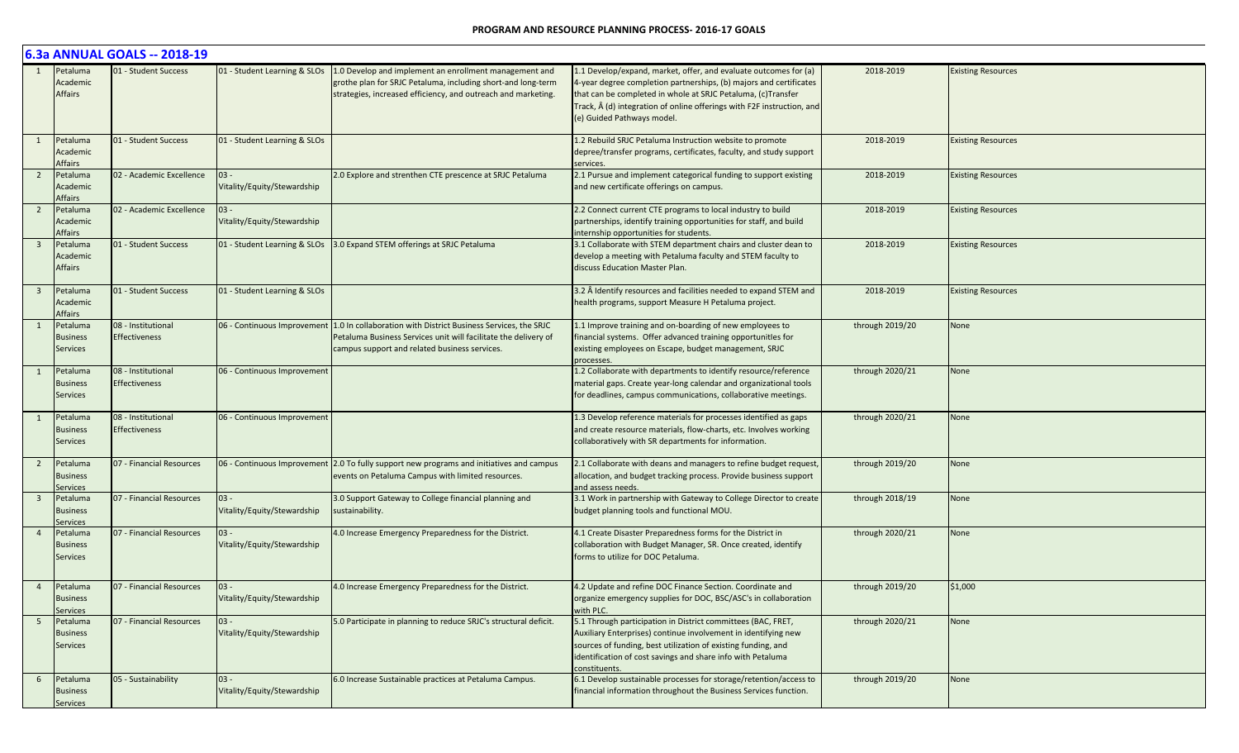|                         | 6.3a ANNUAL GOALS -- 2018-19                   |                                            |                                       |                                                                                                                                                                                                                  |                                                                                                                                                                                                                                                                                                                        |                 |                           |  |  |  |
|-------------------------|------------------------------------------------|--------------------------------------------|---------------------------------------|------------------------------------------------------------------------------------------------------------------------------------------------------------------------------------------------------------------|------------------------------------------------------------------------------------------------------------------------------------------------------------------------------------------------------------------------------------------------------------------------------------------------------------------------|-----------------|---------------------------|--|--|--|
|                         | Petaluma<br>Academic<br><b>Affairs</b>         | 01 - Student Success                       | 01 - Student Learning & SLOs          | 1.0 Develop and implement an enrollment management and<br>grothe plan for SRJC Petaluma, including short-and long-term<br>strategies, increased efficiency, and outreach and marketing.                          | 1.1 Develop/expand, market, offer, and evaluate outcomes for (a)<br>4-year degree completion partnerships, (b) majors and certificates<br>that can be completed in whole at SRJC Petaluma, (c)Transfer<br>Track, $\hat{A}$ (d) integration of online offerings with F2F instruction, and<br>(e) Guided Pathways model. | 2018-2019       | <b>Existing Resources</b> |  |  |  |
| 1                       | Petaluma<br>Academic<br>Affairs                | 01 - Student Success                       | 01 - Student Learning & SLOs          |                                                                                                                                                                                                                  | 1.2 Rebuild SRJC Petaluma Instruction website to promote<br>depree/transfer programs, certificates, faculty, and study support<br>services.                                                                                                                                                                            | 2018-2019       | <b>Existing Resources</b> |  |  |  |
| $\overline{2}$          | Petaluma<br>Academic<br>Affairs                | 02 - Academic Excellence                   | $03 -$<br>Vitality/Equity/Stewardship | 2.0 Explore and strenthen CTE prescence at SRJC Petaluma                                                                                                                                                         | 2.1 Pursue and implement categorical funding to support existing<br>and new certificate offerings on campus.                                                                                                                                                                                                           | 2018-2019       | <b>Existing Resources</b> |  |  |  |
| $\overline{2}$          | Petaluma<br>Academic<br>Affairs                | 02 - Academic Excellence                   | $03 -$<br>Vitality/Equity/Stewardship |                                                                                                                                                                                                                  | 2.2 Connect current CTE programs to local industry to build<br>partnerships, identify training opportunities for staff, and build<br>internship opportunities for students.                                                                                                                                            | 2018-2019       | <b>Existing Resources</b> |  |  |  |
| $\overline{\mathbf{3}}$ | Petaluma<br>Academic<br>Affairs                | 01 - Student Success                       | 01 - Student Learning & SLOs          | 3.0 Expand STEM offerings at SRJC Petaluma                                                                                                                                                                       | 3.1 Collaborate with STEM department chairs and cluster dean to<br>develop a meeting with Petaluma faculty and STEM faculty to<br>discuss Education Master Plan.                                                                                                                                                       | 2018-2019       | <b>Existing Resources</b> |  |  |  |
| $\overline{\mathbf{3}}$ | Petaluma<br>Academic<br>Affairs                | 01 - Student Success                       | 01 - Student Learning & SLOs          |                                                                                                                                                                                                                  | 3.2 Â Identify resources and facilities needed to expand STEM and<br>health programs, support Measure H Petaluma project.                                                                                                                                                                                              | 2018-2019       | <b>Existing Resources</b> |  |  |  |
|                         | Petaluma<br><b>Business</b><br><b>Services</b> | 08 - Institutional<br><b>Effectiveness</b> |                                       | 06 - Continuous Improvement   1.0 In collaboration with District Business Services, the SRJC<br>Petaluma Business Services unit will facilitate the delivery of<br>campus support and related business services. | 1.1 Improve training and on-boarding of new employees to<br>financial systems. Offer advanced training opportunitles for<br>existing employees on Escape, budget management, SRJC<br>processes.                                                                                                                        | through 2019/20 | None                      |  |  |  |
|                         | Petaluma<br><b>Business</b><br>Services        | 08 - Institutional<br><b>Effectiveness</b> | 06 - Continuous Improvement           |                                                                                                                                                                                                                  | 1.2 Collaborate with departments to identify resource/reference<br>material gaps. Create year-long calendar and organizational tools<br>for deadlines, campus communications, collaborative meetings.                                                                                                                  | through 2020/21 | None                      |  |  |  |
| 1                       | Petaluma<br><b>Business</b><br><b>Services</b> | 08 - Institutional<br><b>Effectiveness</b> | 06 - Continuous Improvement           |                                                                                                                                                                                                                  | 1.3 Develop reference materials for processes identified as gaps<br>and create resource materials, flow-charts, etc. Involves working<br>collaboratively with SR departments for information.                                                                                                                          | through 2020/21 | None                      |  |  |  |
| $\overline{2}$          | Petaluma<br><b>Business</b><br>Services        | 07 - Financial Resources                   |                                       | 06 - Continuous Improvement 2.0 To fully support new programs and initiatives and campus<br>events on Petaluma Campus with limited resources.                                                                    | 2.1 Collaborate with deans and managers to refine budget request,<br>allocation, and budget tracking process. Provide business support<br>and assess needs.                                                                                                                                                            | through 2019/20 | None                      |  |  |  |
| $\overline{\mathbf{3}}$ | Petaluma<br><b>Business</b><br>Services        | 07 - Financial Resources                   | $03 -$<br>Vitality/Equity/Stewardship | 3.0 Support Gateway to College financial planning and<br>sustainability.                                                                                                                                         | 3.1 Work in partnership with Gateway to College Director to create<br>budget planning tools and functional MOU.                                                                                                                                                                                                        | through 2018/19 | None                      |  |  |  |
|                         | Petaluma<br><b>Business</b><br><b>Services</b> | 07 - Financial Resources                   | $03 -$<br>Vitality/Equity/Stewardship | 4.0 Increase Emergency Preparedness for the District.                                                                                                                                                            | 4.1 Create Disaster Preparedness forms for the District in<br>collaboration with Budget Manager, SR. Once created, identify<br>forms to utilize for DOC Petaluma.                                                                                                                                                      | through 2020/21 | None                      |  |  |  |
| $\overline{4}$          | Petaluma<br><b>Business</b><br>Services        | 07 - Financial Resources                   | $03 -$<br>Vitality/Equity/Stewardship | 4.0 Increase Emergency Preparedness for the District.                                                                                                                                                            | 4.2 Update and refine DOC Finance Section. Coordinate and<br>organize emergency supplies for DOC, BSC/ASC's in collaboration<br>with PLC.                                                                                                                                                                              | through 2019/20 | \$1,000                   |  |  |  |
| 5 <sup>5</sup>          | Petaluma<br><b>Business</b><br>Services        | 07 - Financial Resources                   | $03 -$<br>Vitality/Equity/Stewardship | 5.0 Participate in planning to reduce SRJC's structural deficit.                                                                                                                                                 | 5.1 Through participation in District committees (BAC, FRET,<br>Auxiliary Enterprises) continue involvement in identifying new<br>sources of funding, best utilization of existing funding, and<br>identification of cost savings and share info with Petaluma<br>constituents.                                        | through 2020/21 | None                      |  |  |  |
| 6                       | Petaluma<br><b>Business</b><br>Services        | 05 - Sustainability                        | $03 -$<br>Vitality/Equity/Stewardship | 6.0 Increase Sustainable practices at Petaluma Campus.                                                                                                                                                           | 6.1 Develop sustainable processes for storage/retention/access to<br>financial information throughout the Business Services function.                                                                                                                                                                                  | through 2019/20 | None                      |  |  |  |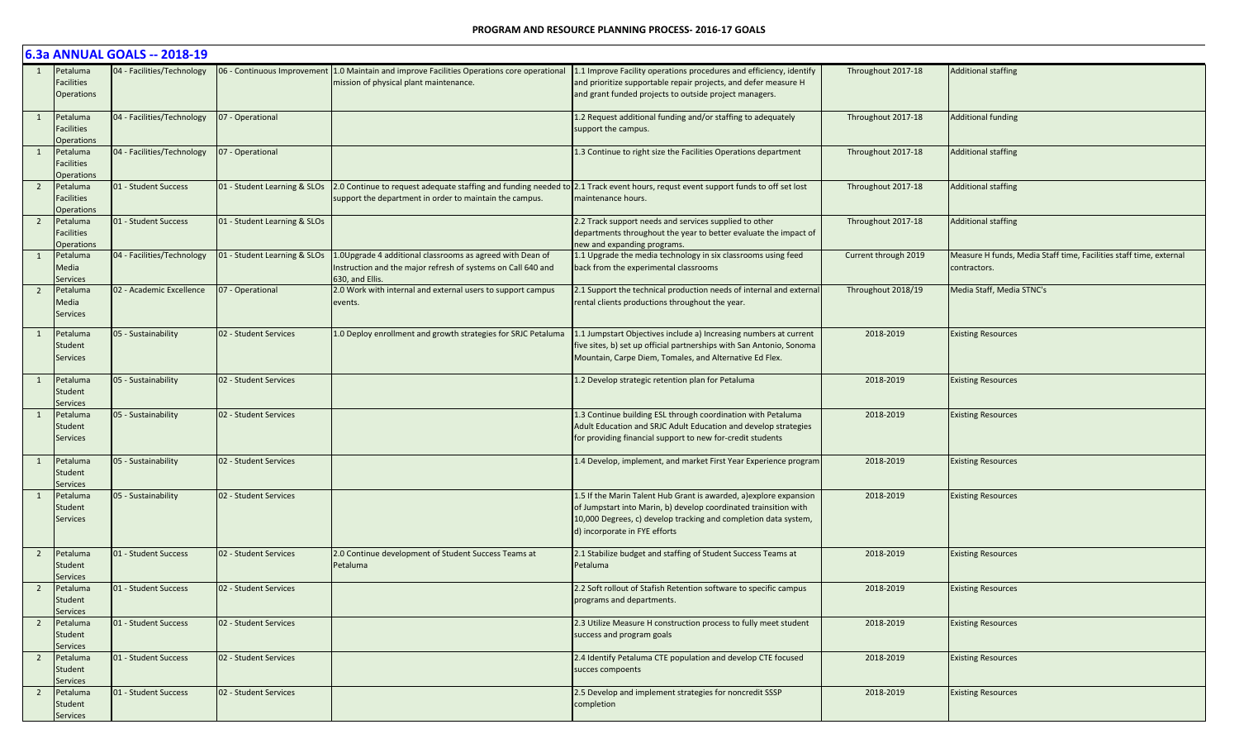|                |                                                    | 6.3a ANNUAL GOALS -- 2018-19 |                              |                                                                                                                                              |                                                                                                                                                                                                                                            |                      |                                                                                    |
|----------------|----------------------------------------------------|------------------------------|------------------------------|----------------------------------------------------------------------------------------------------------------------------------------------|--------------------------------------------------------------------------------------------------------------------------------------------------------------------------------------------------------------------------------------------|----------------------|------------------------------------------------------------------------------------|
|                | Petaluma<br>Facilities<br><b>Operations</b>        | 04 - Facilities/Technology   | 6 - Continuous Improvement   | 1.0 Maintain and improve Facilities Operations core operational<br>mission of physical plant maintenance.                                    | 1.1 Improve Facility operations procedures and efficiency, identify<br>and prioritize supportable repair projects, and defer measure H<br>and grant funded projects to outside project managers.                                           | Throughout 2017-18   | <b>Additional staffing</b>                                                         |
| 1              | Petaluma<br><b>Facilities</b><br><b>Operations</b> | 04 - Facilities/Technology   | 07 - Operational             |                                                                                                                                              | 1.2 Request additional funding and/or staffing to adequately<br>support the campus.                                                                                                                                                        | Throughout 2017-18   | <b>Additional funding</b>                                                          |
|                | Petaluma<br>Facilities<br><b>Operations</b>        | 04 - Facilities/Technology   | 07 - Operational             |                                                                                                                                              | 1.3 Continue to right size the Facilities Operations department                                                                                                                                                                            | Throughout 2017-18   | <b>Additional staffing</b>                                                         |
| $\overline{2}$ | Petaluma<br>Facilities<br><b>Operations</b>        | 01 - Student Success         | 01 - Student Learning & SLOs | support the department in order to maintain the campus.                                                                                      | 2.0 Continue to request adequate staffing and funding needed to 2.1 Track event hours, requst event support funds to off set lost<br>maintenance hours.                                                                                    | Throughout 2017-18   | <b>Additional staffing</b>                                                         |
| $\overline{2}$ | Petaluma<br>Facilities<br><b>Operations</b>        | 01 - Student Success         | 01 - Student Learning & SLOs |                                                                                                                                              | 2.2 Track support needs and services supplied to other<br>departments throughout the year to better evaluate the impact of<br>new and expanding programs.                                                                                  | Throughout 2017-18   | <b>Additional staffing</b>                                                         |
|                | Petaluma<br>Media<br>Services                      | 04 - Facilities/Technology   | 01 - Student Learning & SLOs | 1.0Upgrade 4 additional classrooms as agreed with Dean of<br>Instruction and the major refresh of systems on Call 640 and<br>630, and Ellis. | 1.1 Upgrade the media technology in six classrooms using feed<br>back from the experimental classrooms                                                                                                                                     | Current through 2019 | Measure H funds, Media Staff time, Facilities staff time, external<br>contractors. |
| $\overline{2}$ | Petaluma<br>Media<br><b>Services</b>               | 02 - Academic Excellence     | 07 - Operational             | 2.0 Work with internal and external users to support campus<br>events.                                                                       | 2.1 Support the technical production needs of internal and external<br>rental clients productions throughout the year.                                                                                                                     | Throughout 2018/19   | Media Staff, Media STNC's                                                          |
|                | Petaluma<br>Student<br><b>Services</b>             | 05 - Sustainability          | 02 - Student Services        | 1.0 Deploy enrollment and growth strategies for SRJC Petaluma                                                                                | 1.1 Jumpstart Objectives include a) Increasing numbers at current<br>five sites, b) set up official partnerships with San Antonio, Sonoma<br>Mountain, Carpe Diem, Tomales, and Alternative Ed Flex.                                       | 2018-2019            | <b>Existing Resources</b>                                                          |
|                | Petaluma<br>Student<br><b>Services</b>             | 05 - Sustainability          | 02 - Student Services        |                                                                                                                                              | 1.2 Develop strategic retention plan for Petaluma                                                                                                                                                                                          | 2018-2019            | <b>Existing Resources</b>                                                          |
|                | Petaluma<br>Student<br><b>Services</b>             | 05 - Sustainability          | 02 - Student Services        |                                                                                                                                              | 1.3 Continue building ESL through coordination with Petaluma<br>Adult Education and SRJC Adult Education and develop strategies<br>for providing financial support to new for-credit students                                              | 2018-2019            | <b>Existing Resources</b>                                                          |
|                | Petaluma<br>Student<br>Services                    | 05 - Sustainability          | 02 - Student Services        |                                                                                                                                              | 1.4 Develop, implement, and market First Year Experience program                                                                                                                                                                           | 2018-2019            | <b>Existing Resources</b>                                                          |
|                | Petaluma<br>Student<br><b>Services</b>             | 05 - Sustainability          | 02 - Student Services        |                                                                                                                                              | 1.5 If the Marin Talent Hub Grant is awarded, a) explore expansion<br>of Jumpstart into Marin, b) develop coordinated trainsition with<br>10,000 Degrees, c) develop tracking and completion data system,<br>d) incorporate in FYE efforts | 2018-2019            | <b>Existing Resources</b>                                                          |
| $\overline{2}$ | Petaluma<br>Student<br><b>Services</b>             | 01 - Student Success         | 02 - Student Services        | 2.0 Continue development of Student Success Teams at<br>Petaluma                                                                             | 2.1 Stabilize budget and staffing of Student Success Teams at<br>Petaluma                                                                                                                                                                  | 2018-2019            | <b>Existing Resources</b>                                                          |
| $\overline{2}$ | Petaluma<br>Student<br><b>Services</b>             | 01 - Student Success         | 02 - Student Services        |                                                                                                                                              | 2.2 Soft rollout of Stafish Retention software to specific campus<br>programs and departments.                                                                                                                                             | 2018-2019            | <b>Existing Resources</b>                                                          |
| $2^{\circ}$    | Petaluma<br>Student<br><b>Services</b>             | 01 - Student Success         | 02 - Student Services        |                                                                                                                                              | 2.3 Utilize Measure H construction process to fully meet student<br>success and program goals                                                                                                                                              | 2018-2019            | <b>Existing Resources</b>                                                          |
| $\overline{2}$ | Petaluma<br>Student<br><b>Services</b>             | 01 - Student Success         | 02 - Student Services        |                                                                                                                                              | 2.4 Identify Petaluma CTE population and develop CTE focused<br>succes compoents                                                                                                                                                           | 2018-2019            | <b>Existing Resources</b>                                                          |
| $\overline{2}$ | Petaluma<br>Student<br>Services                    | 01 - Student Success         | 02 - Student Services        |                                                                                                                                              | 2.5 Develop and implement strategies for noncredit SSSP<br>completion                                                                                                                                                                      | 2018-2019            | <b>Existing Resources</b>                                                          |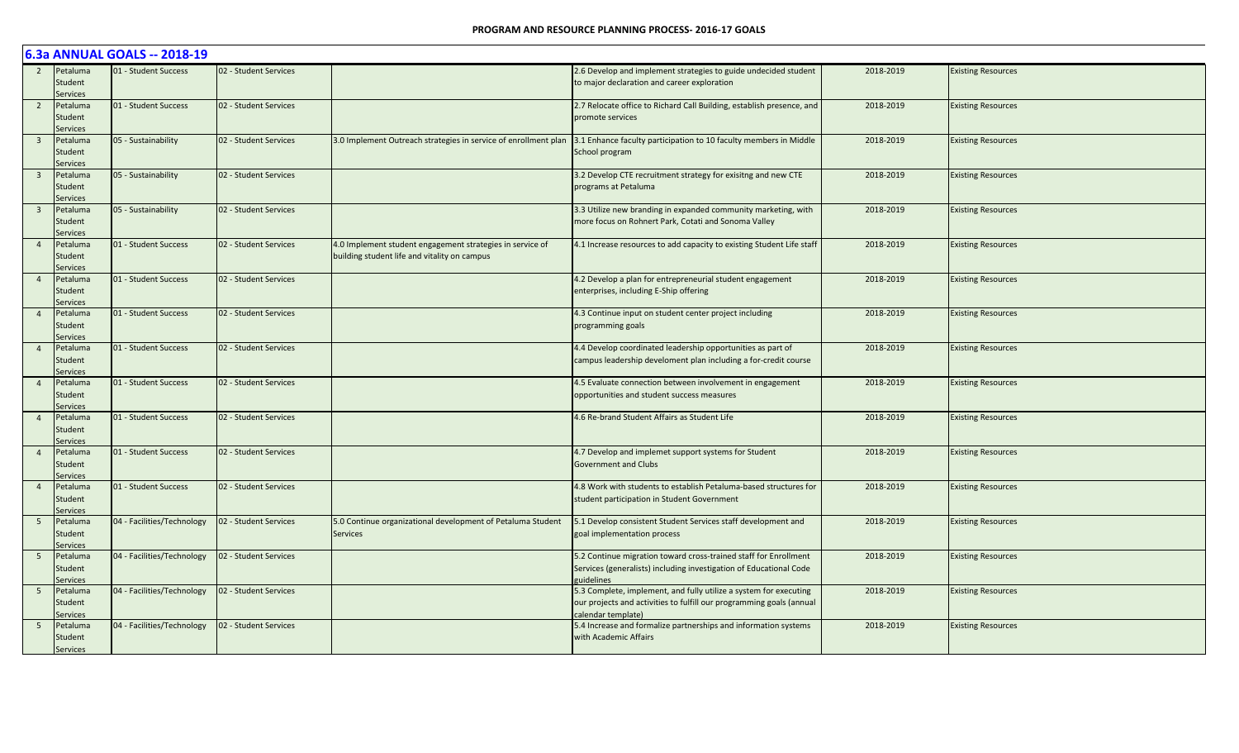|                         | 6.3a ANNUAL GOALS -- 2018-19           |                            |                       |                                                                                                           |                                                                                                                                                                 |           |                           |  |  |  |  |
|-------------------------|----------------------------------------|----------------------------|-----------------------|-----------------------------------------------------------------------------------------------------------|-----------------------------------------------------------------------------------------------------------------------------------------------------------------|-----------|---------------------------|--|--|--|--|
| 2                       | Petaluma<br>Student<br><b>Services</b> | 01 - Student Success       | 02 - Student Services |                                                                                                           | 2.6 Develop and implement strategies to guide undecided student<br>to major declaration and career exploration                                                  | 2018-2019 | <b>Existing Resources</b> |  |  |  |  |
| $\overline{2}$          | Petaluma<br>Student<br>Services        | 01 - Student Success       | 02 - Student Services |                                                                                                           | 2.7 Relocate office to Richard Call Building, establish presence, and<br>promote services                                                                       | 2018-2019 | <b>Existing Resources</b> |  |  |  |  |
| $\overline{\mathbf{3}}$ | Petaluma<br>Student<br>Services        | 05 - Sustainability        | 02 - Student Services |                                                                                                           | 3.0 Implement Outreach strategies in service of enrollment plan 3.1 Enhance faculty participation to 10 faculty members in Middle<br>School program             | 2018-2019 | <b>Existing Resources</b> |  |  |  |  |
| $\overline{\mathbf{3}}$ | Petaluma<br>Student<br>Services        | 05 - Sustainability        | 02 - Student Services |                                                                                                           | 3.2 Develop CTE recruitment strategy for exisitng and new CTE<br>programs at Petaluma                                                                           | 2018-2019 | <b>Existing Resources</b> |  |  |  |  |
| $\overline{\mathbf{3}}$ | Petaluma<br>Student<br><b>Services</b> | 05 - Sustainability        | 02 - Student Services |                                                                                                           | 3.3 Utilize new branding in expanded community marketing, with<br>more focus on Rohnert Park, Cotati and Sonoma Valley                                          | 2018-2019 | <b>Existing Resources</b> |  |  |  |  |
| $\overline{4}$          | Petaluma<br>Student<br><b>Services</b> | 01 - Student Success       | 02 - Student Services | 4.0 Implement student engagement strategies in service of<br>building student life and vitality on campus | 4.1 Increase resources to add capacity to existing Student Life staff                                                                                           | 2018-2019 | <b>Existing Resources</b> |  |  |  |  |
| $\overline{4}$          | Petaluma<br>Student<br>Services        | 01 - Student Success       | 02 - Student Services |                                                                                                           | 4.2 Develop a plan for entrepreneurial student engagement<br>enterprises, including E-Ship offering                                                             | 2018-2019 | <b>Existing Resources</b> |  |  |  |  |
| $\overline{4}$          | Petaluma<br>Student<br><b>Services</b> | 01 - Student Success       | 02 - Student Services |                                                                                                           | 4.3 Continue input on student center project including<br>programming goals                                                                                     | 2018-2019 | <b>Existing Resources</b> |  |  |  |  |
| $\overline{a}$          | Petaluma<br>Student<br><b>Services</b> | 01 - Student Success       | 02 - Student Services |                                                                                                           | 4.4 Develop coordinated leadership opportunities as part of<br>campus leadership develoment plan including a for-credit course                                  | 2018-2019 | <b>Existing Resources</b> |  |  |  |  |
| $\overline{4}$          | Petaluma<br>Student<br>Services        | 01 - Student Success       | 02 - Student Services |                                                                                                           | 4.5 Evaluate connection between involvement in engagement<br>opportunities and student success measures                                                         | 2018-2019 | <b>Existing Resources</b> |  |  |  |  |
| $\overline{4}$          | Petaluma<br>Student<br>Services        | 01 - Student Success       | 02 - Student Services |                                                                                                           | 4.6 Re-brand Student Affairs as Student Life                                                                                                                    | 2018-2019 | <b>Existing Resources</b> |  |  |  |  |
| $\overline{4}$          | Petaluma<br>Student<br>Services        | 01 - Student Success       | 02 - Student Services |                                                                                                           | 4.7 Develop and implemet support systems for Student<br><b>Government and Clubs</b>                                                                             | 2018-2019 | <b>Existing Resources</b> |  |  |  |  |
| $\overline{4}$          | Petaluma<br>Student<br>Services        | 01 - Student Success       | 02 - Student Services |                                                                                                           | 4.8 Work with students to establish Petaluma-based structures for<br>student participation in Student Government                                                | 2018-2019 | <b>Existing Resources</b> |  |  |  |  |
| $5\overline{)}$         | Petaluma<br>Student<br><b>Services</b> | 04 - Facilities/Technology | 02 - Student Services | 5.0 Continue organizational development of Petaluma Student<br>Services                                   | 5.1 Develop consistent Student Services staff development and<br>goal implementation process                                                                    | 2018-2019 | <b>Existing Resources</b> |  |  |  |  |
| $5\overline{)}$         | Petaluma<br>Student<br>Services        | 04 - Facilities/Technology | 02 - Student Services |                                                                                                           | 5.2 Continue migration toward cross-trained staff for Enrollment<br>Services (generalists) including investigation of Educational Code<br>guidelines            | 2018-2019 | <b>Existing Resources</b> |  |  |  |  |
| 5 <sup>5</sup>          | Petaluma<br>Student<br><b>Services</b> | 04 - Facilities/Technology | 02 - Student Services |                                                                                                           | 5.3 Complete, implement, and fully utilize a system for executing<br>our projects and activities to fulfill our programming goals (annual<br>calendar template) | 2018-2019 | <b>Existing Resources</b> |  |  |  |  |
| 5 <sup>5</sup>          | Petaluma<br>Student<br>Services        | 04 - Facilities/Technology | 02 - Student Services |                                                                                                           | 5.4 Increase and formalize partnerships and information systems<br>with Academic Affairs                                                                        | 2018-2019 | <b>Existing Resources</b> |  |  |  |  |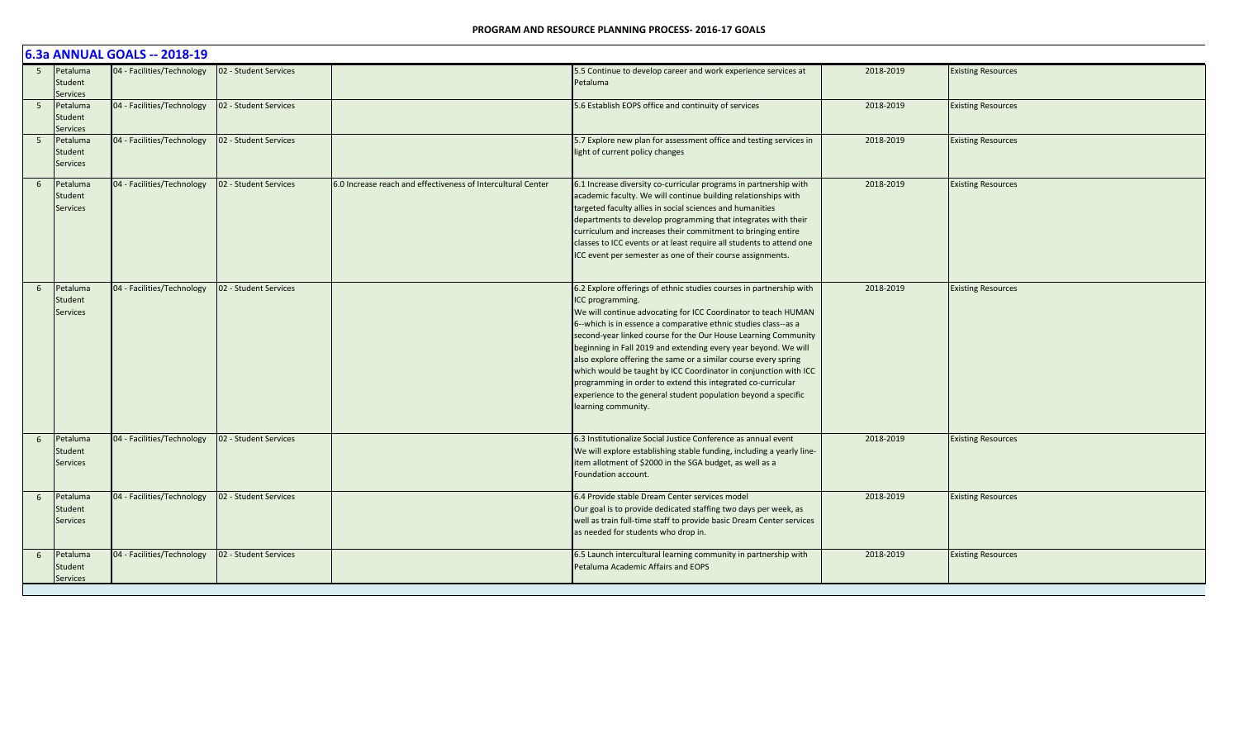|                | 6.3a ANNUAL GOALS -- 2018-19           |                            |                       |                                                              |                                                                                                                                                                                                                                                                                                                                                                                                                                                                                                                                                                                                                                                                   |           |                           |  |  |  |  |
|----------------|----------------------------------------|----------------------------|-----------------------|--------------------------------------------------------------|-------------------------------------------------------------------------------------------------------------------------------------------------------------------------------------------------------------------------------------------------------------------------------------------------------------------------------------------------------------------------------------------------------------------------------------------------------------------------------------------------------------------------------------------------------------------------------------------------------------------------------------------------------------------|-----------|---------------------------|--|--|--|--|
| 5 <sup>5</sup> | Petaluma<br>Student<br>Services        | 04 - Facilities/Technology | 02 - Student Services |                                                              | 5.5 Continue to develop career and work experience services at<br>Petaluma                                                                                                                                                                                                                                                                                                                                                                                                                                                                                                                                                                                        | 2018-2019 | <b>Existing Resources</b> |  |  |  |  |
| 5 <sup>5</sup> | Petaluma<br>Student<br><b>Services</b> | 04 - Facilities/Technology | 02 - Student Services |                                                              | 5.6 Establish EOPS office and continuity of services                                                                                                                                                                                                                                                                                                                                                                                                                                                                                                                                                                                                              | 2018-2019 | <b>Existing Resources</b> |  |  |  |  |
| 5 <sup>5</sup> | Petaluma<br>Student<br>Services        | 04 - Facilities/Technology | 02 - Student Services |                                                              | 5.7 Explore new plan for assessment office and testing services in<br>light of current policy changes                                                                                                                                                                                                                                                                                                                                                                                                                                                                                                                                                             | 2018-2019 | <b>Existing Resources</b> |  |  |  |  |
| 6              | Petaluma<br>Student<br>Services        | 04 - Facilities/Technology | 02 - Student Services | 6.0 Increase reach and effectiveness of Intercultural Center | 6.1 Increase diversity co-curricular programs in partnership with<br>academic faculty. We will continue building relationships with<br>targeted faculty allies in social sciences and humanities<br>departments to develop programming that integrates with their<br>curriculum and increases their commitment to bringing entire<br>classes to ICC events or at least require all students to attend one<br>ICC event per semester as one of their course assignments.                                                                                                                                                                                           | 2018-2019 | <b>Existing Resources</b> |  |  |  |  |
| 6              | Petaluma<br>Student<br><b>Services</b> | 04 - Facilities/Technology | 02 - Student Services |                                                              | 6.2 Explore offerings of ethnic studies courses in partnership with<br>ICC programming.<br>We will continue advocating for ICC Coordinator to teach HUMAN<br>6--which is in essence a comparative ethnic studies class--as a<br>second-year linked course for the Our House Learning Community<br>beginning in Fall 2019 and extending every year beyond. We will<br>also explore offering the same or a similar course every spring<br>which would be taught by ICC Coordinator in conjunction with ICC<br>programming in order to extend this integrated co-curricular<br>experience to the general student population beyond a specific<br>learning community. | 2018-2019 | <b>Existing Resources</b> |  |  |  |  |
| 6              | Petaluma<br>Student<br><b>Services</b> | 04 - Facilities/Technology | 02 - Student Services |                                                              | 6.3 Institutionalize Social Justice Conference as annual event<br>We will explore establishing stable funding, including a yearly line-<br>item allotment of \$2000 in the SGA budget, as well as a<br>Foundation account.                                                                                                                                                                                                                                                                                                                                                                                                                                        | 2018-2019 | <b>Existing Resources</b> |  |  |  |  |
| 6              | Petaluma<br>Student<br>Services        | 04 - Facilities/Technology | 02 - Student Services |                                                              | 6.4 Provide stable Dream Center services model<br>Our goal is to provide dedicated staffing two days per week, as<br>well as train full-time staff to provide basic Dream Center services<br>as needed for students who drop in.                                                                                                                                                                                                                                                                                                                                                                                                                                  | 2018-2019 | <b>Existing Resources</b> |  |  |  |  |
| 6              | Petaluma<br>Student<br><b>Services</b> | 04 - Facilities/Technology | 02 - Student Services |                                                              | 6.5 Launch intercultural learning community in partnership with<br>Petaluma Academic Affairs and EOPS                                                                                                                                                                                                                                                                                                                                                                                                                                                                                                                                                             | 2018-2019 | <b>Existing Resources</b> |  |  |  |  |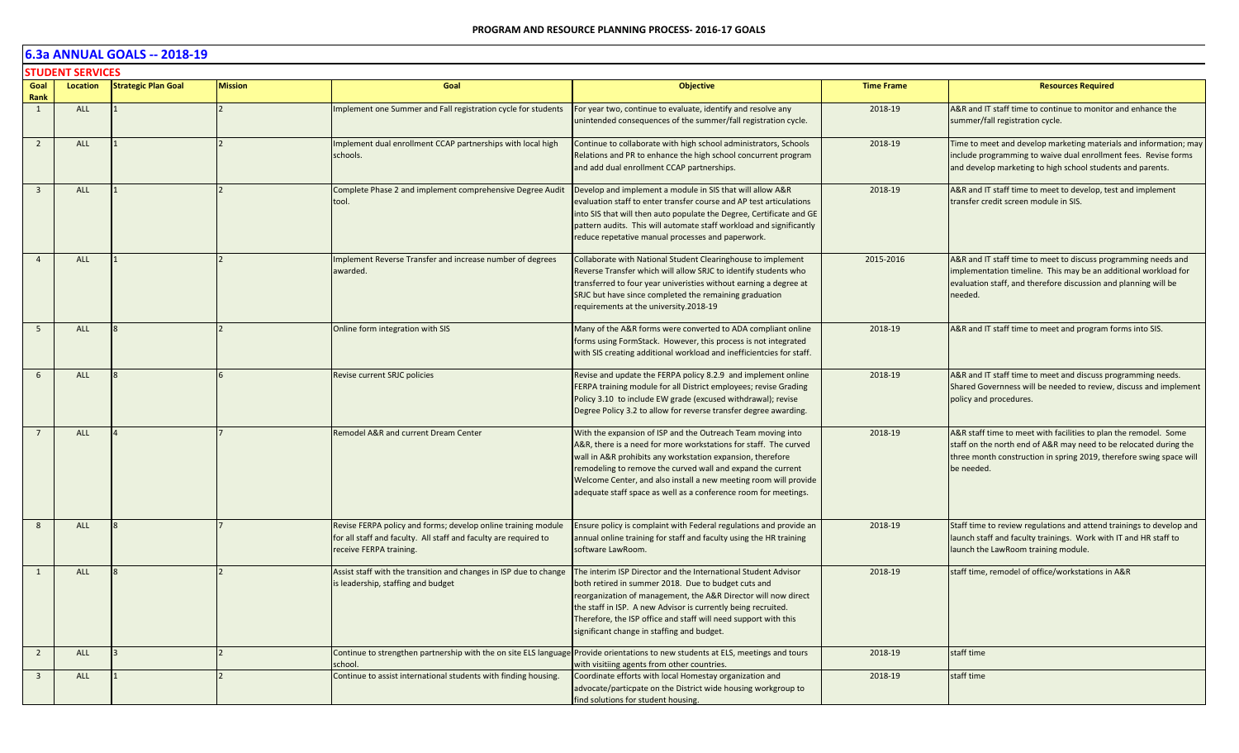|                         | <b>STUDENT SERVICES</b> |                            |                |                                                                                                                                                              |                                                                                                                                                                                                                                                                                                                                                                                                     |                   |                                                                                                                                                                                                                            |  |  |  |
|-------------------------|-------------------------|----------------------------|----------------|--------------------------------------------------------------------------------------------------------------------------------------------------------------|-----------------------------------------------------------------------------------------------------------------------------------------------------------------------------------------------------------------------------------------------------------------------------------------------------------------------------------------------------------------------------------------------------|-------------------|----------------------------------------------------------------------------------------------------------------------------------------------------------------------------------------------------------------------------|--|--|--|
| Goal<br>Rank            | Location                | <b>Strategic Plan Goal</b> | <b>Mission</b> | Goal                                                                                                                                                         | <b>Objective</b>                                                                                                                                                                                                                                                                                                                                                                                    | <b>Time Frame</b> | <b>Resources Required</b>                                                                                                                                                                                                  |  |  |  |
| $\mathbf{1}$            | ALL                     |                            |                | mplement one Summer and Fall registration cycle for students                                                                                                 | For year two, continue to evaluate, identify and resolve any<br>unintended consequences of the summer/fall registration cycle.                                                                                                                                                                                                                                                                      | 2018-19           | A&R and IT staff time to continue to monitor and enhance the<br>summer/fall registration cycle.                                                                                                                            |  |  |  |
| $\overline{2}$          | ALL                     |                            |                | mplement dual enrollment CCAP partnerships with local high<br>schools.                                                                                       | Continue to collaborate with high school administrators, Schools<br>Relations and PR to enhance the high school concurrent program<br>and add dual enrollment CCAP partnerships.                                                                                                                                                                                                                    | 2018-19           | Time to meet and develop marketing materials and information; may<br>include programming to waive dual enrollment fees. Revise forms<br>and develop marketing to high school students and parents.                         |  |  |  |
| $\overline{3}$          | <b>ALL</b>              |                            |                | Complete Phase 2 and implement comprehensive Degree Audit<br>tool.                                                                                           | Develop and implement a module in SIS that will allow A&R<br>evaluation staff to enter transfer course and AP test articulations<br>into SIS that will then auto populate the Degree, Certificate and GE<br>pattern audits. This will automate staff workload and significantly<br>reduce repetative manual processes and paperwork.                                                                | 2018-19           | A&R and IT staff time to meet to develop, test and implement<br>transfer credit screen module in SIS.                                                                                                                      |  |  |  |
| $\overline{4}$          | <b>ALL</b>              |                            |                | Implement Reverse Transfer and increase number of degrees<br>awarded.                                                                                        | Collaborate with National Student Clearinghouse to implement<br>Reverse Transfer which will allow SRJC to identify students who<br>transferred to four year univeristies without earning a degree at<br>SRJC but have since completed the remaining graduation<br>requirements at the university.2018-19                                                                                            | 2015-2016         | A&R and IT staff time to meet to discuss programming needs and<br>implementation timeline. This may be an additional workload for<br>evaluation staff, and therefore discussion and planning will be<br>needed.            |  |  |  |
| 5                       | <b>ALL</b>              |                            |                | Online form integration with SIS                                                                                                                             | Many of the A&R forms were converted to ADA compliant online<br>forms using FormStack. However, this process is not integrated<br>with SIS creating additional workload and inefficientcies for staff.                                                                                                                                                                                              | 2018-19           | A&R and IT staff time to meet and program forms into SIS.                                                                                                                                                                  |  |  |  |
| 6                       | <b>ALL</b>              |                            |                | Revise current SRJC policies                                                                                                                                 | Revise and update the FERPA policy 8.2.9 and implement online<br>FERPA training module for all District employees; revise Grading<br>Policy 3.10 to include EW grade (excused withdrawal); revise<br>Degree Policy 3.2 to allow for reverse transfer degree awarding.                                                                                                                               | 2018-19           | A&R and IT staff time to meet and discuss programming needs.<br>Shared Governness will be needed to review, discuss and implement<br>policy and procedures.                                                                |  |  |  |
|                         | <b>ALL</b>              |                            |                | Remodel A&R and current Dream Center                                                                                                                         | With the expansion of ISP and the Outreach Team moving into<br>A&R, there is a need for more workstations for staff. The curved<br>wall in A&R prohibits any workstation expansion, therefore<br>remodeling to remove the curved wall and expand the current<br>Welcome Center, and also install a new meeting room will provide<br>adequate staff space as well as a conference room for meetings. | 2018-19           | A&R staff time to meet with facilities to plan the remodel. Some<br>staff on the north end of A&R may need to be relocated during the<br>three month construction in spring 2019, therefore swing space will<br>be needed. |  |  |  |
| 8                       | ALL                     |                            |                | Revise FERPA policy and forms; develop online training module<br>for all staff and faculty. All staff and faculty are required to<br>receive FERPA training. | Ensure policy is complaint with Federal regulations and provide an<br>annual online training for staff and faculty using the HR training<br>software LawRoom.                                                                                                                                                                                                                                       | 2018-19           | Staff time to review regulations and attend trainings to develop and<br>launch staff and faculty trainings. Work with IT and HR staff to<br>launch the LawRoom training module.                                            |  |  |  |
| 1                       | ALL                     |                            |                | Assist staff with the transition and changes in ISP due to change<br>is leadership, staffing and budget                                                      | The interim ISP Director and the International Student Advisor<br>both retired in summer 2018. Due to budget cuts and<br>reorganization of management, the A&R Director will now direct<br>the staff in ISP. A new Advisor is currently being recruited.<br>Therefore, the ISP office and staff will need support with this<br>significant change in staffing and budget.                           | 2018-19           | staff time, remodel of office/workstations in A&R                                                                                                                                                                          |  |  |  |
| $\overline{2}$          | ALL                     |                            |                | school.                                                                                                                                                      | Continue to strengthen partnership with the on site ELS language Provide orientations to new students at ELS, meetings and tours<br>with visitiing agents from other countries.                                                                                                                                                                                                                     | 2018-19           | staff time                                                                                                                                                                                                                 |  |  |  |
| $\overline{\mathbf{3}}$ | <b>ALL</b>              |                            |                | Continue to assist international students with finding housing.                                                                                              | Coordinate efforts with local Homestay organization and<br>advocate/particpate on the District wide housing workgroup to<br>find solutions for student housing.                                                                                                                                                                                                                                     | 2018-19           | staff time                                                                                                                                                                                                                 |  |  |  |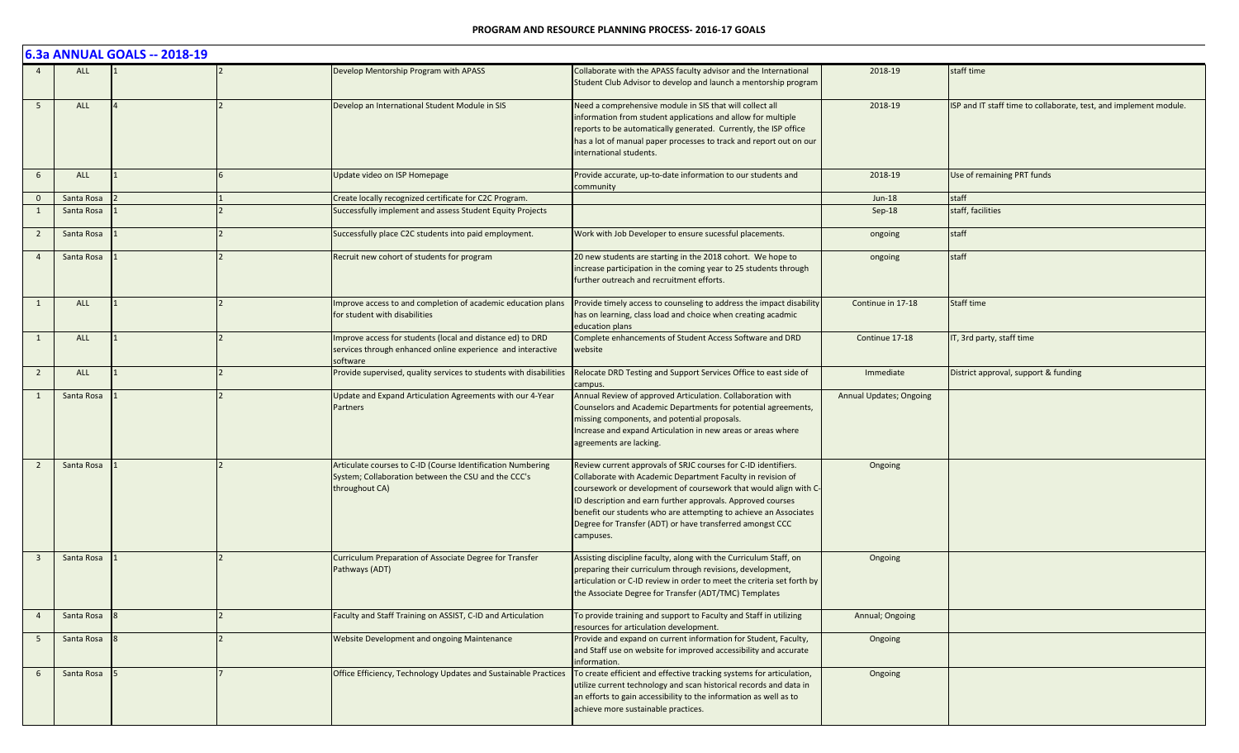|                         |            | 6.3a ANNUAL GOALS -- 2018-19 |                                                                                                                                       |                                                                                                                                                                                                                                                                                                                                                                                                                |                                |                                                                   |
|-------------------------|------------|------------------------------|---------------------------------------------------------------------------------------------------------------------------------------|----------------------------------------------------------------------------------------------------------------------------------------------------------------------------------------------------------------------------------------------------------------------------------------------------------------------------------------------------------------------------------------------------------------|--------------------------------|-------------------------------------------------------------------|
|                         | ALL        |                              | Develop Mentorship Program with APASS                                                                                                 | Collaborate with the APASS faculty advisor and the International<br>Student Club Advisor to develop and launch a mentorship program                                                                                                                                                                                                                                                                            | 2018-19                        | staff time                                                        |
| 5                       | <b>ALL</b> |                              | Develop an International Student Module in SIS                                                                                        | Need a comprehensive module in SIS that will collect all<br>information from student applications and allow for multiple<br>reports to be automatically generated. Currently, the ISP office<br>has a lot of manual paper processes to track and report out on our<br>international students.                                                                                                                  | 2018-19                        | ISP and IT staff time to collaborate, test, and implement module. |
| 6                       | <b>ALL</b> |                              | Update video on ISP Homepage                                                                                                          | Provide accurate, up-to-date information to our students and<br>community                                                                                                                                                                                                                                                                                                                                      | 2018-19                        | Use of remaining PRT funds                                        |
| $\overline{0}$          | Santa Rosa |                              | Create locally recognized certificate for C2C Program.                                                                                |                                                                                                                                                                                                                                                                                                                                                                                                                | $Jun-18$                       | staff                                                             |
| 1                       | Santa Rosa |                              | Successfully implement and assess Student Equity Projects                                                                             |                                                                                                                                                                                                                                                                                                                                                                                                                | Sep-18                         | staff, facilities                                                 |
| $\overline{2}$          | Santa Rosa |                              | Successfully place C2C students into paid employment.                                                                                 | Work with Job Developer to ensure sucessful placements.                                                                                                                                                                                                                                                                                                                                                        | ongoing                        | staff                                                             |
| $\overline{a}$          | Santa Rosa |                              | Recruit new cohort of students for program                                                                                            | 20 new students are starting in the 2018 cohort. We hope to<br>increase participation in the coming year to 25 students through<br>further outreach and recruitment efforts.                                                                                                                                                                                                                                   | ongoing                        | staff                                                             |
| 1                       | ALL        |                              | Improve access to and completion of academic education plans<br>for student with disabilities                                         | Provide timely access to counseling to address the impact disability<br>has on learning, class load and choice when creating acadmic<br>education plans                                                                                                                                                                                                                                                        | Continue in 17-18              | Staff time                                                        |
| 1                       | <b>ALL</b> |                              | Improve access for students (local and distance ed) to DRD<br>services through enhanced online experience and interactive<br>software | Complete enhancements of Student Access Software and DRD<br>website                                                                                                                                                                                                                                                                                                                                            | Continue 17-18                 | IT, 3rd party, staff time                                         |
| $\overline{2}$          | <b>ALL</b> |                              | Provide supervised, quality services to students with disabilities                                                                    | Relocate DRD Testing and Support Services Office to east side of<br>campus.                                                                                                                                                                                                                                                                                                                                    | Immediate                      | District approval, support & funding                              |
| 1                       | Santa Rosa |                              | Update and Expand Articulation Agreements with our 4-Year<br><b>Partners</b>                                                          | Annual Review of approved Articulation. Collaboration with<br>Counselors and Academic Departments for potential agreements,<br>missing components, and potential proposals.<br>Increase and expand Articulation in new areas or areas where<br>agreements are lacking.                                                                                                                                         | <b>Annual Updates; Ongoing</b> |                                                                   |
| $\overline{2}$          | Santa Rosa |                              | Articulate courses to C-ID (Course Identification Numbering<br>System; Collaboration between the CSU and the CCC's<br>throughout CA)  | Review current approvals of SRJC courses for C-ID identifiers.<br>Collaborate with Academic Department Faculty in revision of<br>coursework or development of coursework that would align with C-<br>ID description and earn further approvals. Approved courses<br>benefit our students who are attempting to achieve an Associates<br>Degree for Transfer (ADT) or have transferred amongst CCC<br>campuses. | Ongoing                        |                                                                   |
| $\overline{\mathbf{3}}$ | Santa Rosa |                              | Curriculum Preparation of Associate Degree for Transfer<br>Pathways (ADT)                                                             | Assisting discipline faculty, along with the Curriculum Staff, on<br>preparing their curriculum through revisions, development,<br>articulation or C-ID review in order to meet the criteria set forth by<br>the Associate Degree for Transfer (ADT/TMC) Templates                                                                                                                                             | Ongoing                        |                                                                   |
| $\overline{4}$          | Santa Rosa |                              | Faculty and Staff Training on ASSIST, C-ID and Articulation                                                                           | To provide training and support to Faculty and Staff in utilizing<br>resources for articulation development.                                                                                                                                                                                                                                                                                                   | Annual; Ongoing                |                                                                   |
| $5\overline{)}$         | Santa Rosa |                              | Website Development and ongoing Maintenance                                                                                           | Provide and expand on current information for Student, Faculty,<br>and Staff use on website for improved accessibility and accurate<br>information.                                                                                                                                                                                                                                                            | Ongoing                        |                                                                   |
| 6                       | Santa Rosa |                              | Office Efficiency, Technology Updates and Sustainable Practices                                                                       | To create efficient and effective tracking systems for articulation,<br>utilize current technology and scan historical records and data in<br>an efforts to gain accessibility to the information as well as to<br>achieve more sustainable practices.                                                                                                                                                         | Ongoing                        |                                                                   |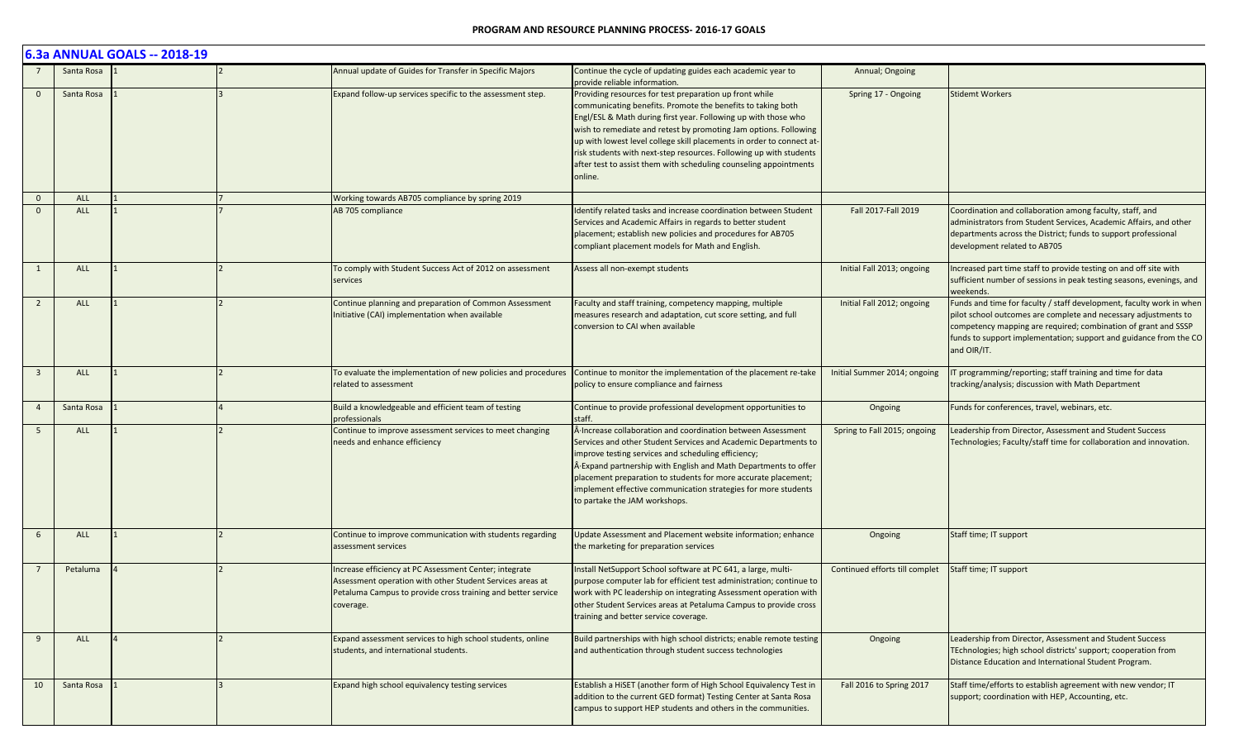|                         |            | 6.3a ANNUAL GOALS -- 2018-19 |                                                                                                                                                                                                  |                                                                                                                                                                                                                                                                                                                                                                                                                                                                                             |                                |                                                                                                                                                                                                                                                                                               |
|-------------------------|------------|------------------------------|--------------------------------------------------------------------------------------------------------------------------------------------------------------------------------------------------|---------------------------------------------------------------------------------------------------------------------------------------------------------------------------------------------------------------------------------------------------------------------------------------------------------------------------------------------------------------------------------------------------------------------------------------------------------------------------------------------|--------------------------------|-----------------------------------------------------------------------------------------------------------------------------------------------------------------------------------------------------------------------------------------------------------------------------------------------|
|                         | Santa Rosa |                              | Annual update of Guides for Transfer in Specific Majors                                                                                                                                          | Continue the cycle of updating guides each academic year to<br>provide reliable information.                                                                                                                                                                                                                                                                                                                                                                                                | Annual; Ongoing                |                                                                                                                                                                                                                                                                                               |
| $\mathbf{0}$            | Santa Rosa |                              | Expand follow-up services specific to the assessment step.                                                                                                                                       | Providing resources for test preparation up front while<br>communicating benefits. Promote the benefits to taking both<br>Engl/ESL & Math during first year. Following up with those who<br>wish to remediate and retest by promoting Jam options. Following<br>up with lowest level college skill placements in order to connect at-<br>risk students with next-step resources. Following up with students<br>after test to assist them with scheduling counseling appointments<br>online. | Spring 17 - Ongoing            | <b>Stidemt Workers</b>                                                                                                                                                                                                                                                                        |
| $\mathbf{0}$            | ALL        |                              | Working towards AB705 compliance by spring 2019                                                                                                                                                  |                                                                                                                                                                                                                                                                                                                                                                                                                                                                                             |                                |                                                                                                                                                                                                                                                                                               |
| $\Omega$                | <b>ALL</b> |                              | AB 705 compliance                                                                                                                                                                                | Identify related tasks and increase coordination between Student<br>Services and Academic Affairs in regards to better student<br>placement; establish new policies and procedures for AB705<br>compliant placement models for Math and English.                                                                                                                                                                                                                                            | Fall 2017-Fall 2019            | Coordination and collaboration among faculty, staff, and<br>administrators from Student Services, Academic Affairs, and other<br>departments across the District; funds to support professional<br>development related to AB705                                                               |
| 1                       | <b>ALL</b> |                              | To comply with Student Success Act of 2012 on assessment<br>services                                                                                                                             | Assess all non-exempt students                                                                                                                                                                                                                                                                                                                                                                                                                                                              | Initial Fall 2013; ongoing     | Increased part time staff to provide testing on and off site with<br>sufficient number of sessions in peak testing seasons, evenings, and<br>weekends.                                                                                                                                        |
| $\overline{2}$          | <b>ALL</b> |                              | Continue planning and preparation of Common Assessment<br>Initiative (CAI) implementation when available                                                                                         | Faculty and staff training, competency mapping, multiple<br>measures research and adaptation, cut score setting, and full<br>conversion to CAI when available                                                                                                                                                                                                                                                                                                                               | Initial Fall 2012; ongoing     | Funds and time for faculty / staff development, faculty work in when<br>pilot school outcomes are complete and necessary adjustments to<br>competency mapping are required; combination of grant and SSSP<br>funds to support implementation; support and guidance from the CO<br>and OIR/IT. |
| $\overline{\mathbf{3}}$ | <b>ALL</b> |                              | To evaluate the implementation of new policies and procedures<br>related to assessment                                                                                                           | Continue to monitor the implementation of the placement re-take<br>policy to ensure compliance and fairness                                                                                                                                                                                                                                                                                                                                                                                 | Initial Summer 2014; ongoing   | IT programming/reporting; staff training and time for data<br>tracking/analysis; discussion with Math Department                                                                                                                                                                              |
| $\overline{4}$          | Santa Rosa |                              | Build a knowledgeable and efficient team of testing<br>professionals                                                                                                                             | Continue to provide professional development opportunities to<br>staff.                                                                                                                                                                                                                                                                                                                                                                                                                     | Ongoing                        | Funds for conferences, travel, webinars, etc.                                                                                                                                                                                                                                                 |
| 5                       | <b>ALL</b> |                              | Continue to improve assessment services to meet changing<br>needs and enhance efficiency                                                                                                         | A Increase collaboration and coordination between Assessment<br>Services and other Student Services and Academic Departments to<br>improve testing services and scheduling efficiency;<br>A Expand partnership with English and Math Departments to offer<br>placement preparation to students for more accurate placement;<br>implement effective communication strategies for more students<br>to partake the JAM workshops.                                                              | Spring to Fall 2015; ongoing   | Leadership from Director, Assessment and Student Success<br>Technologies; Faculty/staff time for collaboration and innovation.                                                                                                                                                                |
| 6                       | ALL        |                              | Continue to improve communication with students regarding<br>assessment services                                                                                                                 | Update Assessment and Placement website information; enhance<br>the marketing for preparation services                                                                                                                                                                                                                                                                                                                                                                                      | Ongoing                        | Staff time; IT support                                                                                                                                                                                                                                                                        |
| $7\overline{ }$         | Petaluma   |                              | Increase efficiency at PC Assessment Center; integrate<br>Assessment operation with other Student Services areas at<br>Petaluma Campus to provide cross training and better service<br>coverage. | Install NetSupport School software at PC 641, a large, multi-<br>purpose computer lab for efficient test administration; continue to<br>work with PC leadership on integrating Assessment operation with<br>other Student Services areas at Petaluma Campus to provide cross<br>training and better service coverage.                                                                                                                                                                       | Continued efforts till complet | Staff time; IT support                                                                                                                                                                                                                                                                        |
| 9                       | ALL        |                              | Expand assessment services to high school students, online<br>students, and international students.                                                                                              | Build partnerships with high school districts; enable remote testing<br>and authentication through student success technologies                                                                                                                                                                                                                                                                                                                                                             | Ongoing                        | Leadership from Director, Assessment and Student Success<br>TEchnologies; high school districts' support; cooperation from<br>Distance Education and International Student Program.                                                                                                           |
| 10                      | Santa Rosa |                              | Expand high school equivalency testing services                                                                                                                                                  | Establish a HiSET (another form of High School Equivalency Test in<br>addition to the current GED format) Testing Center at Santa Rosa<br>campus to support HEP students and others in the communities.                                                                                                                                                                                                                                                                                     | Fall 2016 to Spring 2017       | Staff time/efforts to establish agreement with new vendor; IT<br>support; coordination with HEP, Accounting, etc.                                                                                                                                                                             |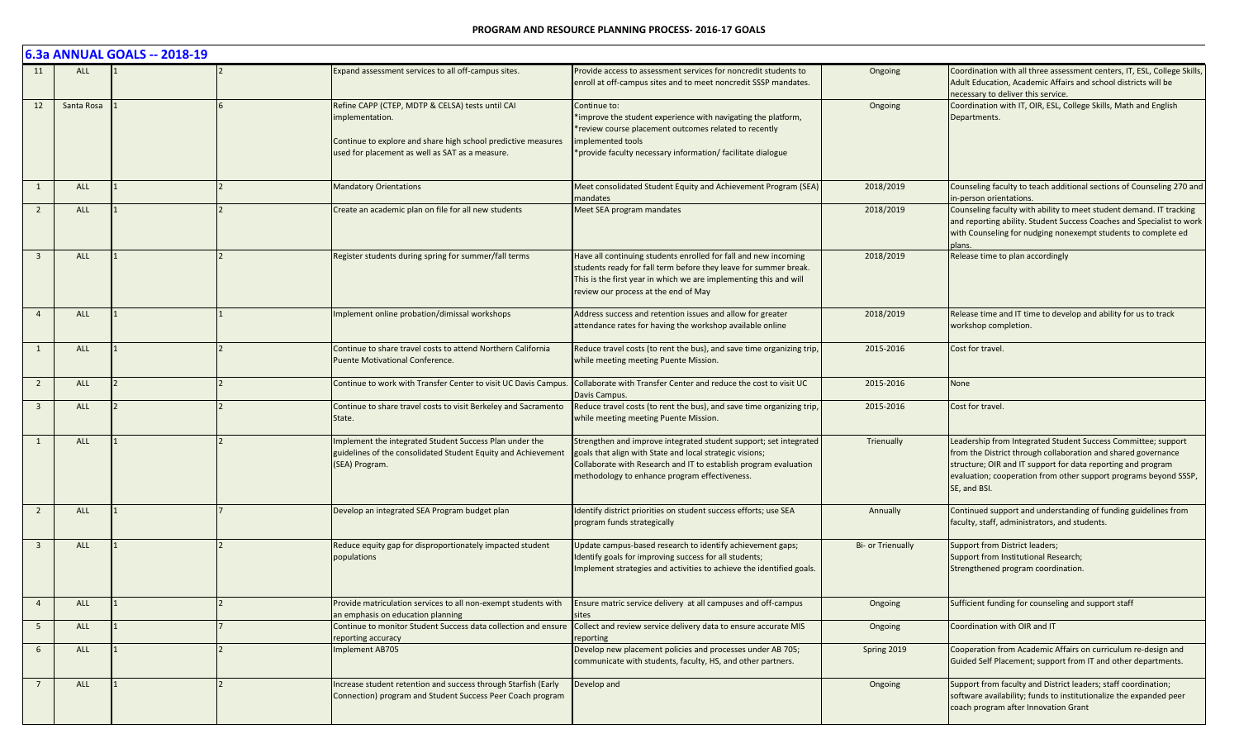|                         |            | 6.3a ANNUAL GOALS -- 2018-19 |                                                                                                                                                                                        |                                                                                                                                                                                                                                                    |                   |                                                                                                                                                                                                                                                                                    |
|-------------------------|------------|------------------------------|----------------------------------------------------------------------------------------------------------------------------------------------------------------------------------------|----------------------------------------------------------------------------------------------------------------------------------------------------------------------------------------------------------------------------------------------------|-------------------|------------------------------------------------------------------------------------------------------------------------------------------------------------------------------------------------------------------------------------------------------------------------------------|
| 11                      | <b>ALL</b> |                              | Expand assessment services to all off-campus sites.                                                                                                                                    | Provide access to assessment services for noncredit students to<br>enroll at off-campus sites and to meet noncredit SSSP mandates.                                                                                                                 | Ongoing           | Coordination with all three assessment centers, IT, ESL, College Skills,<br>Adult Education, Academic Affairs and school districts will be<br>necessary to deliver this service.                                                                                                   |
| 12                      | Santa Rosa |                              | Refine CAPP (CTEP, MDTP & CELSA) tests until CAI<br>mplementation.<br>Continue to explore and share high school predictive measures<br>used for placement as well as SAT as a measure. | Continue to:<br>*improve the student experience with navigating the platform,<br>*review course placement outcomes related to recently<br>implemented tools<br>*provide faculty necessary information/ facilitate dialogue                         | Ongoing           | Coordination with IT, OIR, ESL, College Skills, Math and English<br>Departments.                                                                                                                                                                                                   |
| 1                       | <b>ALL</b> |                              | <b>Mandatory Orientations</b>                                                                                                                                                          | Meet consolidated Student Equity and Achievement Program (SEA)<br>mandates                                                                                                                                                                         | 2018/2019         | Counseling faculty to teach additional sections of Counseling 270 and<br>in-person orientations.                                                                                                                                                                                   |
| $\overline{2}$          | <b>ALL</b> |                              | Create an academic plan on file for all new students                                                                                                                                   | Meet SEA program mandates                                                                                                                                                                                                                          | 2018/2019         | Counseling faculty with ability to meet student demand. IT tracking<br>and reporting ability. Student Success Coaches and Specialist to work<br>with Counseling for nudging nonexempt students to complete ed<br>plans.                                                            |
| $\overline{3}$          | <b>ALL</b> |                              | Register students during spring for summer/fall terms                                                                                                                                  | Have all continuing students enrolled for fall and new incoming<br>students ready for fall term before they leave for summer break.<br>This is the first year in which we are implementing this and will<br>review our process at the end of May   | 2018/2019         | Release time to plan accordingly                                                                                                                                                                                                                                                   |
| $\overline{4}$          | <b>ALL</b> |                              | Implement online probation/dimissal workshops                                                                                                                                          | Address success and retention issues and allow for greater<br>attendance rates for having the workshop available online                                                                                                                            | 2018/2019         | Release time and IT time to develop and ability for us to track<br>workshop completion.                                                                                                                                                                                            |
| 1                       | <b>ALL</b> |                              | Continue to share travel costs to attend Northern California<br><b>Puente Motivational Conference.</b>                                                                                 | Reduce travel costs (to rent the bus), and save time organizing trip,<br>while meeting meeting Puente Mission.                                                                                                                                     | 2015-2016         | Cost for travel.                                                                                                                                                                                                                                                                   |
| $\overline{2}$          | <b>ALL</b> |                              | Continue to work with Transfer Center to visit UC Davis Campus.                                                                                                                        | Collaborate with Transfer Center and reduce the cost to visit UC<br>Davis Campus.                                                                                                                                                                  | 2015-2016         | None                                                                                                                                                                                                                                                                               |
| $\overline{\mathbf{3}}$ | <b>ALL</b> |                              | Continue to share travel costs to visit Berkeley and Sacramento<br>State.                                                                                                              | Reduce travel costs (to rent the bus), and save time organizing trip,<br>while meeting meeting Puente Mission.                                                                                                                                     | 2015-2016         | Cost for travel.                                                                                                                                                                                                                                                                   |
|                         | <b>ALL</b> |                              | Implement the integrated Student Success Plan under the<br>guidelines of the consolidated Student Equity and Achievement<br>(SEA) Program.                                             | Strengthen and improve integrated student support; set integrated<br>goals that align with State and local strategic visions;<br>Collaborate with Research and IT to establish program evaluation<br>methodology to enhance program effectiveness. | Trienually        | Leadership from Integrated Student Success Committee; support<br>from the District through collaboration and shared governance<br>structure; OIR and IT support for data reporting and program<br>evaluation; cooperation from other support programs beyond SSSP,<br>SE, and BSI. |
| $\overline{2}$          | <b>ALL</b> |                              | Develop an integrated SEA Program budget plan                                                                                                                                          | Identify district priorities on student success efforts; use SEA<br>program funds strategically                                                                                                                                                    | Annually          | Continued support and understanding of funding guidelines from<br>faculty, staff, administrators, and students.                                                                                                                                                                    |
| $\overline{\mathbf{3}}$ | <b>ALL</b> |                              | Reduce equity gap for disproportionately impacted student<br>populations                                                                                                               | Update campus-based research to identify achievement gaps;<br>Identify goals for improving success for all students;<br>Implement strategies and activities to achieve the identified goals.                                                       | Bi- or Trienually | <b>Support from District leaders;</b><br>Support from Institutional Research;<br>Strengthened program coordination.                                                                                                                                                                |
| $\overline{4}$          | <b>ALL</b> |                              | Provide matriculation services to all non-exempt students with<br>an emphasis on education planning                                                                                    | Ensure matric service delivery at all campuses and off-campus<br>sites                                                                                                                                                                             | Ongoing           | Sufficient funding for counseling and support staff                                                                                                                                                                                                                                |
| $5\overline{)}$         | ALL        |                              | Continue to monitor Student Success data collection and ensure<br>reporting accuracy                                                                                                   | Collect and review service delivery data to ensure accurate MIS<br>reporting                                                                                                                                                                       | Ongoing           | Coordination with OIR and IT                                                                                                                                                                                                                                                       |
| 6                       | ALL        |                              | Implement AB705                                                                                                                                                                        | Develop new placement policies and processes under AB 705;<br>communicate with students, faculty, HS, and other partners.                                                                                                                          | Spring 2019       | Cooperation from Academic Affairs on curriculum re-design and<br>Guided Self Placement; support from IT and other departments.                                                                                                                                                     |
|                         | <b>ALL</b> |                              | Increase student retention and success through Starfish (Early<br>Connection) program and Student Success Peer Coach program                                                           | Develop and                                                                                                                                                                                                                                        | Ongoing           | Support from faculty and District leaders; staff coordination;<br>software availability; funds to institutionalize the expanded peer<br>coach program after Innovation Grant                                                                                                       |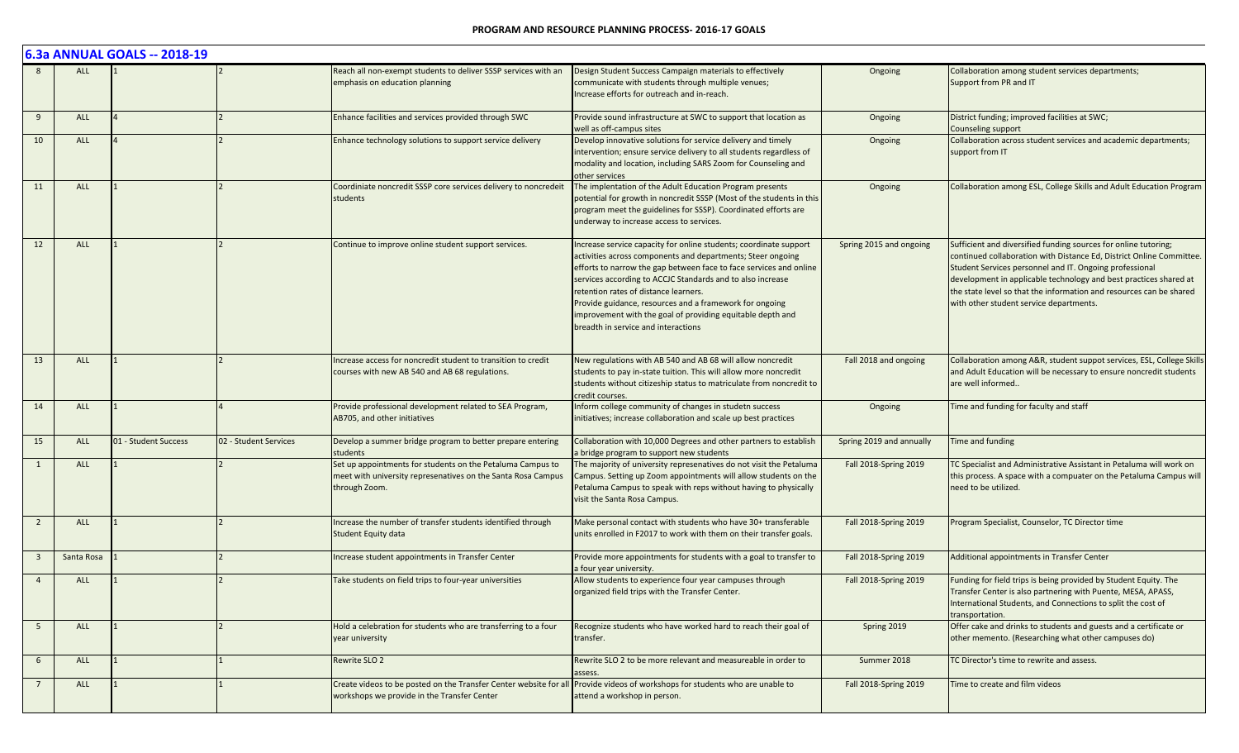|                         |            | 6.3a ANNUAL GOALS -- 2018-19 |                       |                                                                                                                                             |                                                                                                                                                                                                                                                                                                                                                                                                                                                                               |                          |                                                                                                                                                                                                                                                                                                                                                                                           |
|-------------------------|------------|------------------------------|-----------------------|---------------------------------------------------------------------------------------------------------------------------------------------|-------------------------------------------------------------------------------------------------------------------------------------------------------------------------------------------------------------------------------------------------------------------------------------------------------------------------------------------------------------------------------------------------------------------------------------------------------------------------------|--------------------------|-------------------------------------------------------------------------------------------------------------------------------------------------------------------------------------------------------------------------------------------------------------------------------------------------------------------------------------------------------------------------------------------|
|                         | <b>ALL</b> |                              |                       | Reach all non-exempt students to deliver SSSP services with an<br>emphasis on education planning                                            | Design Student Success Campaign materials to effectively<br>communicate with students through multiple venues;<br>Increase efforts for outreach and in-reach.                                                                                                                                                                                                                                                                                                                 | Ongoing                  | Collaboration among student services departments;<br>Support from PR and IT                                                                                                                                                                                                                                                                                                               |
| 9                       | <b>ALL</b> |                              |                       | Enhance facilities and services provided through SWC                                                                                        | Provide sound infrastructure at SWC to support that location as<br>well as off-campus sites                                                                                                                                                                                                                                                                                                                                                                                   | Ongoing                  | District funding; improved facilities at SWC;<br>Counseling support                                                                                                                                                                                                                                                                                                                       |
| 10                      | ALL        |                              |                       | Enhance technology solutions to support service delivery                                                                                    | Develop innovative solutions for service delivery and timely<br>intervention; ensure service delivery to all students regardless of<br>modality and location, including SARS Zoom for Counseling and<br>other services                                                                                                                                                                                                                                                        | Ongoing                  | Collaboration across student services and academic departments;<br>support from IT                                                                                                                                                                                                                                                                                                        |
| 11                      | <b>ALL</b> |                              |                       | Coordiniate noncredit SSSP core services delivery to noncredeit<br>students                                                                 | The implentation of the Adult Education Program presents<br>potential for growth in noncredit SSSP (Most of the students in this<br>program meet the guidelines for SSSP). Coordinated efforts are<br>underway to increase access to services.                                                                                                                                                                                                                                | Ongoing                  | Collaboration among ESL, College Skills and Adult Education Program                                                                                                                                                                                                                                                                                                                       |
| 12                      | <b>ALL</b> |                              |                       | Continue to improve online student support services.                                                                                        | Increase service capacity for online students; coordinate support<br>activities across components and departments; Steer ongoing<br>efforts to narrow the gap between face to face services and online<br>services according to ACCJC Standards and to also increase<br>retention rates of distance learners.<br>Provide guidance, resources and a framework for ongoing<br>improvement with the goal of providing equitable depth and<br>breadth in service and interactions | Spring 2015 and ongoing  | Sufficient and diversified funding sources for online tutoring;<br>continued collaboration with Distance Ed, District Online Committee.<br>Student Services personnel and IT. Ongoing professional<br>development in applicable technology and best practices shared at<br>the state level so that the information and resources can be shared<br>with other student service departments. |
| 13                      | <b>ALL</b> |                              |                       | ncrease access for noncredit student to transition to credit<br>courses with new AB 540 and AB 68 regulations.                              | New regulations with AB 540 and AB 68 will allow noncredit<br>students to pay in-state tuition. This will allow more noncredit<br>students without citizeship status to matriculate from noncredit to<br>credit courses.                                                                                                                                                                                                                                                      | Fall 2018 and ongoing    | Collaboration among A&R, student suppot services, ESL, College Skills<br>and Adult Education will be necessary to ensure noncredit students<br>are well informed                                                                                                                                                                                                                          |
| 14                      | <b>ALL</b> |                              |                       | Provide professional development related to SEA Program,<br>AB705, and other initiatives                                                    | Inform college community of changes in studetn success<br>initiatives; increase collaboration and scale up best practices                                                                                                                                                                                                                                                                                                                                                     | Ongoing                  | Time and funding for faculty and staff                                                                                                                                                                                                                                                                                                                                                    |
| 15                      | <b>ALL</b> | 01 - Student Success         | 02 - Student Services | Develop a summer bridge program to better prepare entering<br>students                                                                      | Collaboration with 10,000 Degrees and other partners to establish<br>a bridge program to support new students                                                                                                                                                                                                                                                                                                                                                                 | Spring 2019 and annually | Time and funding                                                                                                                                                                                                                                                                                                                                                                          |
|                         | <b>ALL</b> |                              |                       | Set up appointments for students on the Petaluma Campus to<br>meet with university represenatives on the Santa Rosa Campus<br>through Zoom. | The majority of university represenatives do not visit the Petaluma<br>Campus. Setting up Zoom appointments will allow students on the<br>Petaluma Campus to speak with reps without having to physically<br>visit the Santa Rosa Campus.                                                                                                                                                                                                                                     | Fall 2018-Spring 2019    | TC Specialist and Administrative Assistant in Petaluma will work on<br>this process. A space with a compuater on the Petaluma Campus will<br>need to be utilized.                                                                                                                                                                                                                         |
| $\overline{2}$          | <b>ALL</b> |                              |                       | ncrease the number of transfer students identified through<br><b>Student Equity data</b>                                                    | Make personal contact with students who have 30+ transferable<br>units enrolled in F2017 to work with them on their transfer goals.                                                                                                                                                                                                                                                                                                                                           | Fall 2018-Spring 2019    | Program Specialist, Counselor, TC Director time                                                                                                                                                                                                                                                                                                                                           |
| $\overline{\mathbf{3}}$ | Santa Rosa |                              |                       | Increase student appointments in Transfer Center                                                                                            | Provide more appointments for students with a goal to transfer to<br>a four year university.                                                                                                                                                                                                                                                                                                                                                                                  | Fall 2018-Spring 2019    | Additional appointments in Transfer Center                                                                                                                                                                                                                                                                                                                                                |
| $\overline{4}$          | <b>ALL</b> |                              |                       | Take students on field trips to four-year universities                                                                                      | Allow students to experience four year campuses through<br>organized field trips with the Transfer Center.                                                                                                                                                                                                                                                                                                                                                                    | Fall 2018-Spring 2019    | Funding for field trips is being provided by Student Equity. The<br>Transfer Center is also partnering with Puente, MESA, APASS,<br>International Students, and Connections to split the cost of<br>transportation.                                                                                                                                                                       |
| 5                       | ALL        |                              |                       | Hold a celebration for students who are transferring to a four<br>year university                                                           | Recognize students who have worked hard to reach their goal of<br>transfer.                                                                                                                                                                                                                                                                                                                                                                                                   | Spring 2019              | Offer cake and drinks to students and guests and a certificate or<br>other memento. (Researching what other campuses do)                                                                                                                                                                                                                                                                  |
| 6                       | ALL        |                              |                       | Rewrite SLO 2                                                                                                                               | Rewrite SLO 2 to be more relevant and measureable in order to<br>assess.                                                                                                                                                                                                                                                                                                                                                                                                      | Summer 2018              | TC Director's time to rewrite and assess.                                                                                                                                                                                                                                                                                                                                                 |
|                         | ALL        |                              |                       | Create videos to be posted on the Transfer Center website for all<br>workshops we provide in the Transfer Center                            | I Provide videos of workshops for students who are unable to<br>attend a workshop in person.                                                                                                                                                                                                                                                                                                                                                                                  | Fall 2018-Spring 2019    | Time to create and film videos                                                                                                                                                                                                                                                                                                                                                            |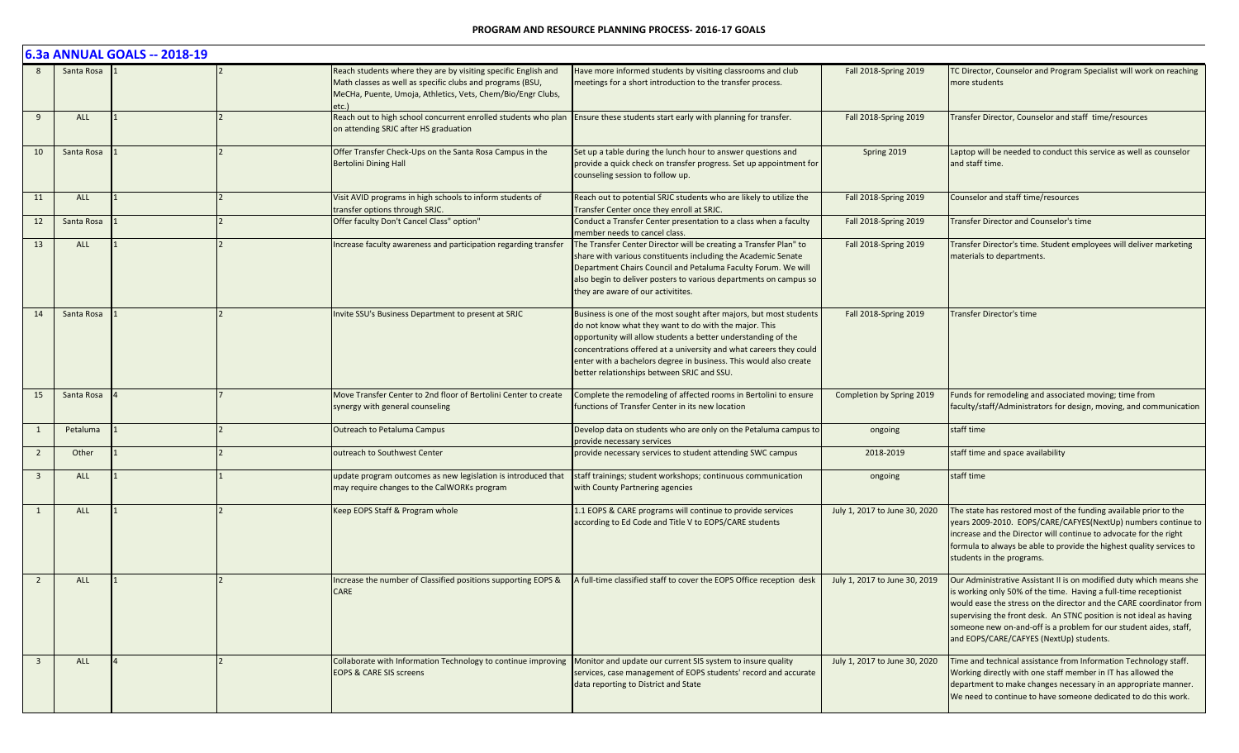|                         |            | 6.3a ANNUAL GOALS -- 2018-19 |                                                                                                                                                                                                    |                                                                                                                                                                                                                                                                                                                                                                                       |                               |                                                                                                                                                                                                                                                                                                                                                                                                       |
|-------------------------|------------|------------------------------|----------------------------------------------------------------------------------------------------------------------------------------------------------------------------------------------------|---------------------------------------------------------------------------------------------------------------------------------------------------------------------------------------------------------------------------------------------------------------------------------------------------------------------------------------------------------------------------------------|-------------------------------|-------------------------------------------------------------------------------------------------------------------------------------------------------------------------------------------------------------------------------------------------------------------------------------------------------------------------------------------------------------------------------------------------------|
|                         | Santa Rosa |                              | Reach students where they are by visiting specific English and<br>Math classes as well as specific clubs and programs (BSU,<br>MeCHa, Puente, Umoja, Athletics, Vets, Chem/Bio/Engr Clubs,<br>etc. | Have more informed students by visiting classrooms and club<br>meetings for a short introduction to the transfer process.                                                                                                                                                                                                                                                             | Fall 2018-Spring 2019         | TC Director, Counselor and Program Specialist will work on reaching<br>more students                                                                                                                                                                                                                                                                                                                  |
| 9                       | ALL        |                              | Reach out to high school concurrent enrolled students who plan Ensure these students start early with planning for transfer.<br>on attending SRJC after HS graduation                              |                                                                                                                                                                                                                                                                                                                                                                                       | Fall 2018-Spring 2019         | Transfer Director, Counselor and staff time/resources                                                                                                                                                                                                                                                                                                                                                 |
| 10                      | Santa Rosa |                              | Offer Transfer Check-Ups on the Santa Rosa Campus in the<br><b>Bertolini Dining Hall</b>                                                                                                           | Set up a table during the lunch hour to answer questions and<br>provide a quick check on transfer progress. Set up appointment for<br>counseling session to follow up.                                                                                                                                                                                                                | Spring 2019                   | Laptop will be needed to conduct this service as well as counselor<br>and staff time.                                                                                                                                                                                                                                                                                                                 |
| 11                      | <b>ALL</b> |                              | Visit AVID programs in high schools to inform students of<br>transfer options through SRJC.                                                                                                        | Reach out to potential SRJC students who are likely to utilize the<br>Transfer Center once they enroll at SRJC.                                                                                                                                                                                                                                                                       | Fall 2018-Spring 2019         | Counselor and staff time/resources                                                                                                                                                                                                                                                                                                                                                                    |
| 12                      | Santa Rosa |                              | Offer faculty Don't Cancel Class" option"                                                                                                                                                          | Conduct a Transfer Center presentation to a class when a faculty<br>member needs to cancel class.                                                                                                                                                                                                                                                                                     | Fall 2018-Spring 2019         | Transfer Director and Counselor's time                                                                                                                                                                                                                                                                                                                                                                |
| 13                      | <b>ALL</b> |                              | Increase faculty awareness and participation regarding transfer                                                                                                                                    | The Transfer Center Director will be creating a Transfer Plan" to<br>share with various constituents including the Academic Senate<br>Department Chairs Council and Petaluma Faculty Forum. We will<br>also begin to deliver posters to various departments on campus so<br>they are aware of our activitites.                                                                        | Fall 2018-Spring 2019         | Transfer Director's time. Student employees will deliver marketing<br>materials to departments.                                                                                                                                                                                                                                                                                                       |
| 14                      | Santa Rosa |                              | Invite SSU's Business Department to present at SRJC                                                                                                                                                | Business is one of the most sought after majors, but most students<br>do not know what they want to do with the major. This<br>opportunity will allow students a better understanding of the<br>concentrations offered at a university and what careers they could<br>enter with a bachelors degree in business. This would also create<br>better relationships between SRJC and SSU. | Fall 2018-Spring 2019         | <b>Transfer Director's time</b>                                                                                                                                                                                                                                                                                                                                                                       |
| 15                      | Santa Rosa |                              | Move Transfer Center to 2nd floor of Bertolini Center to create<br>synergy with general counseling                                                                                                 | Complete the remodeling of affected rooms in Bertolini to ensure<br>functions of Transfer Center in its new location                                                                                                                                                                                                                                                                  | Completion by Spring 2019     | Funds for remodeling and associated moving; time from<br>faculty/staff/Administrators for design, moving, and communication                                                                                                                                                                                                                                                                           |
| 1                       | Petaluma   |                              | <b>Outreach to Petaluma Campus</b>                                                                                                                                                                 | Develop data on students who are only on the Petaluma campus to<br>provide necessary services                                                                                                                                                                                                                                                                                         | ongoing                       | staff time                                                                                                                                                                                                                                                                                                                                                                                            |
| $\overline{2}$          | Other      |                              | outreach to Southwest Center                                                                                                                                                                       | provide necessary services to student attending SWC campus                                                                                                                                                                                                                                                                                                                            | 2018-2019                     | staff time and space availability                                                                                                                                                                                                                                                                                                                                                                     |
| $\overline{3}$          | <b>ALL</b> |                              | update program outcomes as new legislation is introduced that<br>may require changes to the CalWORKs program                                                                                       | staff trainings; student workshops; continuous communication<br>with County Partnering agencies                                                                                                                                                                                                                                                                                       | ongoing                       | staff time                                                                                                                                                                                                                                                                                                                                                                                            |
| 1                       | <b>ALL</b> |                              | Keep EOPS Staff & Program whole                                                                                                                                                                    | 1.1 EOPS & CARE programs will continue to provide services<br>according to Ed Code and Title V to EOPS/CARE students                                                                                                                                                                                                                                                                  | July 1, 2017 to June 30, 2020 | The state has restored most of the funding available prior to the<br>years 2009-2010. EOPS/CARE/CAFYES(NextUp) numbers continue to<br>increase and the Director will continue to advocate for the right<br>formula to always be able to provide the highest quality services to<br>students in the programs.                                                                                          |
| $\overline{2}$          | ALL        |                              | Increase the number of Classified positions supporting EOPS &<br><b>CARE</b>                                                                                                                       | A full-time classified staff to cover the EOPS Office reception desk                                                                                                                                                                                                                                                                                                                  | July 1, 2017 to June 30, 2019 | Our Administrative Assistant II is on modified duty which means she<br>is working only 50% of the time. Having a full-time receptionist<br>would ease the stress on the director and the CARE coordinator from<br>supervising the front desk. An STNC position is not ideal as having<br>someone new on-and-off is a problem for our student aides, staff,<br>and EOPS/CARE/CAFYES (NextUp) students. |
| $\overline{\mathbf{3}}$ | ALL        |                              | Collaborate with Information Technology to continue improving Monitor and update our current SIS system to insure quality<br><b>EOPS &amp; CARE SIS screens</b>                                    | services, case management of EOPS students' record and accurate<br>data reporting to District and State                                                                                                                                                                                                                                                                               | July 1, 2017 to June 30, 2020 | Time and technical assistance from Information Technology staff.<br>Working directly with one staff member in IT has allowed the<br>department to make changes necessary in an appropriate manner.<br>We need to continue to have someone dedicated to do this work.                                                                                                                                  |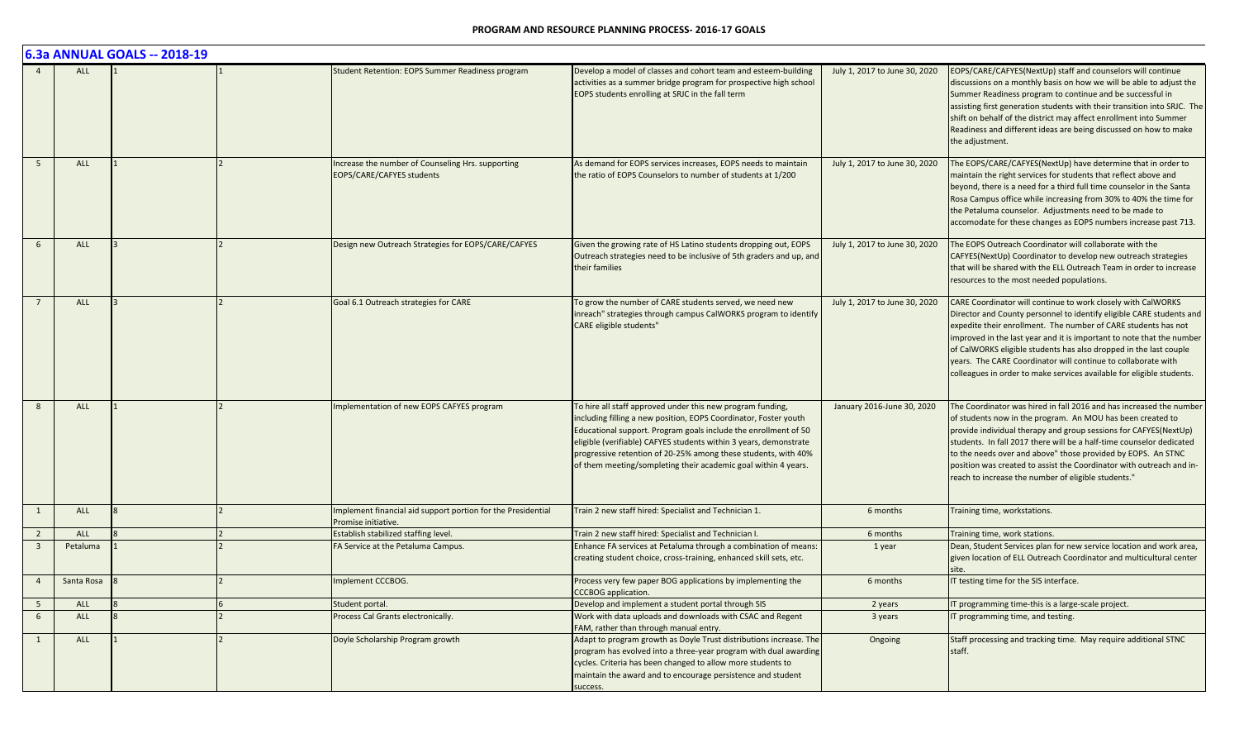|                 |            | 6.3a ANNUAL GOALS -- 2018-19 |                |                                                                                     |                                                                                                                                                                                                                                                                                                                                                                                                            |                               |                                                                                                                                                                                                                                                                                                                                                                                                                                                                                                |
|-----------------|------------|------------------------------|----------------|-------------------------------------------------------------------------------------|------------------------------------------------------------------------------------------------------------------------------------------------------------------------------------------------------------------------------------------------------------------------------------------------------------------------------------------------------------------------------------------------------------|-------------------------------|------------------------------------------------------------------------------------------------------------------------------------------------------------------------------------------------------------------------------------------------------------------------------------------------------------------------------------------------------------------------------------------------------------------------------------------------------------------------------------------------|
|                 | ALL        |                              |                | Student Retention: EOPS Summer Readiness program                                    | Develop a model of classes and cohort team and esteem-building<br>activities as a summer bridge program for prospective high school<br>EOPS students enrolling at SRJC in the fall term                                                                                                                                                                                                                    | July 1, 2017 to June 30, 2020 | EOPS/CARE/CAFYES(NextUp) staff and counselors will continue<br>discussions on a monthly basis on how we will be able to adjust the<br>Summer Readiness program to continue and be successful in<br>assisting first generation students with their transition into SRJC. The<br>shift on behalf of the district may affect enrollment into Summer<br>Readiness and different ideas are being discussed on how to make<br>the adjustment.                                                        |
| $\overline{5}$  | ALL        |                              | $\overline{2}$ | Increase the number of Counseling Hrs. supporting<br>EOPS/CARE/CAFYES students      | As demand for EOPS services increases, EOPS needs to maintain<br>the ratio of EOPS Counselors to number of students at 1/200                                                                                                                                                                                                                                                                               | July 1, 2017 to June 30, 2020 | The EOPS/CARE/CAFYES(NextUp) have determine that in order to<br>maintain the right services for students that reflect above and<br>beyond, there is a need for a third full time counselor in the Santa<br>Rosa Campus office while increasing from 30% to 40% the time for<br>the Petaluma counselor. Adjustments need to be made to<br>accomodate for these changes as EOPS numbers increase past 713.                                                                                       |
|                 | ALL        |                              |                | Design new Outreach Strategies for EOPS/CARE/CAFYES                                 | Given the growing rate of HS Latino students dropping out, EOPS<br>Outreach strategies need to be inclusive of 5th graders and up, and<br>their families                                                                                                                                                                                                                                                   | July 1, 2017 to June 30, 2020 | The EOPS Outreach Coordinator will collaborate with the<br>CAFYES(NextUp) Coordinator to develop new outreach strategies<br>that will be shared with the ELL Outreach Team in order to increase<br>resources to the most needed populations.                                                                                                                                                                                                                                                   |
| $\overline{7}$  | ALL        |                              |                | Goal 6.1 Outreach strategies for CARE                                               | To grow the number of CARE students served, we need new<br>inreach" strategies through campus CalWORKS program to identify<br><b>CARE</b> eligible students"                                                                                                                                                                                                                                               | July 1, 2017 to June 30, 2020 | CARE Coordinator will continue to work closely with CalWORKS<br>Director and County personnel to identify eligible CARE students and<br>expedite their enrollment. The number of CARE students has not<br>improved in the last year and it is important to note that the number<br>of CalWORKS eligible students has also dropped in the last couple<br>years. The CARE Coordinator will continue to collaborate with<br>colleagues in order to make services available for eligible students. |
| $\mathbf{8}$    | <b>ALL</b> |                              |                | Implementation of new EOPS CAFYES program                                           | To hire all staff approved under this new program funding,<br>including filling a new position, EOPS Coordinator, Foster youth<br>Educational support. Program goals include the enrollment of 50<br>eligible (verifiable) CAFYES students within 3 years, demonstrate<br>progressive retention of 20-25% among these students, with 40%<br>of them meeting/sompleting their academic goal within 4 years. | January 2016-June 30, 2020    | The Coordinator was hired in fall 2016 and has increased the number<br>of students now in the program. An MOU has been created to<br>provide individual therapy and group sessions for CAFYES(NextUp)<br>students. In fall 2017 there will be a half-time counselor dedicated<br>to the needs over and above" those provided by EOPS. An STNC<br>position was created to assist the Coordinator with outreach and in-<br>reach to increase the number of eligible students."                   |
| $\mathbf{1}$    | <b>ALL</b> |                              | $\overline{2}$ | Implement financial aid support portion for the Presidential<br>Promise initiative. | Train 2 new staff hired: Specialist and Technician 1.                                                                                                                                                                                                                                                                                                                                                      | 6 months                      | Training time, workstations.                                                                                                                                                                                                                                                                                                                                                                                                                                                                   |
| $\overline{2}$  | ALL        |                              |                | Establish stabilized staffing level.                                                | Train 2 new staff hired: Specialist and Technician I.                                                                                                                                                                                                                                                                                                                                                      | 6 months                      | Training time, work stations.                                                                                                                                                                                                                                                                                                                                                                                                                                                                  |
| $\overline{3}$  | Petaluma   |                              |                | FA Service at the Petaluma Campus.                                                  | Enhance FA services at Petaluma through a combination of means:<br>creating student choice, cross-training, enhanced skill sets, etc.                                                                                                                                                                                                                                                                      | 1 year                        | Dean, Student Services plan for new service location and work area,<br>given location of ELL Outreach Coordinator and multicultural center<br>site.                                                                                                                                                                                                                                                                                                                                            |
| $\overline{4}$  | Santa Rosa |                              |                | Implement CCCBOG.                                                                   | Process very few paper BOG applications by implementing the<br><b>CCCBOG</b> application.                                                                                                                                                                                                                                                                                                                  | 6 months                      | IT testing time for the SIS interface.                                                                                                                                                                                                                                                                                                                                                                                                                                                         |
| $5\overline{5}$ | ALL        |                              |                | Student portal.                                                                     | Develop and implement a student portal through SIS                                                                                                                                                                                                                                                                                                                                                         | 2 years                       | IT programming time-this is a large-scale project.                                                                                                                                                                                                                                                                                                                                                                                                                                             |
| $6\overline{6}$ | ALL        |                              |                | Process Cal Grants electronically.                                                  | Work with data uploads and downloads with CSAC and Regent<br>FAM, rather than through manual entry.                                                                                                                                                                                                                                                                                                        | 3 years                       | IT programming time, and testing.                                                                                                                                                                                                                                                                                                                                                                                                                                                              |
| 1               | ALL        |                              |                | Doyle Scholarship Program growth                                                    | Adapt to program growth as Doyle Trust distributions increase. The<br>program has evolved into a three-year program with dual awarding<br>cycles. Criteria has been changed to allow more students to<br>maintain the award and to encourage persistence and student<br>success.                                                                                                                           | Ongoing                       | Staff processing and tracking time. May require additional STNC<br>staff.                                                                                                                                                                                                                                                                                                                                                                                                                      |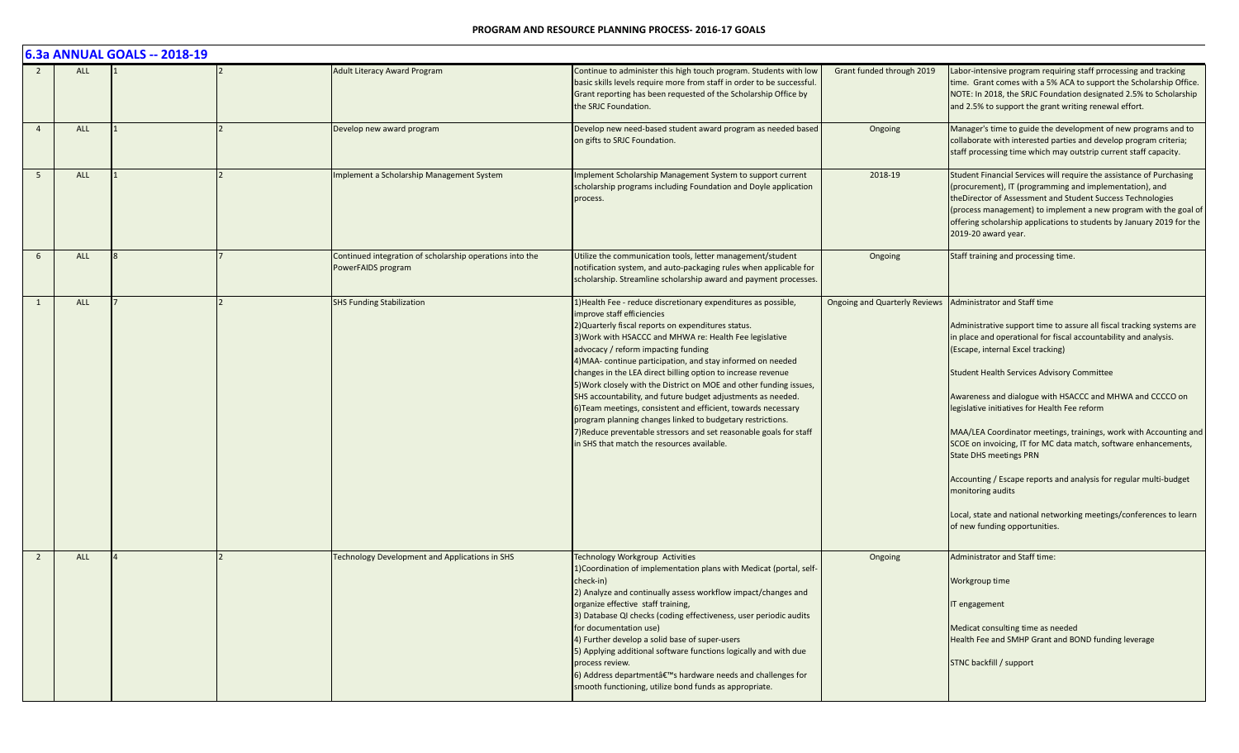|                |            | 6.3a ANNUAL GOALS -- 2018-19 |                                                                                |                                                                                                                                                                                                                                                                                                                                                                                                                                                                                                                                                                                                                                                                                                                                                                               |                                      |                                                                                                                                                                                                                                                                                                                                                                                                                                                                                                                                                                                                                                                                                                                                                            |
|----------------|------------|------------------------------|--------------------------------------------------------------------------------|-------------------------------------------------------------------------------------------------------------------------------------------------------------------------------------------------------------------------------------------------------------------------------------------------------------------------------------------------------------------------------------------------------------------------------------------------------------------------------------------------------------------------------------------------------------------------------------------------------------------------------------------------------------------------------------------------------------------------------------------------------------------------------|--------------------------------------|------------------------------------------------------------------------------------------------------------------------------------------------------------------------------------------------------------------------------------------------------------------------------------------------------------------------------------------------------------------------------------------------------------------------------------------------------------------------------------------------------------------------------------------------------------------------------------------------------------------------------------------------------------------------------------------------------------------------------------------------------------|
|                | <b>ALL</b> |                              | <b>Adult Literacy Award Program</b>                                            | Continue to administer this high touch program. Students with low<br>basic skills levels require more from staff in order to be successful.<br>Grant reporting has been requested of the Scholarship Office by<br>the SRJC Foundation.                                                                                                                                                                                                                                                                                                                                                                                                                                                                                                                                        | Grant funded through 2019            | Labor-intensive program requiring staff prrocessing and tracking<br>time. Grant comes with a 5% ACA to support the Scholarship Office.<br>NOTE: In 2018, the SRJC Foundation designated 2.5% to Scholarship<br>and 2.5% to support the grant writing renewal effort.                                                                                                                                                                                                                                                                                                                                                                                                                                                                                       |
| $\overline{4}$ | ALL        |                              | Develop new award program                                                      | Develop new need-based student award program as needed based<br>on gifts to SRJC Foundation.                                                                                                                                                                                                                                                                                                                                                                                                                                                                                                                                                                                                                                                                                  | Ongoing                              | Manager's time to guide the development of new programs and to<br>collaborate with interested parties and develop program criteria;<br>staff processing time which may outstrip current staff capacity.                                                                                                                                                                                                                                                                                                                                                                                                                                                                                                                                                    |
| 5 <sup>5</sup> | ALL        |                              | mplement a Scholarship Management System                                       | Implement Scholarship Management System to support current<br>scholarship programs including Foundation and Doyle application<br>process.                                                                                                                                                                                                                                                                                                                                                                                                                                                                                                                                                                                                                                     | 2018-19                              | Student Financial Services will require the assistance of Purchasing<br>(procurement), IT (programming and implementation), and<br>theDirector of Assessment and Student Success Technologies<br>(process management) to implement a new program with the goal of<br>offering scholarship applications to students by January 2019 for the<br>2019-20 award year.                                                                                                                                                                                                                                                                                                                                                                                          |
| 6              | <b>ALL</b> |                              | Continued integration of scholarship operations into the<br>PowerFAIDS program | Utilize the communication tools, letter management/student<br>notification system, and auto-packaging rules when applicable for<br>scholarship. Streamline scholarship award and payment processes.                                                                                                                                                                                                                                                                                                                                                                                                                                                                                                                                                                           | Ongoing                              | Staff training and processing time.                                                                                                                                                                                                                                                                                                                                                                                                                                                                                                                                                                                                                                                                                                                        |
|                | <b>ALL</b> |                              | <b>SHS Funding Stabilization</b>                                               | 1) Health Fee - reduce discretionary expenditures as possible,<br>improve staff efficiencies<br>2) Quarterly fiscal reports on expenditures status.<br>3) Work with HSACCC and MHWA re: Health Fee legislative<br>advocacy / reform impacting funding<br>4) MAA- continue participation, and stay informed on needed<br>changes in the LEA direct billing option to increase revenue<br>5) Work closely with the District on MOE and other funding issues,<br>SHS accountability, and future budget adjustments as needed.<br>6) Team meetings, consistent and efficient, towards necessary<br>program planning changes linked to budgetary restrictions.<br>7) Reduce preventable stressors and set reasonable goals for staff<br>in SHS that match the resources available. | <b>Ongoing and Quarterly Reviews</b> | Administrator and Staff time<br>Administrative support time to assure all fiscal tracking systems are<br>in place and operational for fiscal accountability and analysis.<br>(Escape, internal Excel tracking)<br><b>Student Health Services Advisory Committee</b><br>Awareness and dialogue with HSACCC and MHWA and CCCCO on<br>legislative initiatives for Health Fee reform<br>MAA/LEA Coordinator meetings, trainings, work with Accounting and<br>SCOE on invoicing, IT for MC data match, software enhancements,<br><b>State DHS meetings PRN</b><br>Accounting / Escape reports and analysis for regular multi-budget<br>monitoring audits<br>Local, state and national networking meetings/conferences to learn<br>of new funding opportunities. |
| 2              | <b>ALL</b> |                              | Technology Development and Applications in SHS                                 | Technology Workgroup Activities<br>1) Coordination of implementation plans with Medicat (portal, self-<br>check-in)<br>2) Analyze and continually assess workflow impact/changes and<br>organize effective staff training,<br>3) Database QI checks (coding effectiveness, user periodic audits<br>for documentation use)<br>4) Further develop a solid base of super-users<br>5) Applying additional software functions logically and with due<br>process review.<br>6) Address department's hardware needs and challenges for<br>smooth functioning, utilize bond funds as appropriate.                                                                                                                                                                                     | Ongoing                              | Administrator and Staff time:<br>Workgroup time<br>IT engagement<br>Medicat consulting time as needed<br>Health Fee and SMHP Grant and BOND funding leverage<br>STNC backfill / support                                                                                                                                                                                                                                                                                                                                                                                                                                                                                                                                                                    |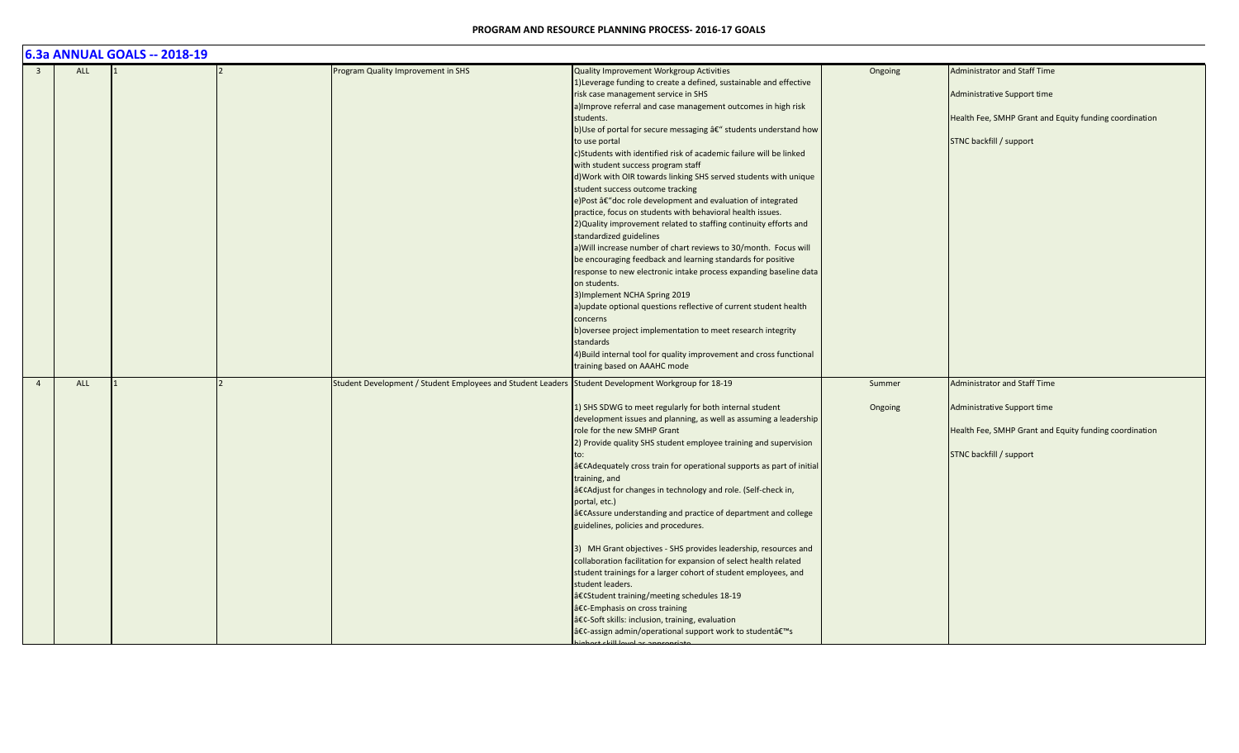|                |            | 6.3a ANNUAL GOALS -- 2018-19 |                                                                                                     |                                                                                                                                                                                                                                                                                                                                                                                                                                                                                                                                                                                                                                                                                                                                                                                                                                                                                                                                                                                                                                                                                                                                                                                                                                                                                                       |                   |                                                                                                                                                         |
|----------------|------------|------------------------------|-----------------------------------------------------------------------------------------------------|-------------------------------------------------------------------------------------------------------------------------------------------------------------------------------------------------------------------------------------------------------------------------------------------------------------------------------------------------------------------------------------------------------------------------------------------------------------------------------------------------------------------------------------------------------------------------------------------------------------------------------------------------------------------------------------------------------------------------------------------------------------------------------------------------------------------------------------------------------------------------------------------------------------------------------------------------------------------------------------------------------------------------------------------------------------------------------------------------------------------------------------------------------------------------------------------------------------------------------------------------------------------------------------------------------|-------------------|---------------------------------------------------------------------------------------------------------------------------------------------------------|
| $\overline{3}$ | <b>ALL</b> |                              | Program Quality Improvement in SHS                                                                  | Quality Improvement Workgroup Activities<br>1) Leverage funding to create a defined, sustainable and effective<br>risk case management service in SHS<br>a) Improve referral and case management outcomes in high risk<br>students.<br>b)Use of portal for secure messaging â€" students understand how<br>to use portal<br>c)Students with identified risk of academic failure will be linked<br>with student success program staff<br>d) Work with OIR towards linking SHS served students with unique<br>student success outcome tracking<br>e)Post †doc role development and evaluation of integrated<br>practice, focus on students with behavioral health issues.<br>2) Quality improvement related to staffing continuity efforts and<br>standardized guidelines<br>a) Will increase number of chart reviews to 30/month. Focus will<br>be encouraging feedback and learning standards for positive<br>response to new electronic intake process expanding baseline data<br>on students.<br>3) Implement NCHA Spring 2019<br>a) update optional questions reflective of current student health<br>concerns<br>b) oversee project implementation to meet research integrity<br>standards<br>4) Build internal tool for quality improvement and cross functional<br>training based on AAAHC mode | Ongoing           | <b>Administrator and Staff Time</b><br>Administrative Support time<br>Health Fee, SMHP Grant and Equity funding coordination<br>STNC backfill / support |
| $\overline{4}$ | ALL        |                              | Student Development / Student Employees and Student Leaders Student Development Workgroup for 18-19 | 1) SHS SDWG to meet regularly for both internal student<br>development issues and planning, as well as assuming a leadership<br>role for the new SMHP Grant<br>2) Provide quality SHS student employee training and supervision<br>•Adequately cross train for operational supports as part of initial<br>training, and<br>•Adjust for changes in technology and role. (Self-check in,<br>portal, etc.)<br>•Assure understanding and practice of department and college<br>guidelines, policies and procedures.<br>3) MH Grant objectives - SHS provides leadership, resources and<br>collaboration facilitation for expansion of select health related<br>student trainings for a larger cohort of student employees, and<br>student leaders.<br>•Student training/meeting schedules 18-19<br>•-Emphasis on cross training<br>•-Soft skills: inclusion, training, evaluation<br>•-assign admin/operational support work to student's                                                                                                                                                                                                                                                                                                                                                                 | Summer<br>Ongoing | <b>Administrator and Staff Time</b><br>Administrative Support time<br>Health Fee, SMHP Grant and Equity funding coordination<br>STNC backfill / support |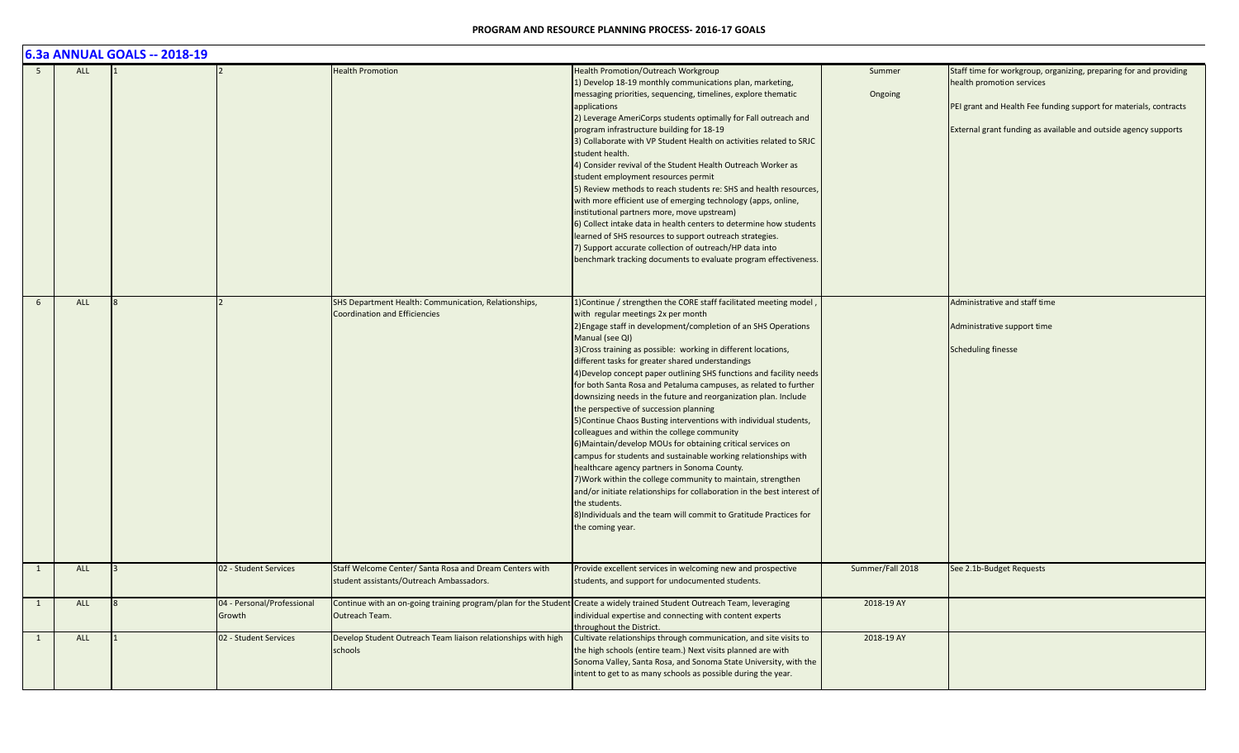|     |            | 6.3a ANNUAL GOALS -- 2018-19 |                                      |                                                                                                                                             |                                                                                                                                                                                                                                                                                                                                                                                                                                                                                                                                                                                                                                                                                                                                                                                                                                                                                                                                                                                                                                                                                                                                         |                   |                                                                                                                                                                                                                                        |
|-----|------------|------------------------------|--------------------------------------|---------------------------------------------------------------------------------------------------------------------------------------------|-----------------------------------------------------------------------------------------------------------------------------------------------------------------------------------------------------------------------------------------------------------------------------------------------------------------------------------------------------------------------------------------------------------------------------------------------------------------------------------------------------------------------------------------------------------------------------------------------------------------------------------------------------------------------------------------------------------------------------------------------------------------------------------------------------------------------------------------------------------------------------------------------------------------------------------------------------------------------------------------------------------------------------------------------------------------------------------------------------------------------------------------|-------------------|----------------------------------------------------------------------------------------------------------------------------------------------------------------------------------------------------------------------------------------|
| - 5 | <b>ALL</b> |                              |                                      | <b>Health Promotion</b>                                                                                                                     | Health Promotion/Outreach Workgroup<br>1) Develop 18-19 monthly communications plan, marketing,<br>messaging priorities, sequencing, timelines, explore thematic<br>applications<br>2) Leverage AmeriCorps students optimally for Fall outreach and<br>program infrastructure building for 18-19<br>3) Collaborate with VP Student Health on activities related to SRJC<br>student health.<br>4) Consider revival of the Student Health Outreach Worker as<br>student employment resources permit<br>5) Review methods to reach students re: SHS and health resources,<br>with more efficient use of emerging technology (apps, online,<br>institutional partners more, move upstream)<br>6) Collect intake data in health centers to determine how students<br>learned of SHS resources to support outreach strategies.<br>7) Support accurate collection of outreach/HP data into<br>benchmark tracking documents to evaluate program effectiveness.                                                                                                                                                                                  | Summer<br>Ongoing | Staff time for workgroup, organizing, preparing for and providing<br>health promotion services<br>PEI grant and Health Fee funding support for materials, contracts<br>External grant funding as available and outside agency supports |
| 6   | ALL        |                              |                                      | SHS Department Health: Communication, Relationships,<br><b>Coordination and Efficiencies</b>                                                | 1) Continue / strengthen the CORE staff facilitated meeting model,<br>with regular meetings 2x per month<br>2) Engage staff in development/completion of an SHS Operations<br>Manual (see QI)<br>3) Cross training as possible: working in different locations,<br>different tasks for greater shared understandings<br>4) Develop concept paper outlining SHS functions and facility needs<br>for both Santa Rosa and Petaluma campuses, as related to further<br>downsizing needs in the future and reorganization plan. Include<br>the perspective of succession planning<br>5) Continue Chaos Busting interventions with individual students,<br>colleagues and within the college community<br>6) Maintain/develop MOUs for obtaining critical services on<br>campus for students and sustainable working relationships with<br>healthcare agency partners in Sonoma County.<br>7) Work within the college community to maintain, strengthen<br>and/or initiate relationships for collaboration in the best interest of<br>the students.<br>8) Individuals and the team will commit to Gratitude Practices for<br>the coming year. |                   | Administrative and staff time<br>Administrative support time<br><b>Scheduling finesse</b>                                                                                                                                              |
| 1   | ALL        |                              | 02 - Student Services                | Staff Welcome Center/ Santa Rosa and Dream Centers with<br>student assistants/Outreach Ambassadors.                                         | Provide excellent services in welcoming new and prospective<br>students, and support for undocumented students.                                                                                                                                                                                                                                                                                                                                                                                                                                                                                                                                                                                                                                                                                                                                                                                                                                                                                                                                                                                                                         | Summer/Fall 2018  | See 2.1b-Budget Requests                                                                                                                                                                                                               |
| -1  | ALL        | 8                            | 04 - Personal/Professional<br>Growth | Continue with an on-going training program/plan for the Student Create a widely trained Student Outreach Team, leveraging<br>Outreach Team. | individual expertise and connecting with content experts<br>throughout the District.                                                                                                                                                                                                                                                                                                                                                                                                                                                                                                                                                                                                                                                                                                                                                                                                                                                                                                                                                                                                                                                    | 2018-19 AY        |                                                                                                                                                                                                                                        |
| 1   | ALL        |                              | 02 - Student Services                | Develop Student Outreach Team liaison relationships with high<br>schools                                                                    | Cultivate relationships through communication, and site visits to<br>the high schools (entire team.) Next visits planned are with<br>Sonoma Valley, Santa Rosa, and Sonoma State University, with the<br>intent to get to as many schools as possible during the year.                                                                                                                                                                                                                                                                                                                                                                                                                                                                                                                                                                                                                                                                                                                                                                                                                                                                  | 2018-19 AY        |                                                                                                                                                                                                                                        |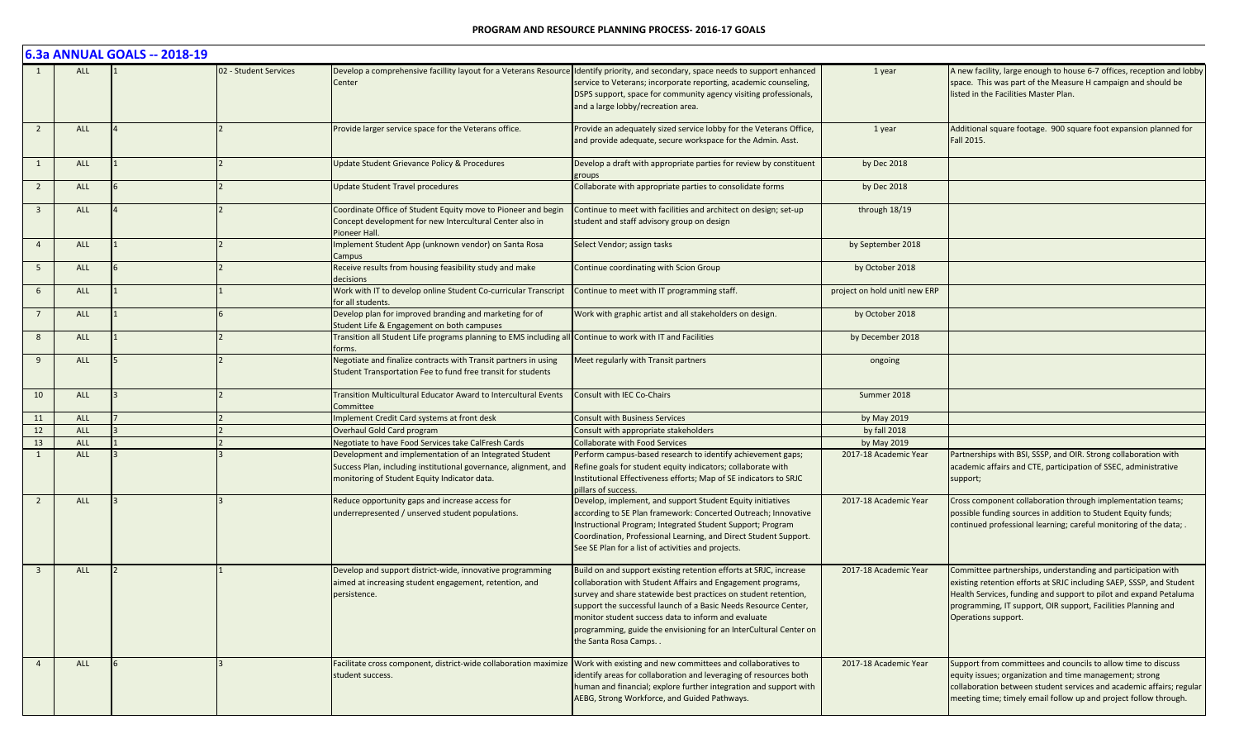|                         |            | 6.3a ANNUAL GOALS -- 2018-19 |                       |                                                                                                                                                                             |                                                                                                                                                                                                                                                                                                                                                                                                                            |                               |                                                                                                                                                                                                                                                                                                   |
|-------------------------|------------|------------------------------|-----------------------|-----------------------------------------------------------------------------------------------------------------------------------------------------------------------------|----------------------------------------------------------------------------------------------------------------------------------------------------------------------------------------------------------------------------------------------------------------------------------------------------------------------------------------------------------------------------------------------------------------------------|-------------------------------|---------------------------------------------------------------------------------------------------------------------------------------------------------------------------------------------------------------------------------------------------------------------------------------------------|
|                         | <b>ALL</b> |                              | 02 - Student Services | Center                                                                                                                                                                      | Develop a comprehensive facillity layout for a Veterans Resource Identify priority, and secondary, space needs to support enhanced<br>service to Veterans; incorporate reporting, academic counseling,<br>DSPS support, space for community agency visiting professionals,<br>and a large lobby/recreation area.                                                                                                           | 1 year                        | A new facility, large enough to house 6-7 offices, reception and lobby<br>space. This was part of the Measure H campaign and should be<br>listed in the Facilities Master Plan.                                                                                                                   |
| $\overline{2}$          | ALL        |                              |                       | Provide larger service space for the Veterans office.                                                                                                                       | Provide an adequately sized service lobby for the Veterans Office,<br>and provide adequate, secure workspace for the Admin. Asst.                                                                                                                                                                                                                                                                                          | 1 year                        | Additional square footage. 900 square foot expansion planned for<br>Fall 2015.                                                                                                                                                                                                                    |
| 1                       | <b>ALL</b> |                              |                       | Update Student Grievance Policy & Procedures                                                                                                                                | Develop a draft with appropriate parties for review by constituent<br>groups                                                                                                                                                                                                                                                                                                                                               | by Dec 2018                   |                                                                                                                                                                                                                                                                                                   |
| $\overline{2}$          | <b>ALL</b> |                              |                       | <b>Update Student Travel procedures</b>                                                                                                                                     | Collaborate with appropriate parties to consolidate forms                                                                                                                                                                                                                                                                                                                                                                  | by Dec 2018                   |                                                                                                                                                                                                                                                                                                   |
| $\overline{\mathbf{3}}$ | <b>ALL</b> |                              |                       | Coordinate Office of Student Equity move to Pioneer and begin<br>Concept development for new Intercultural Center also in<br>Pioneer Hall.                                  | Continue to meet with facilities and architect on design; set-up<br>student and staff advisory group on design                                                                                                                                                                                                                                                                                                             | through 18/19                 |                                                                                                                                                                                                                                                                                                   |
| $\overline{4}$          | <b>ALL</b> |                              |                       | Implement Student App (unknown vendor) on Santa Rosa<br>Campus                                                                                                              | Select Vendor; assign tasks                                                                                                                                                                                                                                                                                                                                                                                                | by September 2018             |                                                                                                                                                                                                                                                                                                   |
| 5                       | ALL        |                              |                       | Receive results from housing feasibility study and make<br>decisions                                                                                                        | Continue coordinating with Scion Group                                                                                                                                                                                                                                                                                                                                                                                     | by October 2018               |                                                                                                                                                                                                                                                                                                   |
| 6                       | <b>ALL</b> |                              |                       | Work with IT to develop online Student Co-curricular Transcript<br>for all students.                                                                                        | Continue to meet with IT programming staff.                                                                                                                                                                                                                                                                                                                                                                                | project on hold unitl new ERP |                                                                                                                                                                                                                                                                                                   |
| $\overline{7}$          | <b>ALL</b> |                              |                       | Develop plan for improved branding and marketing for of<br>Student Life & Engagement on both campuses                                                                       | Work with graphic artist and all stakeholders on design.                                                                                                                                                                                                                                                                                                                                                                   | by October 2018               |                                                                                                                                                                                                                                                                                                   |
| 8                       | <b>ALL</b> |                              |                       | Transition all Student Life programs planning to EMS including all Continue to work with IT and Facilities<br>forms.                                                        |                                                                                                                                                                                                                                                                                                                                                                                                                            | by December 2018              |                                                                                                                                                                                                                                                                                                   |
| 9                       | <b>ALL</b> |                              |                       | Negotiate and finalize contracts with Transit partners in using<br>Student Transportation Fee to fund free transit for students                                             | Meet regularly with Transit partners                                                                                                                                                                                                                                                                                                                                                                                       | ongoing                       |                                                                                                                                                                                                                                                                                                   |
| 10                      | ALL        |                              |                       | Transition Multicultural Educator Award to Intercultural Events<br>Committee                                                                                                | Consult with IEC Co-Chairs                                                                                                                                                                                                                                                                                                                                                                                                 | Summer 2018                   |                                                                                                                                                                                                                                                                                                   |
| 11                      | <b>ALL</b> |                              |                       | Implement Credit Card systems at front desk                                                                                                                                 | <b>Consult with Business Services</b>                                                                                                                                                                                                                                                                                                                                                                                      | by May 2019                   |                                                                                                                                                                                                                                                                                                   |
| $12\,$                  | <b>ALL</b> |                              |                       | Overhaul Gold Card program                                                                                                                                                  | Consult with appropriate stakeholders                                                                                                                                                                                                                                                                                                                                                                                      | by fall 2018                  |                                                                                                                                                                                                                                                                                                   |
| 13                      | ALL        |                              |                       | Negotiate to have Food Services take CalFresh Cards                                                                                                                         | <b>Collaborate with Food Services</b>                                                                                                                                                                                                                                                                                                                                                                                      | by May 2019                   |                                                                                                                                                                                                                                                                                                   |
| $\mathbf{1}$            | <b>ALL</b> |                              |                       | Development and implementation of an Integrated Student<br>Success Plan, including institutional governance, alignment, and<br>monitoring of Student Equity Indicator data. | Perform campus-based research to identify achievement gaps;<br>Refine goals for student equity indicators; collaborate with<br>Institutional Effectiveness efforts; Map of SE indicators to SRJC<br>pillars of success.                                                                                                                                                                                                    | 2017-18 Academic Year         | Partnerships with BSI, SSSP, and OIR. Strong collaboration with<br>academic affairs and CTE, participation of SSEC, administrative<br>support;                                                                                                                                                    |
| 2                       | <b>ALL</b> |                              |                       | Reduce opportunity gaps and increase access for<br>underrepresented / unserved student populations.                                                                         | Develop, implement, and support Student Equity initiatives<br>according to SE Plan framework: Concerted Outreach; Innovative<br>Instructional Program; Integrated Student Support; Program<br>Coordination, Professional Learning, and Direct Student Support.<br>See SE Plan for a list of activities and projects.                                                                                                       | 2017-18 Academic Year         | Cross component collaboration through implementation teams;<br>possible funding sources in addition to Student Equity funds;<br>continued professional learning; careful monitoring of the data; .                                                                                                |
| $\overline{3}$          | <b>ALL</b> |                              |                       | Develop and support district-wide, innovative programming<br>aimed at increasing student engagement, retention, and<br>persistence.                                         | Build on and support existing retention efforts at SRJC, increase<br>collaboration with Student Affairs and Engagement programs,<br>survey and share statewide best practices on student retention,<br>support the successful launch of a Basic Needs Resource Center,<br>monitor student success data to inform and evaluate<br>programming, guide the envisioning for an InterCultural Center on<br>the Santa Rosa Camps | 2017-18 Academic Year         | Committee partnerships, understanding and participation with<br>existing retention efforts at SRJC including SAEP, SSSP, and Student<br>Health Services, funding and support to pilot and expand Petaluma<br>programming, IT support, OIR support, Facilities Planning and<br>Operations support. |
| $\overline{4}$          | <b>ALL</b> |                              |                       | Facilitate cross component, district-wide collaboration maximize Work with existing and new committees and collaboratives to<br>student success.                            | identify areas for collaboration and leveraging of resources both<br>human and financial; explore further integration and support with<br>AEBG, Strong Workforce, and Guided Pathways.                                                                                                                                                                                                                                     | 2017-18 Academic Year         | Support from committees and councils to allow time to discuss<br>equity issues; organization and time management; strong<br>collaboration between student services and academic affairs; regular<br>meeting time; timely email follow up and project follow through.                              |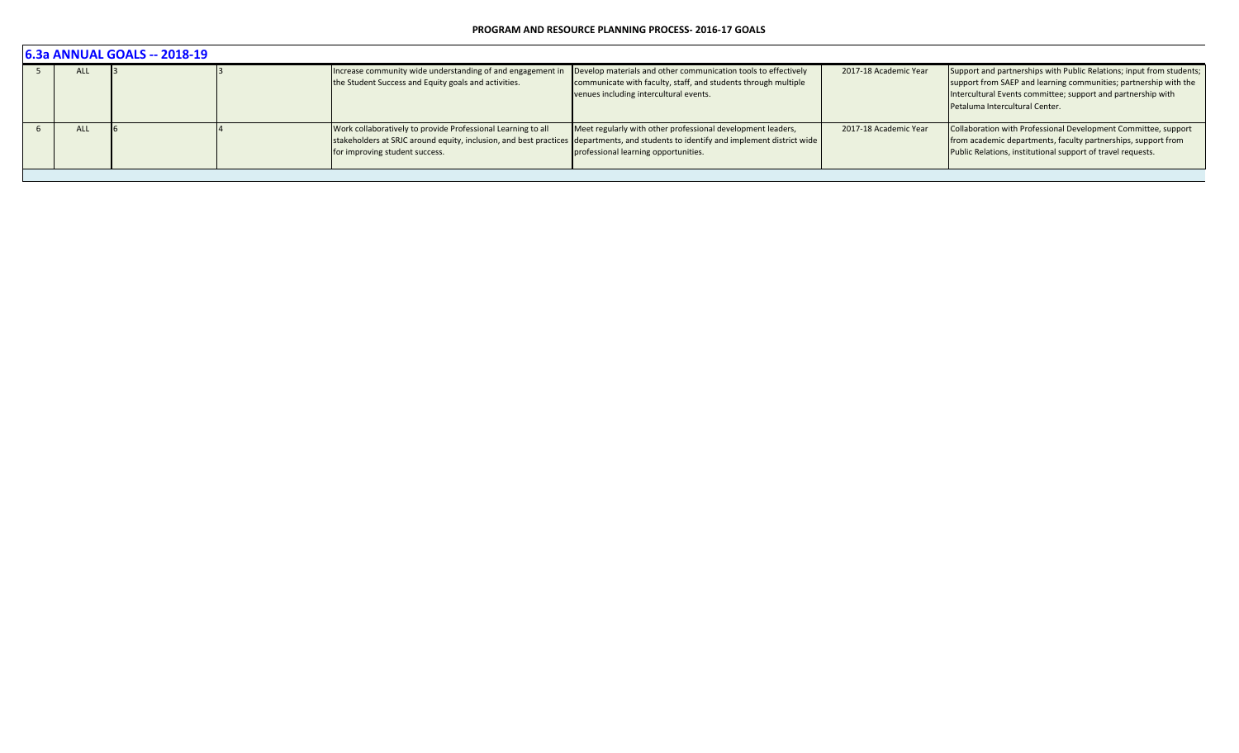|  | <b>6.3a ANNUAL GOALS -- 2018-19</b> |  |  |                                                                                                                    |                                                                                                                                                                                                                                            |                       |                                                                                                                                                                                                                                            |  |  |  |
|--|-------------------------------------|--|--|--------------------------------------------------------------------------------------------------------------------|--------------------------------------------------------------------------------------------------------------------------------------------------------------------------------------------------------------------------------------------|-----------------------|--------------------------------------------------------------------------------------------------------------------------------------------------------------------------------------------------------------------------------------------|--|--|--|
|  | <b>ALL</b>                          |  |  | Increase community wide understanding of and engagement in<br>the Student Success and Equity goals and activities. | Develop materials and other communication tools to effectively<br>communicate with faculty, staff, and students through multiple<br>venues including intercultural events.                                                                 | 2017-18 Academic Year | Support and partnerships with Public Relations; input from students;<br>support from SAEP and learning communities; partnership with the<br>Intercultural Events committee; support and partnership with<br>Petaluma Intercultural Center. |  |  |  |
|  | ALL                                 |  |  | Work collaboratively to provide Professional Learning to all<br>for improving student success.                     | Meet regularly with other professional development leaders,<br>stakeholders at SRJC around equity, inclusion, and best practices departments, and students to identify and implement district wide<br>professional learning opportunities. | 2017-18 Academic Year | Collaboration with Professional Development Committee, support<br>from academic departments, faculty partnerships, support from<br>Public Relations, institutional support of travel requests.                                             |  |  |  |
|  |                                     |  |  |                                                                                                                    |                                                                                                                                                                                                                                            |                       |                                                                                                                                                                                                                                            |  |  |  |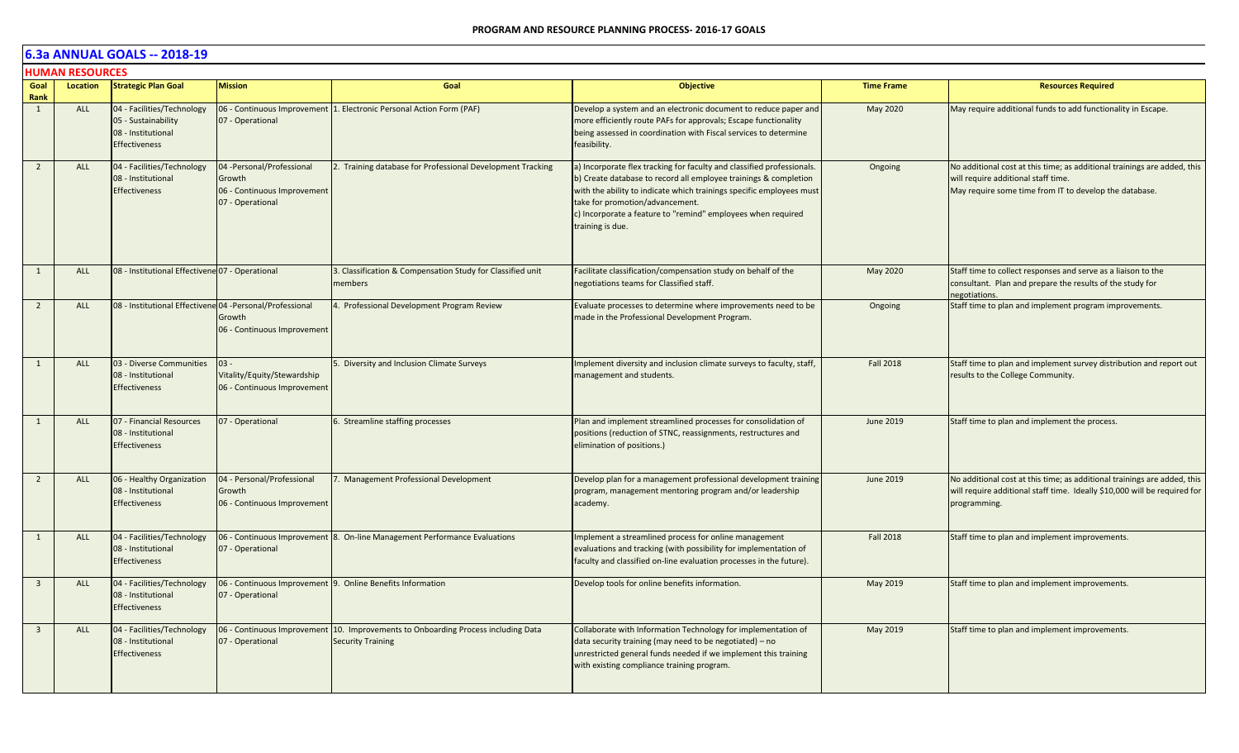|                         | <b>HUMAN RESOURCES</b> |                                                                                                 |                                                                                         |                                                                                   |                                                                                                                                                                                                                                                                                                                                           |                   |                                                                                                                                                                           |
|-------------------------|------------------------|-------------------------------------------------------------------------------------------------|-----------------------------------------------------------------------------------------|-----------------------------------------------------------------------------------|-------------------------------------------------------------------------------------------------------------------------------------------------------------------------------------------------------------------------------------------------------------------------------------------------------------------------------------------|-------------------|---------------------------------------------------------------------------------------------------------------------------------------------------------------------------|
| Goal<br>Rank            | Location               | <b>Strategic Plan Goal</b>                                                                      | <b>Mission</b>                                                                          | Goal                                                                              | <b>Objective</b>                                                                                                                                                                                                                                                                                                                          | <b>Time Frame</b> | <b>Resources Required</b>                                                                                                                                                 |
| 1                       | ALL                    | 04 - Facilities/Technology<br>05 - Sustainability<br>08 - Institutional<br><b>Effectiveness</b> | 07 - Operational                                                                        | 06 - Continuous Improvement   1. Electronic Personal Action Form (PAF)            | Develop a system and an electronic document to reduce paper and<br>more efficiently route PAFs for approvals; Escape functionality<br>being assessed in coordination with Fiscal services to determine<br>feasibility.                                                                                                                    | May 2020          | May require additional funds to add functionality in Escape.                                                                                                              |
| $\overline{2}$          | ALL                    | 04 - Facilities/Technology<br>08 - Institutional<br><b>Effectiveness</b>                        | 04 - Personal/Professional<br>Growth<br>06 - Continuous Improvement<br>07 - Operational | 2. Training database for Professional Development Tracking                        | a) Incorporate flex tracking for faculty and classified professionals.<br>b) Create database to record all employee trainings & completion<br>with the ability to indicate which trainings specific employees must<br>take for promotion/advancement.<br>c) Incorporate a feature to "remind" employees when required<br>training is due. | Ongoing           | No additional cost at this time; as additional trainings are added, this<br>will require additional staff time.<br>May require some time from IT to develop the database. |
| 1                       | <b>ALL</b>             | 08 - Institutional Effectivene 07 - Operational                                                 |                                                                                         | 3. Classification & Compensation Study for Classified unit<br>members             | Facilitate classification/compensation study on behalf of the<br>negotiations teams for Classified staff.                                                                                                                                                                                                                                 | May 2020          | Staff time to collect responses and serve as a liaison to the<br>consultant. Plan and prepare the results of the study for<br>negotiations.                               |
| $\overline{2}$          | <b>ALL</b>             | 08 - Institutional Effectivene 04 - Personal/Professional                                       | Growth<br>06 - Continuous Improvement                                                   | 4. Professional Development Program Review                                        | Evaluate processes to determine where improvements need to be<br>made in the Professional Development Program.                                                                                                                                                                                                                            | Ongoing           | Staff time to plan and implement program improvements.                                                                                                                    |
| 1                       | <b>ALL</b>             | 03 - Diverse Communities<br>08 - Institutional<br><b>Effectiveness</b>                          | $03 -$<br>Vitality/Equity/Stewardship<br>06 - Continuous Improvement                    | 5. Diversity and Inclusion Climate Surveys                                        | Implement diversity and inclusion climate surveys to faculty, staff,<br>management and students.                                                                                                                                                                                                                                          | <b>Fall 2018</b>  | Staff time to plan and implement survey distribution and report out<br>results to the College Community.                                                                  |
| 1                       | <b>ALL</b>             | 07 - Financial Resources<br>08 - Institutional<br><b>Effectiveness</b>                          | 07 - Operational                                                                        | 6. Streamline staffing processes                                                  | Plan and implement streamlined processes for consolidation of<br>positions (reduction of STNC, reassignments, restructures and<br>elimination of positions.)                                                                                                                                                                              | <b>June 2019</b>  | Staff time to plan and implement the process.                                                                                                                             |
| $\overline{2}$          | <b>ALL</b>             | 06 - Healthy Organization<br>08 - Institutional<br><b>Effectiveness</b>                         | 04 - Personal/Professional<br>Growth<br>06 - Continuous Improvement                     | 7. Management Professional Development                                            | Develop plan for a management professional development training<br>program, management mentoring program and/or leadership<br>academy.                                                                                                                                                                                                    | June 2019         | No additional cost at this time; as additional trainings are added, this<br>will require additional staff time. Ideally \$10,000 will be required for<br>programming.     |
| $\mathbf{1}$            | <b>ALL</b>             | 04 - Facilities/Technology<br>08 - Institutional<br><b>Effectiveness</b>                        | 07 - Operational                                                                        | 06 - Continuous Improvement 8. On-line Management Performance Evaluations         | Implement a streamlined process for online management<br>evaluations and tracking (with possibility for implementation of<br>faculty and classified on-line evaluation processes in the future).                                                                                                                                          | <b>Fall 2018</b>  | Staff time to plan and implement improvements.                                                                                                                            |
| $\overline{3}$          | ALL                    | 04 - Facilities/Technology<br>08 - Institutional<br><b>Effectiveness</b>                        | 07 - Operational                                                                        | 06 - Continuous Improvement 9. Online Benefits Information                        | Develop tools for online benefits information.                                                                                                                                                                                                                                                                                            | May 2019          | Staff time to plan and implement improvements.                                                                                                                            |
| $\overline{\mathbf{3}}$ | <b>ALL</b>             | 04 - Facilities/Technology<br>08 - Institutional<br><b>Effectiveness</b>                        | 06 - Continuous Improvement<br>07 - Operational                                         | 10. Improvements to Onboarding Process including Data<br><b>Security Training</b> | Collaborate with Information Technology for implementation of<br>data security training (may need to be negotiated) - no<br>unrestricted general funds needed if we implement this training<br>with existing compliance training program.                                                                                                 | May 2019          | Staff time to plan and implement improvements.                                                                                                                            |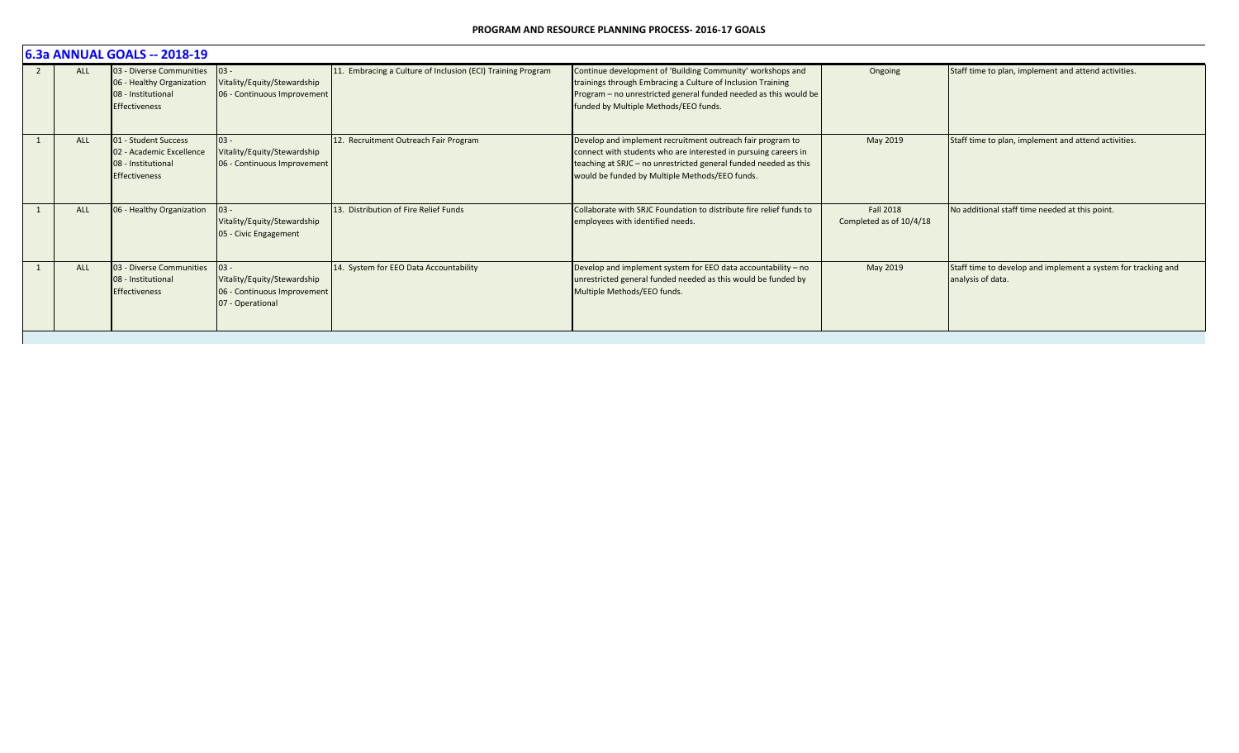| 6.3a ANNUAL GOALS -- 2018-19 |                                                                                                          |                                                                                          |                                                             |                                                                                                                                                                                                                                                     |                                             |                                                                                    |  |  |  |
|------------------------------|----------------------------------------------------------------------------------------------------------|------------------------------------------------------------------------------------------|-------------------------------------------------------------|-----------------------------------------------------------------------------------------------------------------------------------------------------------------------------------------------------------------------------------------------------|---------------------------------------------|------------------------------------------------------------------------------------|--|--|--|
| <b>ALL</b>                   | 03 - Diverse Communities 03 -<br>06 - Healthy Organization<br>08 - Institutional<br><b>Effectiveness</b> | Vitality/Equity/Stewardship<br>06 - Continuous Improvement                               | 11. Embracing a Culture of Inclusion (ECI) Training Program | Continue development of 'Building Community' workshops and<br>trainings through Embracing a Culture of Inclusion Training<br>Program - no unrestricted general funded needed as this would be<br>funded by Multiple Methods/EEO funds.              | Ongoing                                     | Staff time to plan, implement and attend activities.                               |  |  |  |
| <b>ALL</b>                   | 01 - Student Success<br>02 - Academic Excellence<br>08 - Institutional<br><b>Effectiveness</b>           | $03 -$<br>Vitality/Equity/Stewardship<br>06 - Continuous Improvement                     | 12. Recruitment Outreach Fair Program                       | Develop and implement recruitment outreach fair program to<br>connect with students who are interested in pursuing careers in<br>teaching at SRJC - no unrestricted general funded needed as this<br>would be funded by Multiple Methods/EEO funds. | May 2019                                    | Staff time to plan, implement and attend activities.                               |  |  |  |
| <b>ALL</b>                   | 06 - Healthy Organization                                                                                | $03 -$<br>Vitality/Equity/Stewardship<br>05 - Civic Engagement                           | 13. Distribution of Fire Relief Funds                       | Collaborate with SRJC Foundation to distribute fire relief funds to<br>employees with identified needs.                                                                                                                                             | <b>Fall 2018</b><br>Completed as of 10/4/18 | No additional staff time needed at this point.                                     |  |  |  |
| <b>ALL</b>                   | 03 - Diverse Communities<br>08 - Institutional<br><b>Effectiveness</b>                                   | $03 -$<br>Vitality/Equity/Stewardship<br>06 - Continuous Improvement<br>07 - Operational | 14. System for EEO Data Accountability                      | Develop and implement system for EEO data accountability $-$ no<br>unrestricted general funded needed as this would be funded by<br>Multiple Methods/EEO funds.                                                                                     | May 2019                                    | Staff time to develop and implement a system for tracking and<br>analysis of data. |  |  |  |
|                              |                                                                                                          |                                                                                          |                                                             |                                                                                                                                                                                                                                                     |                                             |                                                                                    |  |  |  |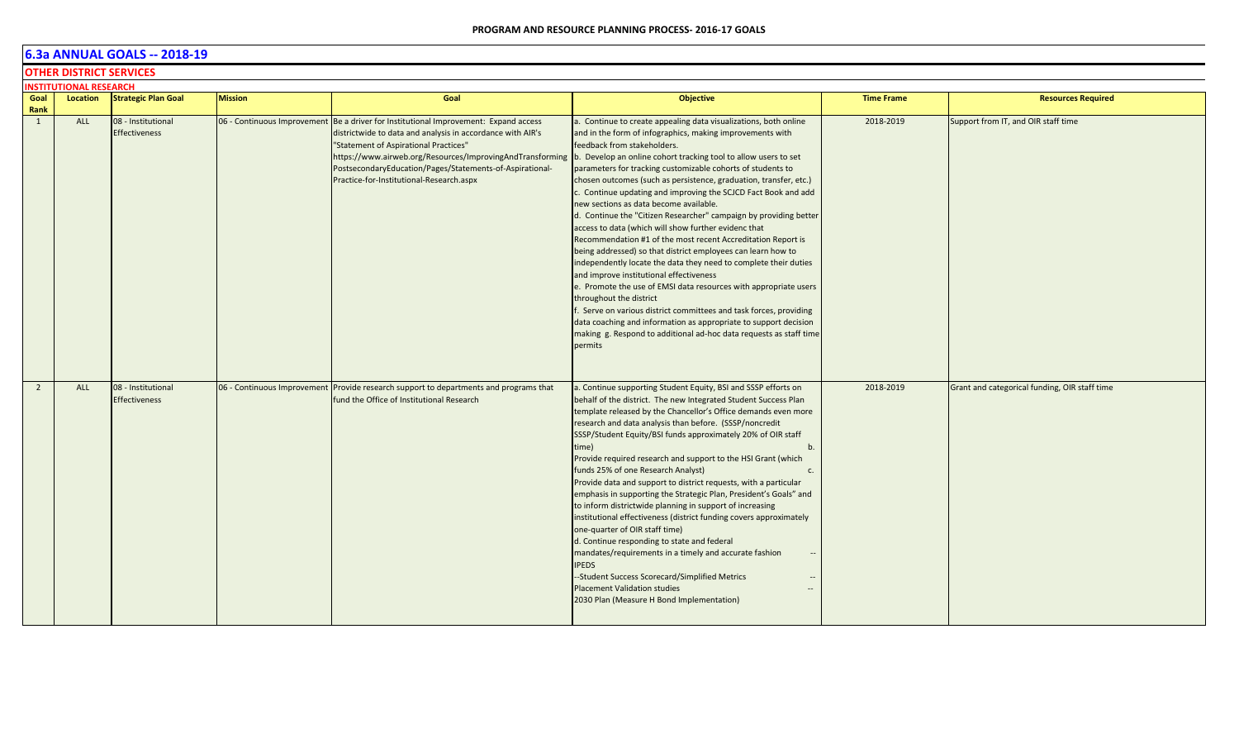## **OTHER DISTRICT SERVICES**

|                | <b>INSTITUTIONAL RESEARCH</b> |                                            |                |                                                                                                                                                                                                                                                                                                                                                                  |                                                                                                                                                                                                                                                                                                                                                                                                                                                                                                                                                                                                                                                                                                                                                                                                                                                                                                                                                                                                                                                                                                                                                                                    |                   |                                               |
|----------------|-------------------------------|--------------------------------------------|----------------|------------------------------------------------------------------------------------------------------------------------------------------------------------------------------------------------------------------------------------------------------------------------------------------------------------------------------------------------------------------|------------------------------------------------------------------------------------------------------------------------------------------------------------------------------------------------------------------------------------------------------------------------------------------------------------------------------------------------------------------------------------------------------------------------------------------------------------------------------------------------------------------------------------------------------------------------------------------------------------------------------------------------------------------------------------------------------------------------------------------------------------------------------------------------------------------------------------------------------------------------------------------------------------------------------------------------------------------------------------------------------------------------------------------------------------------------------------------------------------------------------------------------------------------------------------|-------------------|-----------------------------------------------|
| Goal<br>Rank   | Location                      | <b>Strategic Plan Goal</b>                 | <b>Mission</b> | Goal                                                                                                                                                                                                                                                                                                                                                             | <b>Objective</b>                                                                                                                                                                                                                                                                                                                                                                                                                                                                                                                                                                                                                                                                                                                                                                                                                                                                                                                                                                                                                                                                                                                                                                   | <b>Time Frame</b> | <b>Resources Required</b>                     |
| $\mathbf{1}$   | ALL                           | 08 - Institutional<br><b>Effectiveness</b> |                | 06 - Continuous Improvement Be a driver for Institutional Improvement: Expand access<br>districtwide to data and analysis in accordance with AIR's<br>"Statement of Aspirational Practices"<br>https://www.airweb.org/Resources/ImprovingAndTransforming<br>PostsecondaryEducation/Pages/Statements-of-Aspirational-<br>Practice-for-Institutional-Research.aspx | . Continue to create appealing data visualizations, both online<br>and in the form of infographics, making improvements with<br>feedback from stakeholders.<br>b. Develop an online cohort tracking tool to allow users to set<br>parameters for tracking customizable cohorts of students to<br>chosen outcomes (such as persistence, graduation, transfer, etc.)<br>. Continue updating and improving the SCJCD Fact Book and add<br>new sections as data become available.<br>d. Continue the "Citizen Researcher" campaign by providing better<br>access to data (which will show further evidenc that<br>Recommendation #1 of the most recent Accreditation Report is<br>being addressed) so that district employees can learn how to<br>independently locate the data they need to complete their duties<br>and improve institutional effectiveness<br>e. Promote the use of EMSI data resources with appropriate users<br>throughout the district<br>. Serve on various district committees and task forces, providing<br>data coaching and information as appropriate to support decision<br>making g. Respond to additional ad-hoc data requests as staff time<br>permits | 2018-2019         | Support from IT, and OIR staff time           |
| $\overline{2}$ | <b>ALL</b>                    | 08 - Institutional<br><b>Effectiveness</b> |                | 06 - Continuous Improvement Provide research support to departments and programs that<br>fund the Office of Institutional Research                                                                                                                                                                                                                               | a. Continue supporting Student Equity, BSI and SSSP efforts on<br>behalf of the district. The new Integrated Student Success Plan<br>template released by the Chancellor's Office demands even more<br>research and data analysis than before. (SSSP/noncredit<br>SSSP/Student Equity/BSI funds approximately 20% of OIR staff<br>time)<br>b.<br>Provide required research and support to the HSI Grant (which<br>funds 25% of one Research Analyst)<br>c.<br>Provide data and support to district requests, with a particular<br>emphasis in supporting the Strategic Plan, President's Goals" and<br>to inform districtwide planning in support of increasing<br>institutional effectiveness (district funding covers approximately<br>one-quarter of OIR staff time)<br>d. Continue responding to state and federal<br>mandates/requirements in a timely and accurate fashion<br>--<br><b>IPEDS</b><br>--Student Success Scorecard/Simplified Metrics<br>$\sim$<br><b>Placement Validation studies</b><br>$\qquad \qquad -$<br>2030 Plan (Measure H Bond Implementation)                                                                                                        | 2018-2019         | Grant and categorical funding, OIR staff time |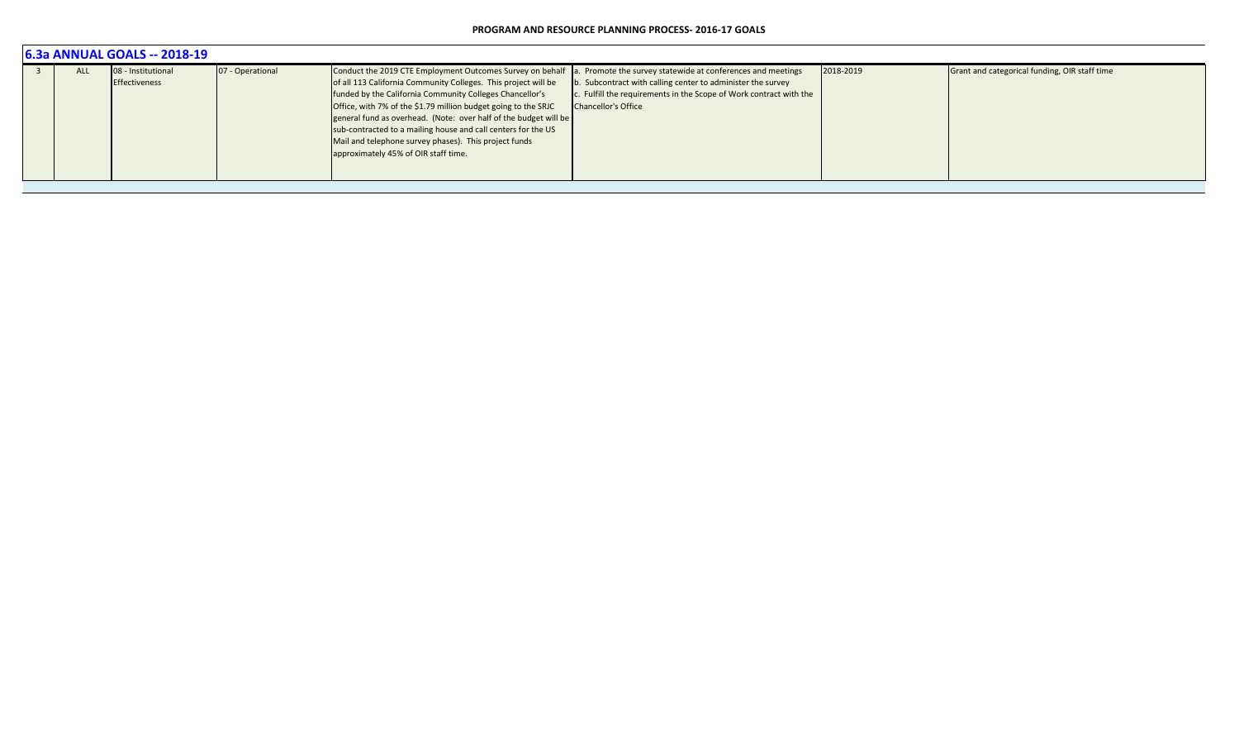| <b>6.3a ANNUAL GOALS -- 2018-19</b> |                                     |                  |                                                                                                                                                                                                                                                                                                                                                                                                                                                                                                 |                                                                                                                                                                                                                         |           |                                               |  |  |  |  |
|-------------------------------------|-------------------------------------|------------------|-------------------------------------------------------------------------------------------------------------------------------------------------------------------------------------------------------------------------------------------------------------------------------------------------------------------------------------------------------------------------------------------------------------------------------------------------------------------------------------------------|-------------------------------------------------------------------------------------------------------------------------------------------------------------------------------------------------------------------------|-----------|-----------------------------------------------|--|--|--|--|
| <b>ALL</b>                          | 08 - Institutional<br>Effectiveness | 07 - Operational | Conduct the 2019 CTE Employment Outcomes Survey on behalf<br>of all 113 California Community Colleges. This project will be<br>funded by the California Community Colleges Chancellor's<br>Office, with 7% of the \$1.79 million budget going to the SRJC<br>general fund as overhead. (Note: over half of the budget will be<br>sub-contracted to a mailing house and call centers for the US<br>Mail and telephone survey phases). This project funds<br>approximately 45% of OIR staff time. | a. Promote the survey statewide at conferences and meetings<br>b. Subcontract with calling center to administer the survey<br>c. Fulfill the requirements in the Scope of Work contract with the<br>Chancellor's Office | 2018-2019 | Grant and categorical funding, OIR staff time |  |  |  |  |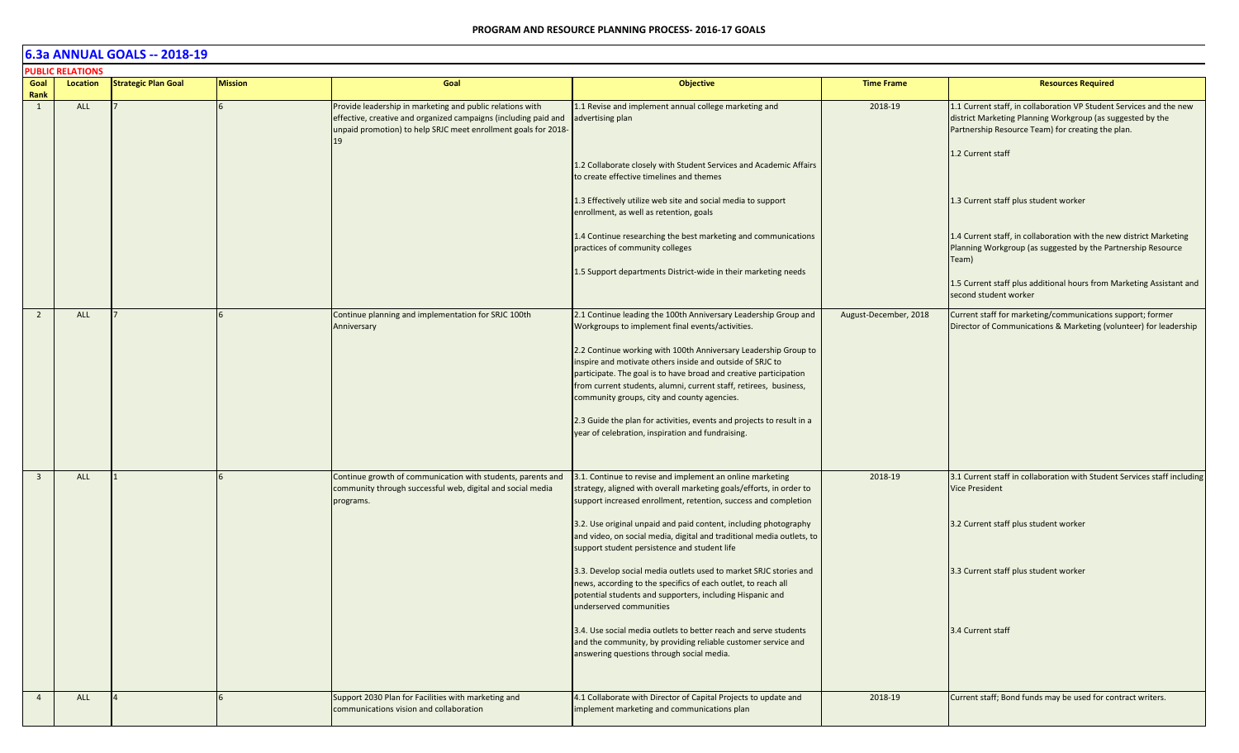|                         | <b>PUBLIC RELATIONS</b> |                            |                |                                                                                                                                                                                                      |                                                                                                                                                                                                                                                                                                                       |                       |                                                                                                                                                                                                             |
|-------------------------|-------------------------|----------------------------|----------------|------------------------------------------------------------------------------------------------------------------------------------------------------------------------------------------------------|-----------------------------------------------------------------------------------------------------------------------------------------------------------------------------------------------------------------------------------------------------------------------------------------------------------------------|-----------------------|-------------------------------------------------------------------------------------------------------------------------------------------------------------------------------------------------------------|
| Goal<br>Rank            | Location                | <b>Strategic Plan Goal</b> | <b>Mission</b> | Goal                                                                                                                                                                                                 | <b>Objective</b>                                                                                                                                                                                                                                                                                                      | <b>Time Frame</b>     | <b>Resources Required</b>                                                                                                                                                                                   |
| 1                       | ALL                     |                            |                | Provide leadership in marketing and public relations with<br>effective, creative and organized campaigns (including paid and<br>unpaid promotion) to help SRJC meet enrollment goals for 2018-<br>19 | 1.1 Revise and implement annual college marketing and<br>advertising plan<br>1.2 Collaborate closely with Student Services and Academic Affairs<br>to create effective timelines and themes                                                                                                                           | 2018-19               | 1.1 Current staff, in collaboration VP Student Services and the new<br>district Marketing Planning Workgroup (as suggested by the<br>Partnership Resource Team) for creating the plan.<br>1.2 Current staff |
|                         |                         |                            |                |                                                                                                                                                                                                      | 1.3 Effectively utilize web site and social media to support<br>enrollment, as well as retention, goals<br>1.4 Continue researching the best marketing and communications                                                                                                                                             |                       | 1.3 Current staff plus student worker<br>1.4 Current staff, in collaboration with the new district Marketing                                                                                                |
|                         |                         |                            |                |                                                                                                                                                                                                      | practices of community colleges<br>1.5 Support departments District-wide in their marketing needs                                                                                                                                                                                                                     |                       | Planning Workgroup (as suggested by the Partnership Resource<br>Team)                                                                                                                                       |
|                         |                         |                            |                |                                                                                                                                                                                                      |                                                                                                                                                                                                                                                                                                                       |                       | 1.5 Current staff plus additional hours from Marketing Assistant and<br>second student worker                                                                                                               |
| $\overline{2}$          | ALL                     |                            |                | Continue planning and implementation for SRJC 100th<br>Anniversary                                                                                                                                   | 2.1 Continue leading the 100th Anniversary Leadership Group and<br>Workgroups to implement final events/activities.                                                                                                                                                                                                   | August-December, 2018 | Current staff for marketing/communications support; former<br>Director of Communications & Marketing (volunteer) for leadership                                                                             |
|                         |                         |                            |                |                                                                                                                                                                                                      | 2.2 Continue working with 100th Anniversary Leadership Group to<br>inspire and motivate others inside and outside of SRJC to<br>participate. The goal is to have broad and creative participation<br>from current students, alumni, current staff, retirees, business,<br>community groups, city and county agencies. |                       |                                                                                                                                                                                                             |
|                         |                         |                            |                |                                                                                                                                                                                                      | 2.3 Guide the plan for activities, events and projects to result in a<br>year of celebration, inspiration and fundraising.                                                                                                                                                                                            |                       |                                                                                                                                                                                                             |
| $\overline{\mathbf{3}}$ | ALL                     |                            |                | Continue growth of communication with students, parents and<br>community through successful web, digital and social media<br>programs.                                                               | 3.1. Continue to revise and implement an online marketing<br>strategy, aligned with overall marketing goals/efforts, in order to<br>support increased enrollment, retention, success and completion                                                                                                                   | 2018-19               | 3.1 Current staff in collaboration with Student Services staff including<br><b>Vice President</b>                                                                                                           |
|                         |                         |                            |                |                                                                                                                                                                                                      | 3.2. Use original unpaid and paid content, including photography<br>and video, on social media, digital and traditional media outlets, to<br>support student persistence and student life                                                                                                                             |                       | 3.2 Current staff plus student worker                                                                                                                                                                       |
|                         |                         |                            |                |                                                                                                                                                                                                      | 3.3. Develop social media outlets used to market SRJC stories and<br>news, according to the specifics of each outlet, to reach all<br>potential students and supporters, including Hispanic and<br>underserved communities                                                                                            |                       | 3.3 Current staff plus student worker                                                                                                                                                                       |
|                         |                         |                            |                |                                                                                                                                                                                                      | 3.4. Use social media outlets to better reach and serve students<br>and the community, by providing reliable customer service and<br>answering questions through social media.                                                                                                                                        |                       | 3.4 Current staff                                                                                                                                                                                           |
| $\overline{4}$          | <b>ALL</b>              |                            |                | Support 2030 Plan for Facilities with marketing and<br>communications vision and collaboration                                                                                                       | 4.1 Collaborate with Director of Capital Projects to update and<br>implement marketing and communications plan                                                                                                                                                                                                        | 2018-19               | Current staff; Bond funds may be used for contract writers.                                                                                                                                                 |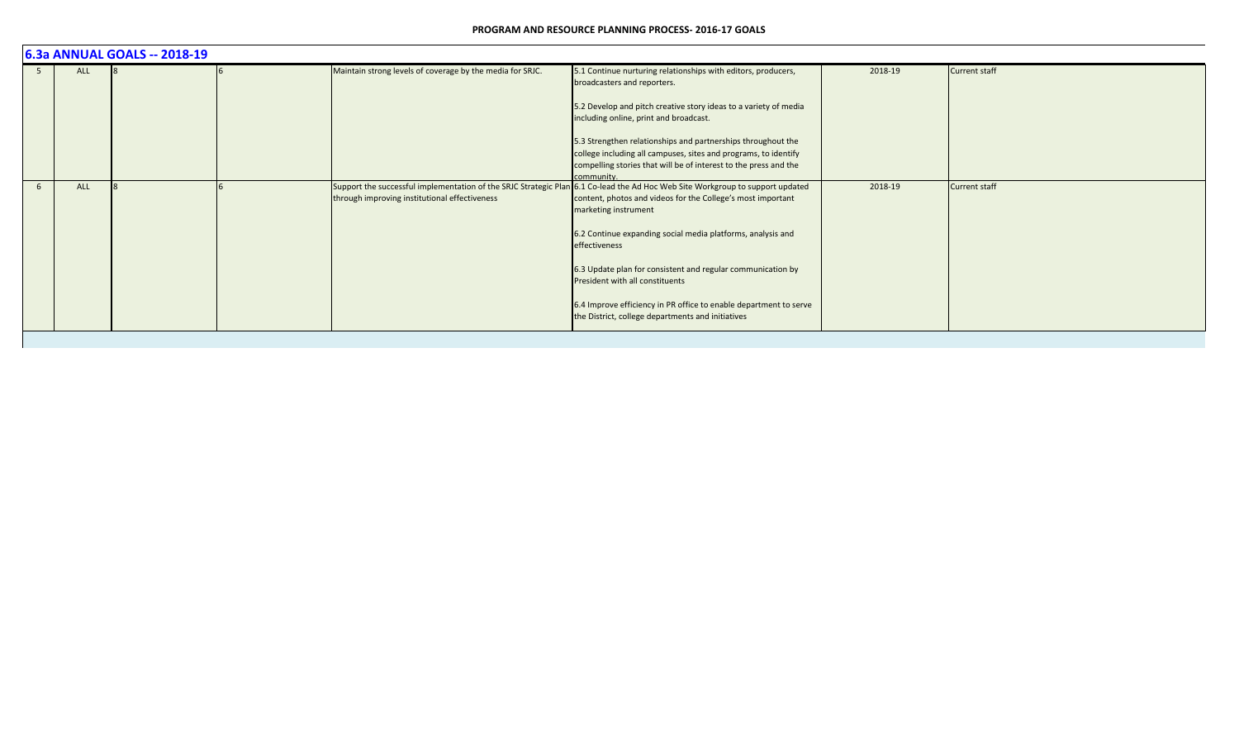|   | 6.3a ANNUAL GOALS -- 2018-19 |  |  |                                                                                                                                                                                |                                                                                                                                                    |         |                      |  |  |  |
|---|------------------------------|--|--|--------------------------------------------------------------------------------------------------------------------------------------------------------------------------------|----------------------------------------------------------------------------------------------------------------------------------------------------|---------|----------------------|--|--|--|
| 5 | <b>ALL</b>                   |  |  | Maintain strong levels of coverage by the media for SRJC.                                                                                                                      | 5.1 Continue nurturing relationships with editors, producers,<br>broadcasters and reporters.                                                       | 2018-19 | Current staff        |  |  |  |
|   |                              |  |  |                                                                                                                                                                                | 5.2 Develop and pitch creative story ideas to a variety of media<br>including online, print and broadcast.                                         |         |                      |  |  |  |
|   |                              |  |  |                                                                                                                                                                                | 5.3 Strengthen relationships and partnerships throughout the                                                                                       |         |                      |  |  |  |
|   |                              |  |  |                                                                                                                                                                                | college including all campuses, sites and programs, to identify                                                                                    |         |                      |  |  |  |
|   |                              |  |  |                                                                                                                                                                                | compelling stories that will be of interest to the press and the                                                                                   |         |                      |  |  |  |
|   |                              |  |  |                                                                                                                                                                                | community.                                                                                                                                         |         |                      |  |  |  |
| 6 | <b>ALL</b>                   |  |  | Support the successful implementation of the SRJC Strategic Plan 6.1 Co-lead the Ad Hoc Web Site Workgroup to support updated<br>through improving institutional effectiveness | content, photos and videos for the College's most important<br>marketing instrument<br>6.2 Continue expanding social media platforms, analysis and | 2018-19 | <b>Current staff</b> |  |  |  |
|   |                              |  |  |                                                                                                                                                                                | effectiveness                                                                                                                                      |         |                      |  |  |  |
|   |                              |  |  |                                                                                                                                                                                | 6.3 Update plan for consistent and regular communication by<br>President with all constituents                                                     |         |                      |  |  |  |
|   |                              |  |  |                                                                                                                                                                                | 6.4 Improve efficiency in PR office to enable department to serve<br>the District, college departments and initiatives                             |         |                      |  |  |  |
|   |                              |  |  |                                                                                                                                                                                |                                                                                                                                                    |         |                      |  |  |  |